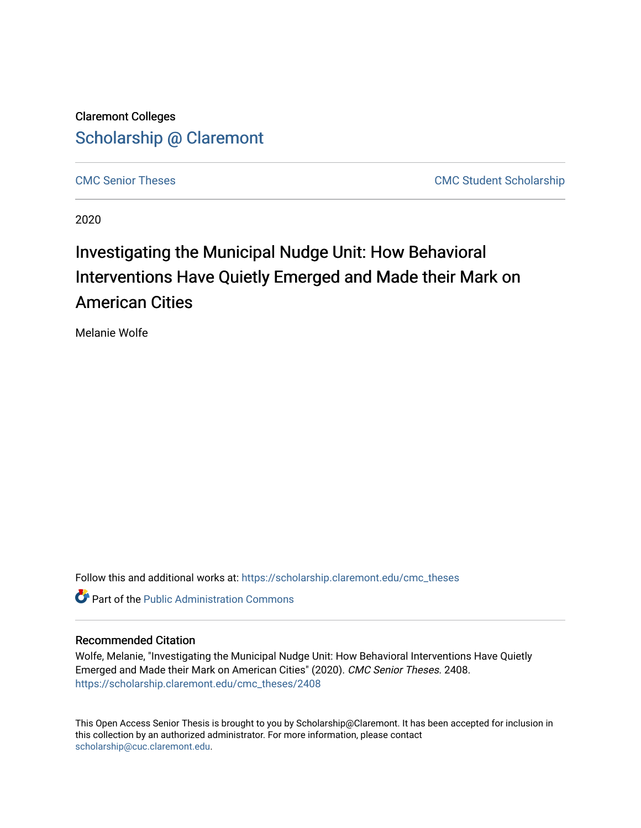Claremont Colleges [Scholarship @ Claremont](https://scholarship.claremont.edu/) 

[CMC Senior Theses](https://scholarship.claremont.edu/cmc_theses) CMC Student Scholarship

2020

# Investigating the Municipal Nudge Unit: How Behavioral Interventions Have Quietly Emerged and Made their Mark on American Cities

Melanie Wolfe

Follow this and additional works at: [https://scholarship.claremont.edu/cmc\\_theses](https://scholarship.claremont.edu/cmc_theses?utm_source=scholarship.claremont.edu%2Fcmc_theses%2F2408&utm_medium=PDF&utm_campaign=PDFCoverPages) 

**C** Part of the [Public Administration Commons](http://network.bepress.com/hgg/discipline/398?utm_source=scholarship.claremont.edu%2Fcmc_theses%2F2408&utm_medium=PDF&utm_campaign=PDFCoverPages)

## Recommended Citation

Wolfe, Melanie, "Investigating the Municipal Nudge Unit: How Behavioral Interventions Have Quietly Emerged and Made their Mark on American Cities" (2020). CMC Senior Theses. 2408. [https://scholarship.claremont.edu/cmc\\_theses/2408](https://scholarship.claremont.edu/cmc_theses/2408?utm_source=scholarship.claremont.edu%2Fcmc_theses%2F2408&utm_medium=PDF&utm_campaign=PDFCoverPages) 

This Open Access Senior Thesis is brought to you by Scholarship@Claremont. It has been accepted for inclusion in this collection by an authorized administrator. For more information, please contact [scholarship@cuc.claremont.edu.](mailto:scholarship@cuc.claremont.edu)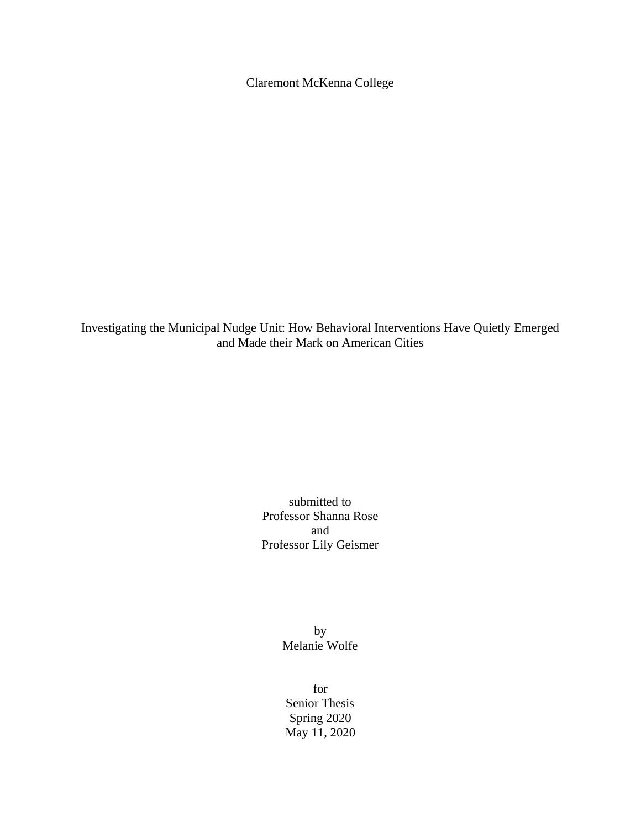Claremont McKenna College

Investigating the Municipal Nudge Unit: How Behavioral Interventions Have Quietly Emerged and Made their Mark on American Cities

> submitted to Professor Shanna Rose and Professor Lily Geismer

> > by Melanie Wolfe

for Senior Thesis Spring 2020 May 11, 2020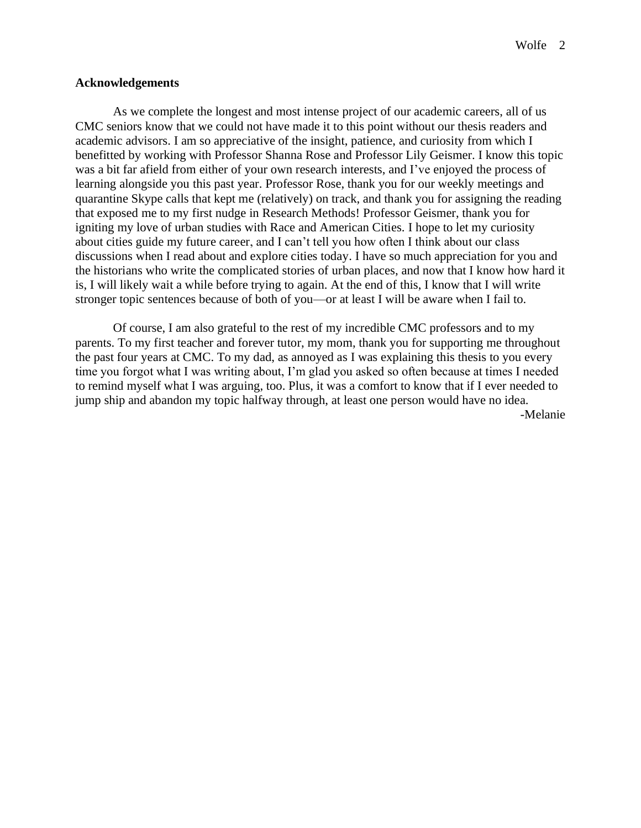#### **Acknowledgements**

As we complete the longest and most intense project of our academic careers, all of us CMC seniors know that we could not have made it to this point without our thesis readers and academic advisors. I am so appreciative of the insight, patience, and curiosity from which I benefitted by working with Professor Shanna Rose and Professor Lily Geismer. I know this topic was a bit far afield from either of your own research interests, and I've enjoyed the process of learning alongside you this past year. Professor Rose, thank you for our weekly meetings and quarantine Skype calls that kept me (relatively) on track, and thank you for assigning the reading that exposed me to my first nudge in Research Methods! Professor Geismer, thank you for igniting my love of urban studies with Race and American Cities. I hope to let my curiosity about cities guide my future career, and I can't tell you how often I think about our class discussions when I read about and explore cities today. I have so much appreciation for you and the historians who write the complicated stories of urban places, and now that I know how hard it is, I will likely wait a while before trying to again. At the end of this, I know that I will write stronger topic sentences because of both of you—or at least I will be aware when I fail to.

Of course, I am also grateful to the rest of my incredible CMC professors and to my parents. To my first teacher and forever tutor, my mom, thank you for supporting me throughout the past four years at CMC. To my dad, as annoyed as I was explaining this thesis to you every time you forgot what I was writing about, I'm glad you asked so often because at times I needed to remind myself what I was arguing, too. Plus, it was a comfort to know that if I ever needed to jump ship and abandon my topic halfway through, at least one person would have no idea. -Melanie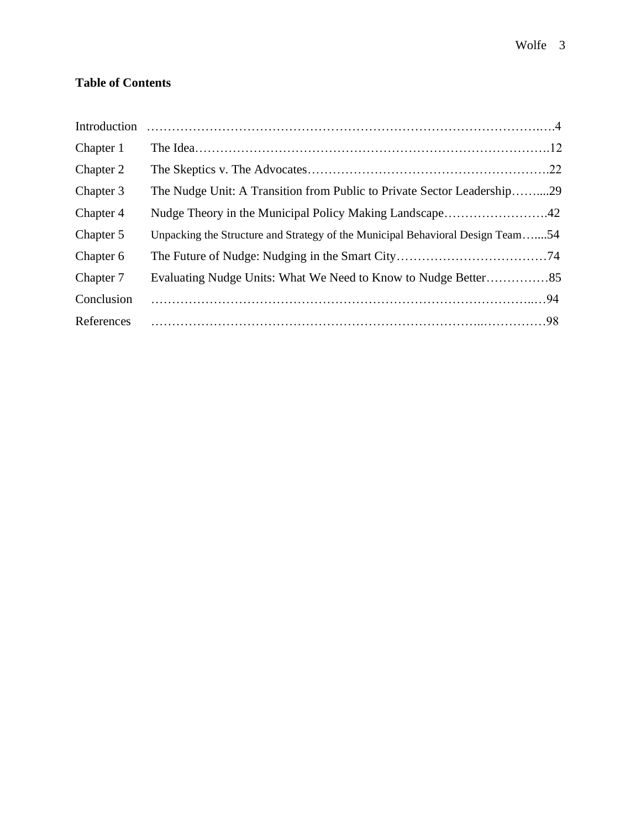# **Table of Contents**

| Introduction |                                                                                |  |
|--------------|--------------------------------------------------------------------------------|--|
| Chapter 1    |                                                                                |  |
| Chapter 2    |                                                                                |  |
| Chapter 3    | The Nudge Unit: A Transition from Public to Private Sector Leadership29        |  |
| Chapter 4    | Nudge Theory in the Municipal Policy Making Landscape42                        |  |
| Chapter 5    | Unpacking the Structure and Strategy of the Municipal Behavioral Design Team54 |  |
| Chapter 6    |                                                                                |  |
| Chapter 7    |                                                                                |  |
| Conclusion   |                                                                                |  |
| References   |                                                                                |  |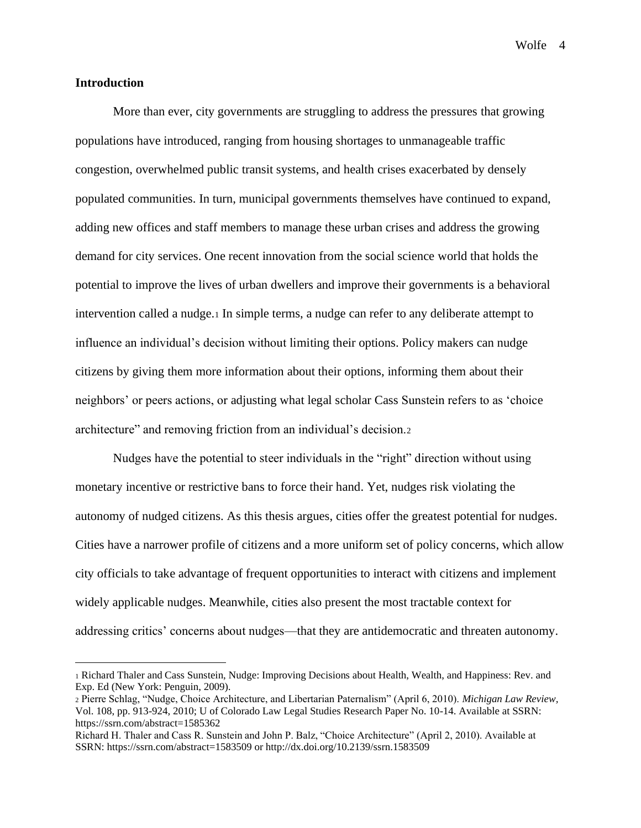### **Introduction**

More than ever, city governments are struggling to address the pressures that growing populations have introduced, ranging from housing shortages to unmanageable traffic congestion, overwhelmed public transit systems, and health crises exacerbated by densely populated communities. In turn, municipal governments themselves have continued to expand, adding new offices and staff members to manage these urban crises and address the growing demand for city services. One recent innovation from the social science world that holds the potential to improve the lives of urban dwellers and improve their governments is a behavioral intervention called a nudge.<sup>1</sup> In simple terms, a nudge can refer to any deliberate attempt to influence an individual's decision without limiting their options. Policy makers can nudge citizens by giving them more information about their options, informing them about their neighbors' or peers actions, or adjusting what legal scholar Cass Sunstein refers to as 'choice architecture" and removing friction from an individual's decision.<sup>2</sup>

Nudges have the potential to steer individuals in the "right" direction without using monetary incentive or restrictive bans to force their hand. Yet, nudges risk violating the autonomy of nudged citizens. As this thesis argues, cities offer the greatest potential for nudges. Cities have a narrower profile of citizens and a more uniform set of policy concerns, which allow city officials to take advantage of frequent opportunities to interact with citizens and implement widely applicable nudges. Meanwhile, cities also present the most tractable context for addressing critics' concerns about nudges—that they are antidemocratic and threaten autonomy.

<sup>1</sup> Richard Thaler and Cass Sunstein, Nudge: Improving Decisions about Health, Wealth, and Happiness: Rev. and Exp. Ed (New York: Penguin, 2009).

<sup>2</sup> Pierre Schlag, "Nudge, Choice Architecture, and Libertarian Paternalism" (April 6, 2010). *Michigan Law Review,* Vol. 108, pp. 913-924, 2010; U of Colorado Law Legal Studies Research Paper No. 10-14. Available at SSRN: https://ssrn.com/abstract=1585362

Richard H. Thaler and Cass R. Sunstein and John P. Balz, "Choice Architecture" (April 2, 2010). Available at SSRN: https://ssrn.com/abstract=1583509 or http://dx.doi.org/10.2139/ssrn.1583509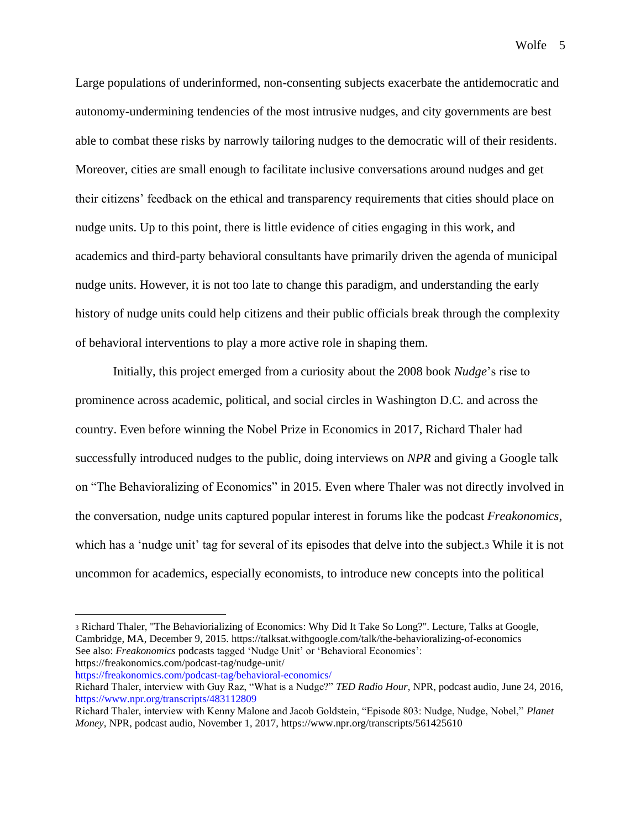Large populations of underinformed, non-consenting subjects exacerbate the antidemocratic and autonomy-undermining tendencies of the most intrusive nudges, and city governments are best able to combat these risks by narrowly tailoring nudges to the democratic will of their residents. Moreover, cities are small enough to facilitate inclusive conversations around nudges and get their citizens' feedback on the ethical and transparency requirements that cities should place on nudge units. Up to this point, there is little evidence of cities engaging in this work, and academics and third-party behavioral consultants have primarily driven the agenda of municipal nudge units. However, it is not too late to change this paradigm, and understanding the early history of nudge units could help citizens and their public officials break through the complexity of behavioral interventions to play a more active role in shaping them.

Initially, this project emerged from a curiosity about the 2008 book *Nudge*'s rise to prominence across academic, political, and social circles in Washington D.C. and across the country. Even before winning the Nobel Prize in Economics in 2017, Richard Thaler had successfully introduced nudges to the public, doing interviews on *NPR* and giving a Google talk on "The Behavioralizing of Economics" in 2015. Even where Thaler was not directly involved in the conversation, nudge units captured popular interest in forums like the podcast *Freakonomics,*  which has a 'nudge unit' tag for several of its episodes that delve into the subject.<sup>3</sup> While it is not uncommon for academics, especially economists, to introduce new concepts into the political

<https://freakonomics.com/podcast-tag/behavioral-economics/>

<sup>3</sup> Richard Thaler, "The Behaviorializing of Economics: Why Did It Take So Long?". Lecture, Talks at Google, Cambridge, MA, December 9, 2015. https://talksat.withgoogle.com/talk/the-behavioralizing-of-economics See also: *Freakonomics* podcasts tagged 'Nudge Unit' or 'Behavioral Economics': https://freakonomics.com/podcast-tag/nudge-unit/

Richard Thaler, interview with Guy Raz, "What is a Nudge?" *TED Radio Hour,* NPR, podcast audio, June 24, 2016, <https://www.npr.org/transcripts/483112809>

Richard Thaler, interview with Kenny Malone and Jacob Goldstein, "Episode 803: Nudge, Nudge, Nobel," *Planet Money,* NPR, podcast audio, November 1, 2017, https://www.npr.org/transcripts/561425610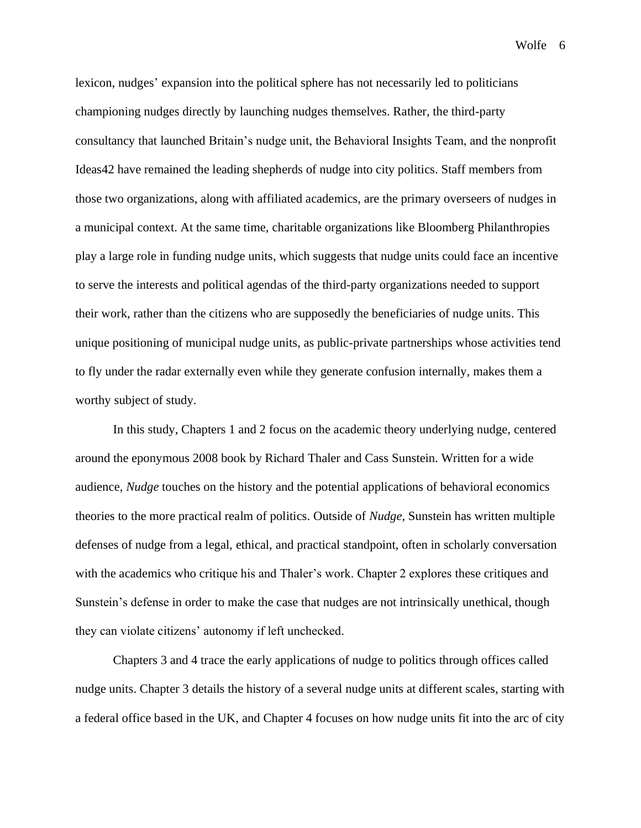lexicon, nudges' expansion into the political sphere has not necessarily led to politicians championing nudges directly by launching nudges themselves. Rather, the third-party consultancy that launched Britain's nudge unit, the Behavioral Insights Team, and the nonprofit Ideas42 have remained the leading shepherds of nudge into city politics. Staff members from those two organizations, along with affiliated academics, are the primary overseers of nudges in a municipal context. At the same time, charitable organizations like Bloomberg Philanthropies play a large role in funding nudge units, which suggests that nudge units could face an incentive to serve the interests and political agendas of the third-party organizations needed to support their work, rather than the citizens who are supposedly the beneficiaries of nudge units. This unique positioning of municipal nudge units, as public-private partnerships whose activities tend to fly under the radar externally even while they generate confusion internally, makes them a worthy subject of study.

In this study, Chapters 1 and 2 focus on the academic theory underlying nudge, centered around the eponymous 2008 book by Richard Thaler and Cass Sunstein. Written for a wide audience, *Nudge* touches on the history and the potential applications of behavioral economics theories to the more practical realm of politics. Outside of *Nudge*, Sunstein has written multiple defenses of nudge from a legal, ethical, and practical standpoint, often in scholarly conversation with the academics who critique his and Thaler's work. Chapter 2 explores these critiques and Sunstein's defense in order to make the case that nudges are not intrinsically unethical, though they can violate citizens' autonomy if left unchecked.

Chapters 3 and 4 trace the early applications of nudge to politics through offices called nudge units. Chapter 3 details the history of a several nudge units at different scales, starting with a federal office based in the UK, and Chapter 4 focuses on how nudge units fit into the arc of city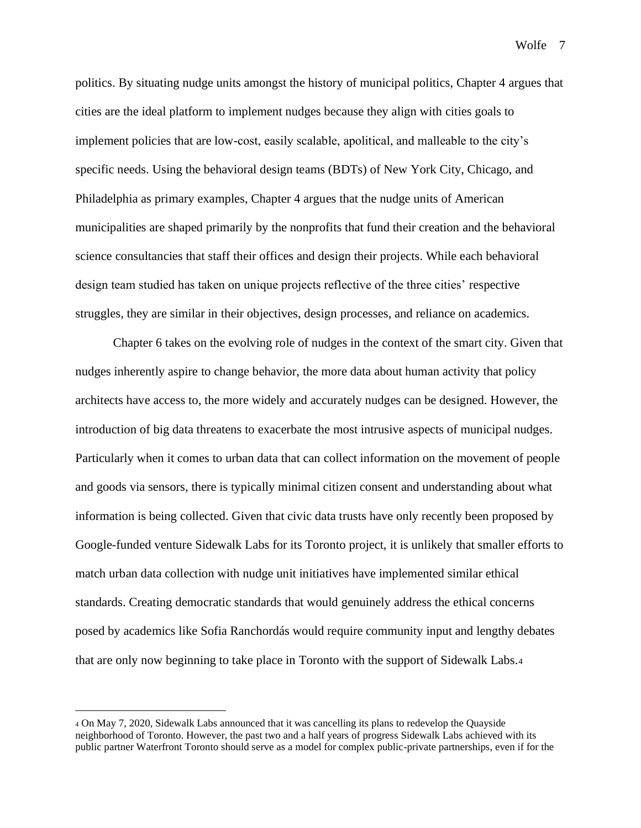politics. By situating nudge units amongst the history of municipal politics, Chapter 4 argues that cities are the ideal platform to implement nudges because they align with cities goals to implement policies that are low-cost, easily scalable, apolitical, and malleable to the city's specific needs. Using the behavioral design teams (BDTs) of New York City, Chicago, and Philadelphia as primary examples, Chapter 4 argues that the nudge units of American municipalities are shaped primarily by the nonprofits that fund their creation and the behavioral science consultancies that staff their offices and design their projects. While each behavioral design team studied has taken on unique projects reflective of the three cities' respective struggles, they are similar in their objectives, design processes, and reliance on academics.

Chapter 6 takes on the evolving role of nudges in the context of the smart city. Given that nudges inherently aspire to change behavior, the more data about human activity that policy architects have access to, the more widely and accurately nudges can be designed. However, the introduction of big data threatens to exacerbate the most intrusive aspects of municipal nudges. Particularly when it comes to urban data that can collect information on the movement of people and goods via sensors, there is typically minimal citizen consent and understanding about what information is being collected. Given that civic data trusts have only recently been proposed by Google-funded venture Sidewalk Labs for its Toronto project, it is unlikely that smaller efforts to match urban data collection with nudge unit initiatives have implemented similar ethical standards. Creating democratic standards that would genuinely address the ethical concerns posed by academics like Sofia Ranchordás would require community input and lengthy debates that are only now beginning to take place in Toronto with the support of Sidewalk Labs.<sup>4</sup>

<sup>4</sup> On May 7, 2020, Sidewalk Labs announced that it was cancelling its plans to redevelop the Quayside neighborhood of Toronto. However, the past two and a half years of progress Sidewalk Labs achieved with its public partner Waterfront Toronto should serve as a model for complex public-private partnerships, even if for the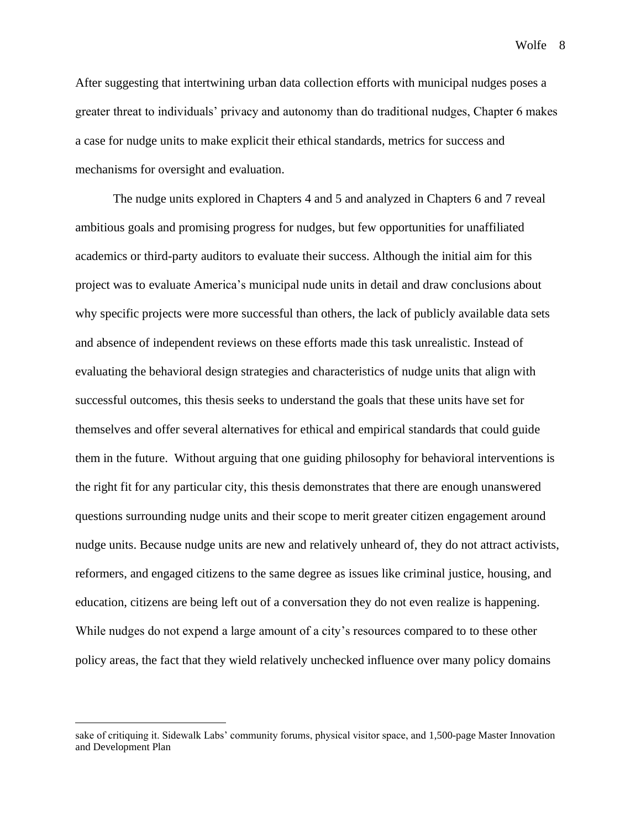After suggesting that intertwining urban data collection efforts with municipal nudges poses a greater threat to individuals' privacy and autonomy than do traditional nudges, Chapter 6 makes a case for nudge units to make explicit their ethical standards, metrics for success and mechanisms for oversight and evaluation.

The nudge units explored in Chapters 4 and 5 and analyzed in Chapters 6 and 7 reveal ambitious goals and promising progress for nudges, but few opportunities for unaffiliated academics or third-party auditors to evaluate their success. Although the initial aim for this project was to evaluate America's municipal nude units in detail and draw conclusions about why specific projects were more successful than others, the lack of publicly available data sets and absence of independent reviews on these efforts made this task unrealistic. Instead of evaluating the behavioral design strategies and characteristics of nudge units that align with successful outcomes, this thesis seeks to understand the goals that these units have set for themselves and offer several alternatives for ethical and empirical standards that could guide them in the future. Without arguing that one guiding philosophy for behavioral interventions is the right fit for any particular city, this thesis demonstrates that there are enough unanswered questions surrounding nudge units and their scope to merit greater citizen engagement around nudge units. Because nudge units are new and relatively unheard of, they do not attract activists, reformers, and engaged citizens to the same degree as issues like criminal justice, housing, and education, citizens are being left out of a conversation they do not even realize is happening. While nudges do not expend a large amount of a city's resources compared to to these other policy areas, the fact that they wield relatively unchecked influence over many policy domains

sake of critiquing it. Sidewalk Labs' community forums, physical visitor space, and 1,500-page Master Innovation and Development Plan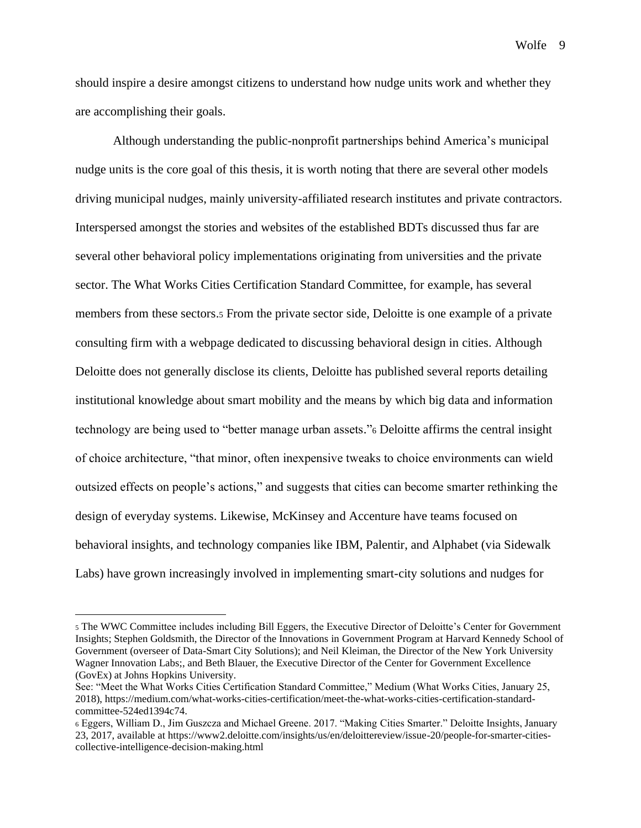should inspire a desire amongst citizens to understand how nudge units work and whether they are accomplishing their goals.

Although understanding the public-nonprofit partnerships behind America's municipal nudge units is the core goal of this thesis, it is worth noting that there are several other models driving municipal nudges, mainly university-affiliated research institutes and private contractors*.* Interspersed amongst the stories and websites of the established BDTs discussed thus far are several other behavioral policy implementations originating from universities and the private sector. The What Works Cities Certification Standard Committee, for example, has several members from these sectors.<sup>5</sup> From the private sector side, Deloitte is one example of a private consulting firm with a webpage dedicated to discussing behavioral design in cities. Although Deloitte does not generally disclose its clients, Deloitte has published several reports detailing institutional knowledge about smart mobility and the means by which big data and information technology are being used to "better manage urban assets."<sup>6</sup> Deloitte affirms the central insight of choice architecture, "that minor, often inexpensive tweaks to choice environments can wield outsized effects on people's actions," and suggests that cities can become smarter rethinking the design of everyday systems. Likewise, McKinsey and Accenture have teams focused on behavioral insights, and technology companies like IBM, Palentir, and Alphabet (via Sidewalk Labs) have grown increasingly involved in implementing smart-city solutions and nudges for

<sup>5</sup> The WWC Committee includes including Bill Eggers, the Executive Director of Deloitte's Center for Government Insights; Stephen Goldsmith, the Director of the Innovations in Government Program at Harvard Kennedy School of Government (overseer of Data-Smart City Solutions); and Neil Kleiman, the Director of the New York University Wagner Innovation Labs;, and Beth Blauer, the Executive Director of the Center for Government Excellence (GovEx) at Johns Hopkins University.

See: "Meet the What Works Cities Certification Standard Committee," Medium (What Works Cities, January 25, 2018), https://medium.com/what-works-cities-certification/meet-the-what-works-cities-certification-standardcommittee-524ed1394c74.

<sup>6</sup> Eggers, William D., Jim Guszcza and Michael Greene. 2017. "Making Cities Smarter." Deloitte Insights, January 23, 2017, available at https://www2.deloitte.com/insights/us/en/deloittereview/issue-20/people-for-smarter-citiescollective-intelligence-decision-making.html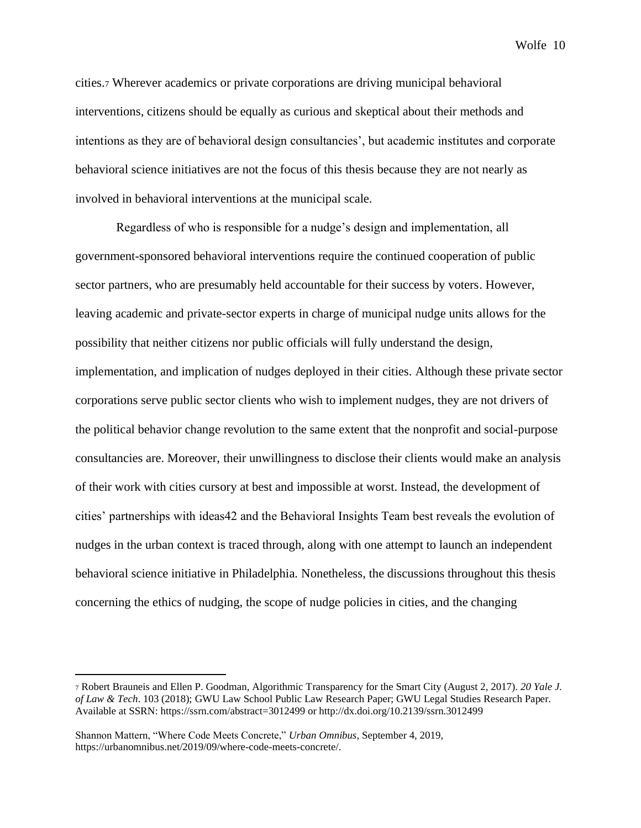cities.<sup>7</sup> Wherever academics or private corporations are driving municipal behavioral interventions, citizens should be equally as curious and skeptical about their methods and intentions as they are of behavioral design consultancies', but academic institutes and corporate behavioral science initiatives are not the focus of this thesis because they are not nearly as involved in behavioral interventions at the municipal scale.

Regardless of who is responsible for a nudge's design and implementation, all government-sponsored behavioral interventions require the continued cooperation of public sector partners, who are presumably held accountable for their success by voters. However, leaving academic and private-sector experts in charge of municipal nudge units allows for the possibility that neither citizens nor public officials will fully understand the design, implementation, and implication of nudges deployed in their cities. Although these private sector corporations serve public sector clients who wish to implement nudges, they are not drivers of the political behavior change revolution to the same extent that the nonprofit and social-purpose consultancies are. Moreover, their unwillingness to disclose their clients would make an analysis of their work with cities cursory at best and impossible at worst. Instead, the development of cities' partnerships with ideas42 and the Behavioral Insights Team best reveals the evolution of nudges in the urban context is traced through, along with one attempt to launch an independent behavioral science initiative in Philadelphia. Nonetheless, the discussions throughout this thesis concerning the ethics of nudging, the scope of nudge policies in cities, and the changing

<sup>7</sup> Robert Brauneis and Ellen P. Goodman, Algorithmic Transparency for the Smart City (August 2, 2017). *20 Yale J. of Law & Tech*. 103 (2018); GWU Law School Public Law Research Paper; GWU Legal Studies Research Paper. Available at SSRN: https://ssrn.com/abstract=3012499 or http://dx.doi.org/10.2139/ssrn.3012499

Shannon Mattern, "Where Code Meets Concrete," *Urban Omnibus*, September 4, 2019, https://urbanomnibus.net/2019/09/where-code-meets-concrete/.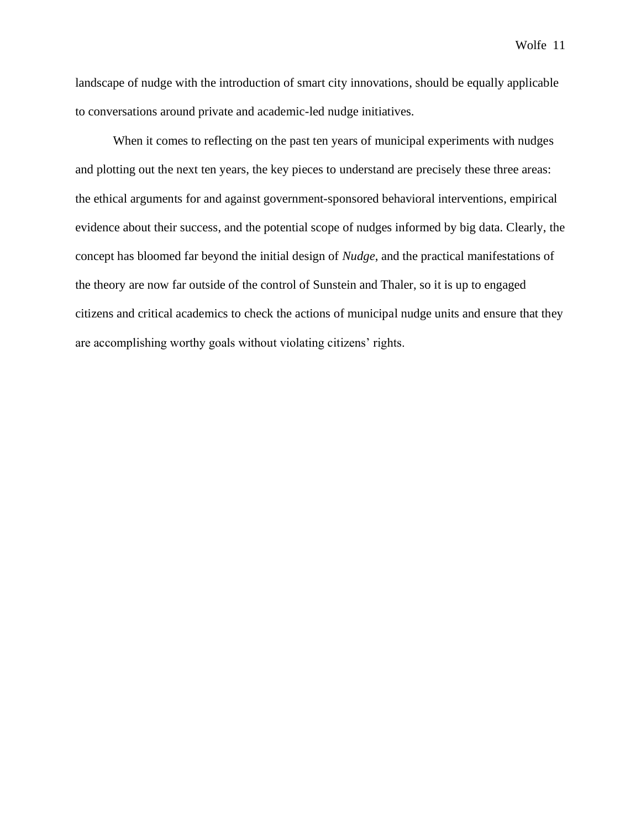landscape of nudge with the introduction of smart city innovations, should be equally applicable to conversations around private and academic-led nudge initiatives.

When it comes to reflecting on the past ten years of municipal experiments with nudges and plotting out the next ten years, the key pieces to understand are precisely these three areas: the ethical arguments for and against government-sponsored behavioral interventions, empirical evidence about their success, and the potential scope of nudges informed by big data. Clearly, the concept has bloomed far beyond the initial design of *Nudge*, and the practical manifestations of the theory are now far outside of the control of Sunstein and Thaler, so it is up to engaged citizens and critical academics to check the actions of municipal nudge units and ensure that they are accomplishing worthy goals without violating citizens' rights.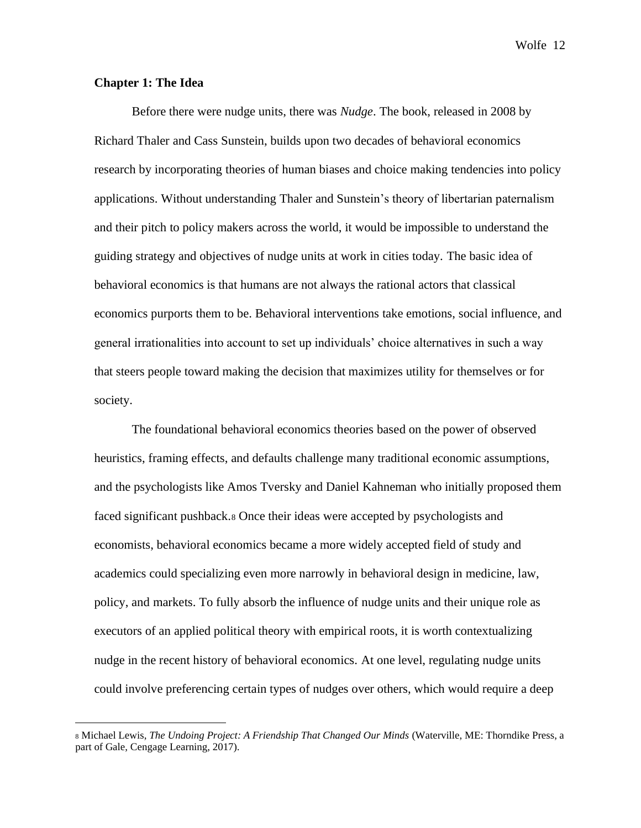# **Chapter 1: The Idea**

Before there were nudge units, there was *Nudge*. The book, released in 2008 by Richard Thaler and Cass Sunstein, builds upon two decades of behavioral economics research by incorporating theories of human biases and choice making tendencies into policy applications. Without understanding Thaler and Sunstein's theory of libertarian paternalism and their pitch to policy makers across the world, it would be impossible to understand the guiding strategy and objectives of nudge units at work in cities today. The basic idea of behavioral economics is that humans are not always the rational actors that classical economics purports them to be. Behavioral interventions take emotions, social influence, and general irrationalities into account to set up individuals' choice alternatives in such a way that steers people toward making the decision that maximizes utility for themselves or for society.

The foundational behavioral economics theories based on the power of observed heuristics, framing effects, and defaults challenge many traditional economic assumptions, and the psychologists like Amos Tversky and Daniel Kahneman who initially proposed them faced significant pushback.<sup>8</sup> Once their ideas were accepted by psychologists and economists, behavioral economics became a more widely accepted field of study and academics could specializing even more narrowly in behavioral design in medicine, law, policy, and markets. To fully absorb the influence of nudge units and their unique role as executors of an applied political theory with empirical roots, it is worth contextualizing nudge in the recent history of behavioral economics. At one level, regulating nudge units could involve preferencing certain types of nudges over others, which would require a deep

<sup>8</sup> Michael Lewis, *The Undoing Project: A Friendship That Changed Our Minds* (Waterville, ME: Thorndike Press, a part of Gale, Cengage Learning, 2017).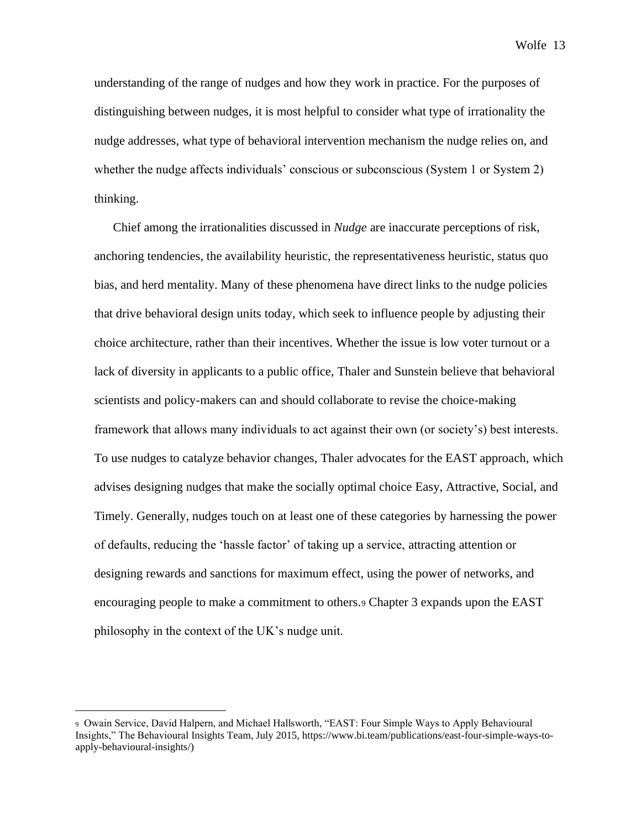understanding of the range of nudges and how they work in practice. For the purposes of distinguishing between nudges, it is most helpful to consider what type of irrationality the nudge addresses, what type of behavioral intervention mechanism the nudge relies on, and whether the nudge affects individuals' conscious or subconscious (System 1 or System 2) thinking.

Chief among the irrationalities discussed in *Nudge* are inaccurate perceptions of risk, anchoring tendencies, the availability heuristic, the representativeness heuristic, status quo bias, and herd mentality. Many of these phenomena have direct links to the nudge policies that drive behavioral design units today, which seek to influence people by adjusting their choice architecture, rather than their incentives. Whether the issue is low voter turnout or a lack of diversity in applicants to a public office, Thaler and Sunstein believe that behavioral scientists and policy-makers can and should collaborate to revise the choice-making framework that allows many individuals to act against their own (or society's) best interests. To use nudges to catalyze behavior changes, Thaler advocates for the EAST approach, which advises designing nudges that make the socially optimal choice Easy, Attractive, Social, and Timely. Generally, nudges touch on at least one of these categories by harnessing the power of defaults, reducing the 'hassle factor' of taking up a service, attracting attention or designing rewards and sanctions for maximum effect, using the power of networks, and encouraging people to make a commitment to others.<sup>9</sup> Chapter 3 expands upon the EAST philosophy in the context of the UK's nudge unit.

<sup>9</sup> Owain Service, David Halpern, and Michael Hallsworth, "EAST: Four Simple Ways to Apply Behavioural Insights," The Behavioural Insights Team, July 2015, https://www.bi.team/publications/east-four-simple-ways-toapply-behavioural-insights/)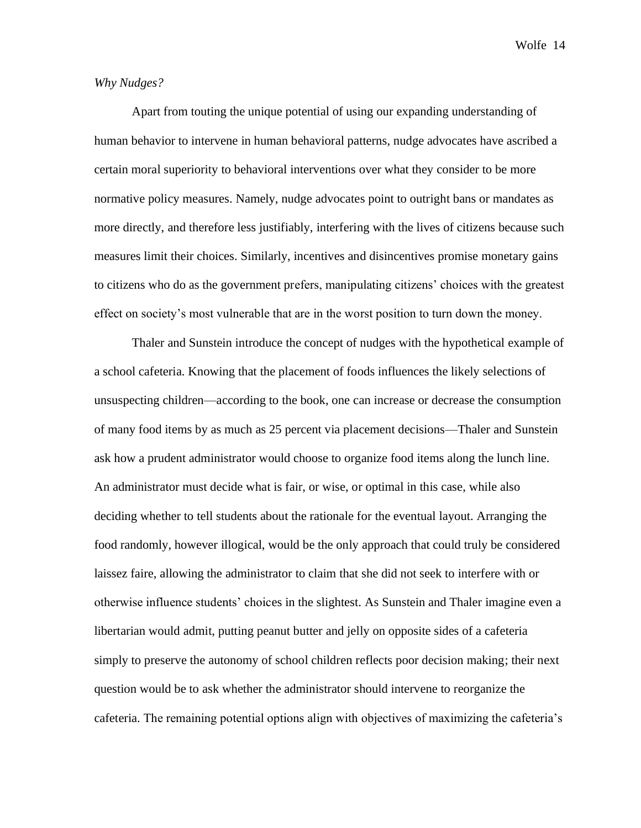### *Why Nudges?*

Apart from touting the unique potential of using our expanding understanding of human behavior to intervene in human behavioral patterns, nudge advocates have ascribed a certain moral superiority to behavioral interventions over what they consider to be more normative policy measures. Namely, nudge advocates point to outright bans or mandates as more directly, and therefore less justifiably, interfering with the lives of citizens because such measures limit their choices. Similarly, incentives and disincentives promise monetary gains to citizens who do as the government prefers, manipulating citizens' choices with the greatest effect on society's most vulnerable that are in the worst position to turn down the money.

Thaler and Sunstein introduce the concept of nudges with the hypothetical example of a school cafeteria. Knowing that the placement of foods influences the likely selections of unsuspecting children—according to the book, one can increase or decrease the consumption of many food items by as much as 25 percent via placement decisions—Thaler and Sunstein ask how a prudent administrator would choose to organize food items along the lunch line. An administrator must decide what is fair, or wise, or optimal in this case, while also deciding whether to tell students about the rationale for the eventual layout. Arranging the food randomly, however illogical, would be the only approach that could truly be considered laissez faire, allowing the administrator to claim that she did not seek to interfere with or otherwise influence students' choices in the slightest. As Sunstein and Thaler imagine even a libertarian would admit, putting peanut butter and jelly on opposite sides of a cafeteria simply to preserve the autonomy of school children reflects poor decision making; their next question would be to ask whether the administrator should intervene to reorganize the cafeteria. The remaining potential options align with objectives of maximizing the cafeteria's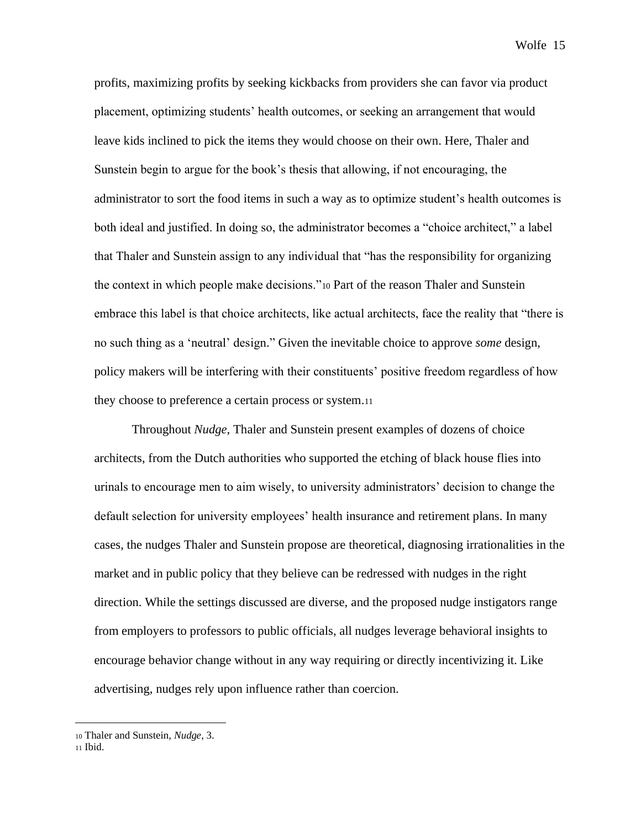profits, maximizing profits by seeking kickbacks from providers she can favor via product placement, optimizing students' health outcomes, or seeking an arrangement that would leave kids inclined to pick the items they would choose on their own. Here, Thaler and Sunstein begin to argue for the book's thesis that allowing, if not encouraging, the administrator to sort the food items in such a way as to optimize student's health outcomes is both ideal and justified. In doing so, the administrator becomes a "choice architect," a label that Thaler and Sunstein assign to any individual that "has the responsibility for organizing the context in which people make decisions."<sup>10</sup> Part of the reason Thaler and Sunstein embrace this label is that choice architects, like actual architects, face the reality that "there is no such thing as a 'neutral' design." Given the inevitable choice to approve *some* design, policy makers will be interfering with their constituents' positive freedom regardless of how they choose to preference a certain process or system.<sup>11</sup>

Throughout *Nudge,* Thaler and Sunstein present examples of dozens of choice architects, from the Dutch authorities who supported the etching of black house flies into urinals to encourage men to aim wisely, to university administrators' decision to change the default selection for university employees' health insurance and retirement plans. In many cases, the nudges Thaler and Sunstein propose are theoretical, diagnosing irrationalities in the market and in public policy that they believe can be redressed with nudges in the right direction. While the settings discussed are diverse, and the proposed nudge instigators range from employers to professors to public officials, all nudges leverage behavioral insights to encourage behavior change without in any way requiring or directly incentivizing it. Like advertising, nudges rely upon influence rather than coercion.

<sup>11</sup> Ibid.

<sup>10</sup> Thaler and Sunstein, *Nudge*, 3.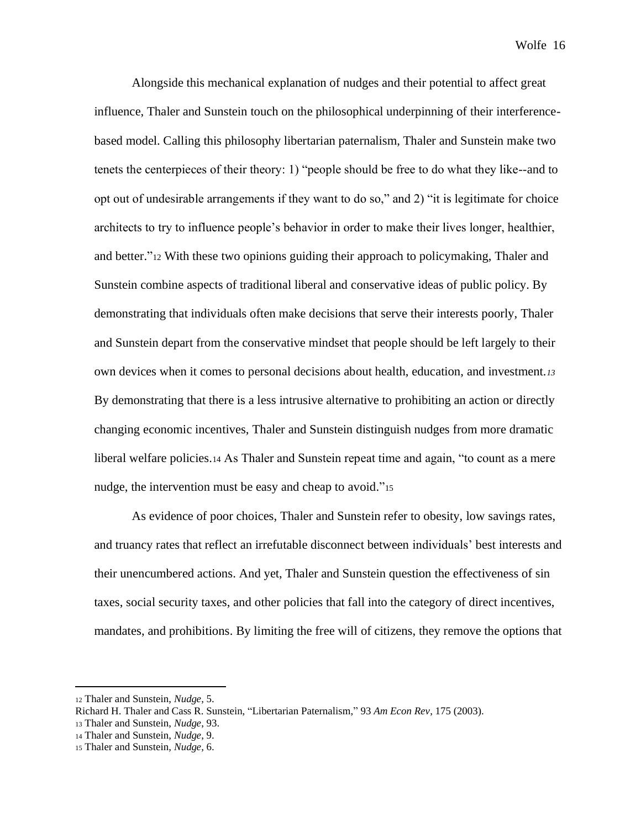Alongside this mechanical explanation of nudges and their potential to affect great influence, Thaler and Sunstein touch on the philosophical underpinning of their interferencebased model. Calling this philosophy libertarian paternalism, Thaler and Sunstein make two tenets the centerpieces of their theory: 1) "people should be free to do what they like--and to opt out of undesirable arrangements if they want to do so," and 2) "it is legitimate for choice architects to try to influence people's behavior in order to make their lives longer, healthier, and better."<sup>12</sup> With these two opinions guiding their approach to policymaking, Thaler and Sunstein combine aspects of traditional liberal and conservative ideas of public policy. By demonstrating that individuals often make decisions that serve their interests poorly, Thaler and Sunstein depart from the conservative mindset that people should be left largely to their own devices when it comes to personal decisions about health, education, and investment*.<sup>13</sup>* By demonstrating that there is a less intrusive alternative to prohibiting an action or directly changing economic incentives, Thaler and Sunstein distinguish nudges from more dramatic liberal welfare policies.<sup>14</sup> As Thaler and Sunstein repeat time and again, "to count as a mere nudge, the intervention must be easy and cheap to avoid."<sup>15</sup>

As evidence of poor choices, Thaler and Sunstein refer to obesity, low savings rates, and truancy rates that reflect an irrefutable disconnect between individuals' best interests and their unencumbered actions. And yet, Thaler and Sunstein question the effectiveness of sin taxes, social security taxes, and other policies that fall into the category of direct incentives, mandates, and prohibitions. By limiting the free will of citizens, they remove the options that

<sup>12</sup> Thaler and Sunstein, *Nudge*, 5.

Richard H. Thaler and Cass R. Sunstein, "Libertarian Paternalism," 93 *Am Econ Rev*, 175 (2003).

<sup>13</sup> Thaler and Sunstein, *Nudge*, 93.

<sup>14</sup> Thaler and Sunstein, *Nudge*, 9.

<sup>15</sup> Thaler and Sunstein, *Nudge*, 6.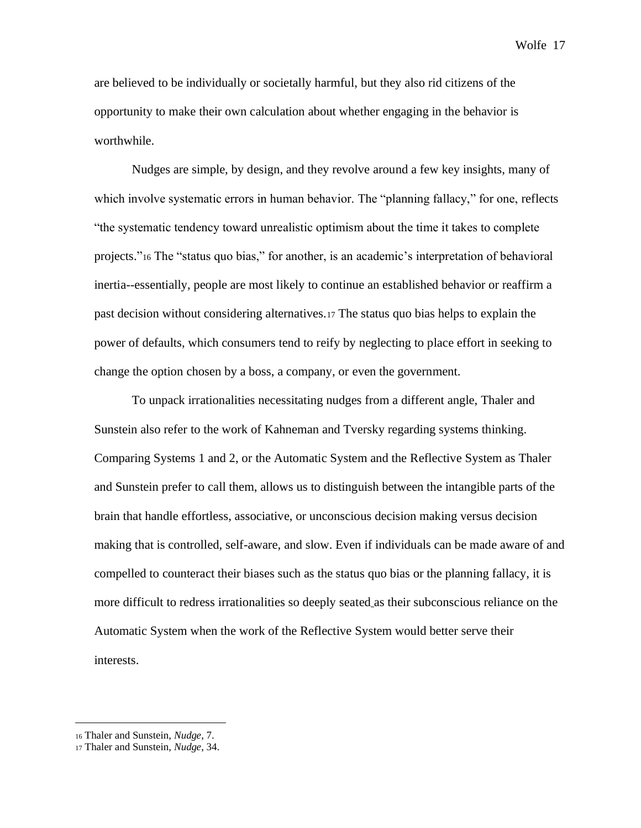are believed to be individually or societally harmful, but they also rid citizens of the opportunity to make their own calculation about whether engaging in the behavior is worthwhile.

Nudges are simple, by design, and they revolve around a few key insights, many of which involve systematic errors in human behavior. The "planning fallacy," for one, reflects "the systematic tendency toward unrealistic optimism about the time it takes to complete projects."<sup>16</sup> The "status quo bias," for another, is an academic's interpretation of behavioral inertia--essentially, people are most likely to continue an established behavior or reaffirm a past decision without considering alternatives.<sup>17</sup> The status quo bias helps to explain the power of defaults, which consumers tend to reify by neglecting to place effort in seeking to change the option chosen by a boss, a company, or even the government.

To unpack irrationalities necessitating nudges from a different angle, Thaler and Sunstein also refer to the work of Kahneman and Tversky regarding systems thinking. Comparing Systems 1 and 2, or the Automatic System and the Reflective System as Thaler and Sunstein prefer to call them, allows us to distinguish between the intangible parts of the brain that handle effortless, associative, or unconscious decision making versus decision making that is controlled, self-aware, and slow. Even if individuals can be made aware of and compelled to counteract their biases such as the status quo bias or the planning fallacy, it is more difficult to redress irrationalities so deeply seated as their subconscious reliance on the Automatic System when the work of the Reflective System would better serve their interests.

<sup>16</sup> Thaler and Sunstein, *Nudge*, 7.

<sup>17</sup> Thaler and Sunstein, *Nudge*, 34.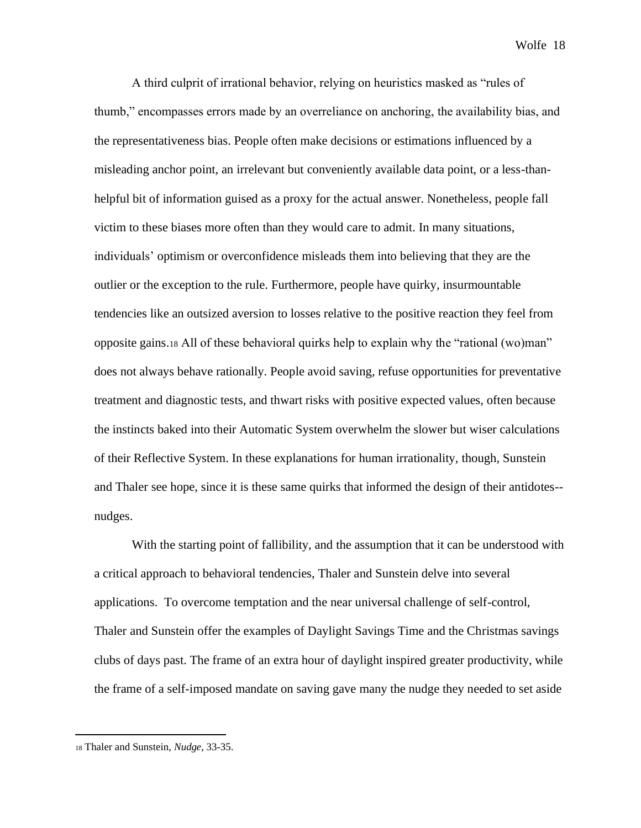A third culprit of irrational behavior, relying on heuristics masked as "rules of thumb," encompasses errors made by an overreliance on anchoring, the availability bias, and the representativeness bias. People often make decisions or estimations influenced by a misleading anchor point, an irrelevant but conveniently available data point, or a less-thanhelpful bit of information guised as a proxy for the actual answer. Nonetheless, people fall victim to these biases more often than they would care to admit. In many situations, individuals' optimism or overconfidence misleads them into believing that they are the outlier or the exception to the rule. Furthermore, people have quirky, insurmountable tendencies like an outsized aversion to losses relative to the positive reaction they feel from opposite gains.<sup>18</sup> All of these behavioral quirks help to explain why the "rational (wo)man" does not always behave rationally. People avoid saving, refuse opportunities for preventative treatment and diagnostic tests, and thwart risks with positive expected values, often because the instincts baked into their Automatic System overwhelm the slower but wiser calculations of their Reflective System. In these explanations for human irrationality, though, Sunstein and Thaler see hope, since it is these same quirks that informed the design of their antidotes- nudges.

With the starting point of fallibility, and the assumption that it can be understood with a critical approach to behavioral tendencies, Thaler and Sunstein delve into several applications. To overcome temptation and the near universal challenge of self-control, Thaler and Sunstein offer the examples of Daylight Savings Time and the Christmas savings clubs of days past. The frame of an extra hour of daylight inspired greater productivity, while the frame of a self-imposed mandate on saving gave many the nudge they needed to set aside

<sup>18</sup> Thaler and Sunstein, *Nudge*, 33-35.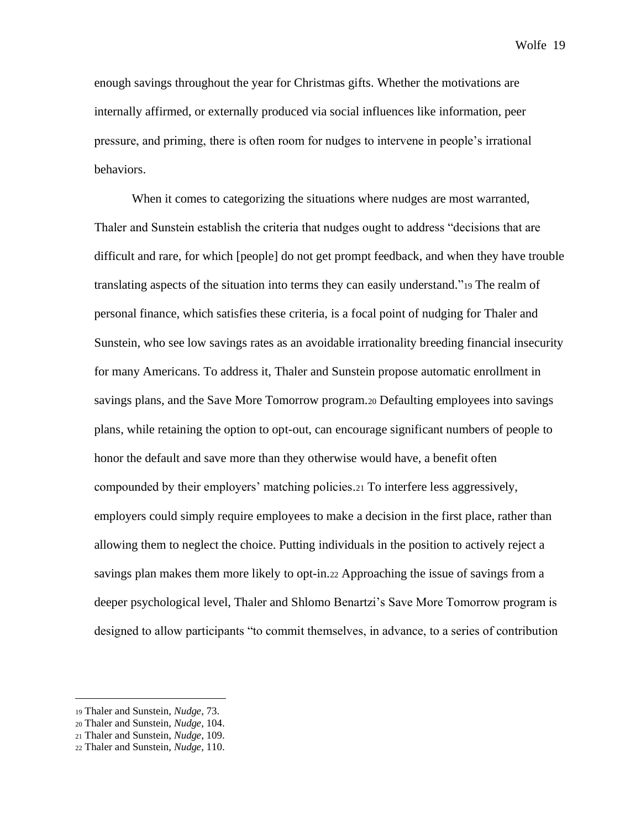enough savings throughout the year for Christmas gifts. Whether the motivations are internally affirmed, or externally produced via social influences like information, peer pressure, and priming, there is often room for nudges to intervene in people's irrational behaviors.

When it comes to categorizing the situations where nudges are most warranted, Thaler and Sunstein establish the criteria that nudges ought to address "decisions that are difficult and rare, for which [people] do not get prompt feedback, and when they have trouble translating aspects of the situation into terms they can easily understand."<sup>19</sup> The realm of personal finance, which satisfies these criteria, is a focal point of nudging for Thaler and Sunstein, who see low savings rates as an avoidable irrationality breeding financial insecurity for many Americans. To address it, Thaler and Sunstein propose automatic enrollment in savings plans, and the Save More Tomorrow program.<sup>20</sup> Defaulting employees into savings plans, while retaining the option to opt-out, can encourage significant numbers of people to honor the default and save more than they otherwise would have, a benefit often compounded by their employers' matching policies.<sup>21</sup> To interfere less aggressively, employers could simply require employees to make a decision in the first place, rather than allowing them to neglect the choice. Putting individuals in the position to actively reject a savings plan makes them more likely to opt-in.<sup>22</sup> Approaching the issue of savings from a deeper psychological level, Thaler and Shlomo Benartzi's Save More Tomorrow program is designed to allow participants "to commit themselves, in advance, to a series of contribution

<sup>19</sup> Thaler and Sunstein, *Nudge*, 73.

<sup>20</sup> Thaler and Sunstein, *Nudge*, 104.

<sup>21</sup> Thaler and Sunstein, *Nudge*, 109.

<sup>22</sup> Thaler and Sunstein, *Nudge*, 110.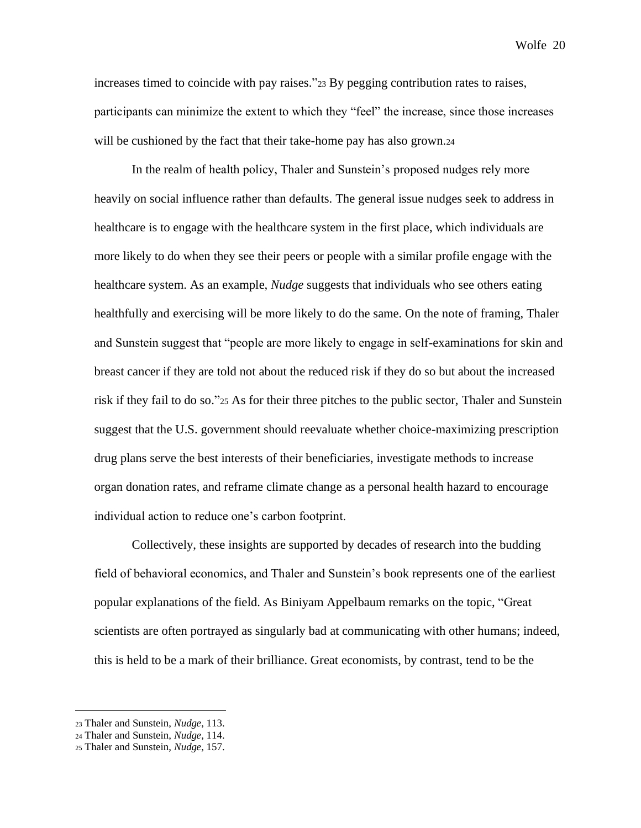increases timed to coincide with pay raises."<sup>23</sup> By pegging contribution rates to raises, participants can minimize the extent to which they "feel" the increase, since those increases will be cushioned by the fact that their take-home pay has also grown.24

In the realm of health policy, Thaler and Sunstein's proposed nudges rely more heavily on social influence rather than defaults. The general issue nudges seek to address in healthcare is to engage with the healthcare system in the first place, which individuals are more likely to do when they see their peers or people with a similar profile engage with the healthcare system. As an example, *Nudge* suggests that individuals who see others eating healthfully and exercising will be more likely to do the same. On the note of framing, Thaler and Sunstein suggest that "people are more likely to engage in self-examinations for skin and breast cancer if they are told not about the reduced risk if they do so but about the increased risk if they fail to do so."<sup>25</sup> As for their three pitches to the public sector, Thaler and Sunstein suggest that the U.S. government should reevaluate whether choice-maximizing prescription drug plans serve the best interests of their beneficiaries, investigate methods to increase organ donation rates, and reframe climate change as a personal health hazard to encourage individual action to reduce one's carbon footprint.

Collectively, these insights are supported by decades of research into the budding field of behavioral economics, and Thaler and Sunstein's book represents one of the earliest popular explanations of the field. As Biniyam Appelbaum remarks on the topic, "Great scientists are often portrayed as singularly bad at communicating with other humans; indeed, this is held to be a mark of their brilliance. Great economists, by contrast, tend to be the

<sup>23</sup> Thaler and Sunstein, *Nudge*, 113.

<sup>24</sup> Thaler and Sunstein, *Nudge*, 114.

<sup>25</sup> Thaler and Sunstein, *Nudge*, 157.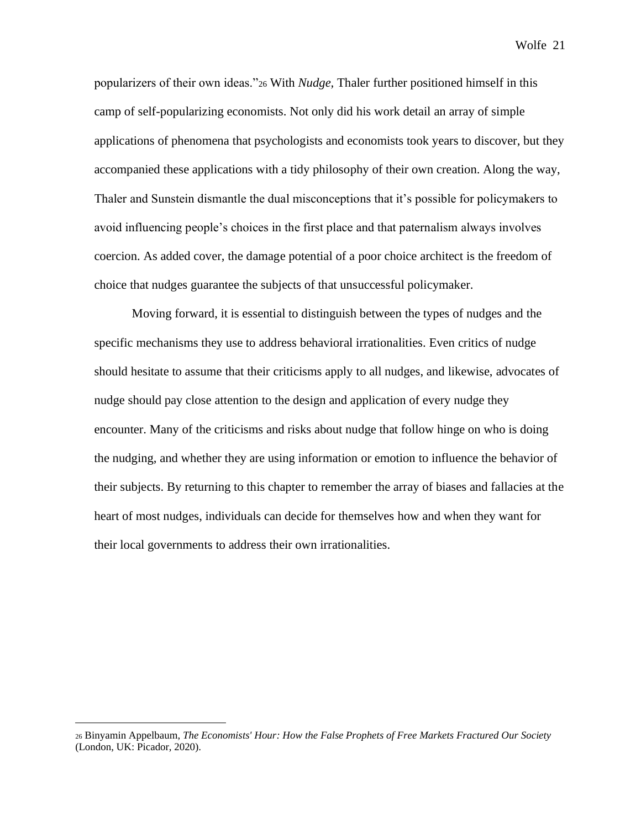popularizers of their own ideas."<sup>26</sup> With *Nudge,* Thaler further positioned himself in this camp of self-popularizing economists. Not only did his work detail an array of simple applications of phenomena that psychologists and economists took years to discover, but they accompanied these applications with a tidy philosophy of their own creation. Along the way, Thaler and Sunstein dismantle the dual misconceptions that it's possible for policymakers to avoid influencing people's choices in the first place and that paternalism always involves coercion. As added cover, the damage potential of a poor choice architect is the freedom of choice that nudges guarantee the subjects of that unsuccessful policymaker.

Moving forward, it is essential to distinguish between the types of nudges and the specific mechanisms they use to address behavioral irrationalities. Even critics of nudge should hesitate to assume that their criticisms apply to all nudges, and likewise, advocates of nudge should pay close attention to the design and application of every nudge they encounter. Many of the criticisms and risks about nudge that follow hinge on who is doing the nudging, and whether they are using information or emotion to influence the behavior of their subjects. By returning to this chapter to remember the array of biases and fallacies at the heart of most nudges, individuals can decide for themselves how and when they want for their local governments to address their own irrationalities.

<sup>26</sup> Binyamin Appelbaum, *The Economists' Hour: How the False Prophets of Free Markets Fractured Our Society* (London, UK: Picador, 2020).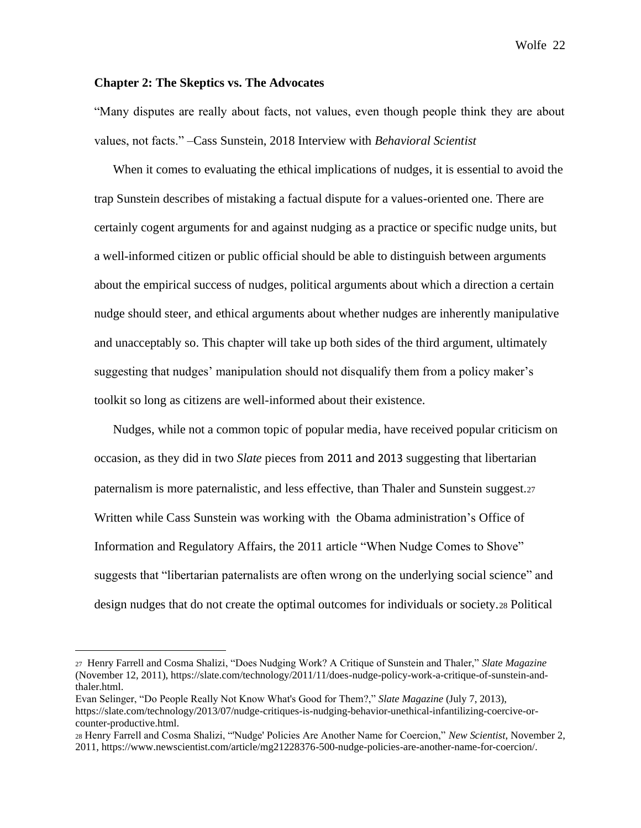### **Chapter 2: The Skeptics vs. The Advocates**

"Many disputes are really about facts, not values, even though people think they are about values, not facts." –Cass Sunstein, 2018 Interview with *Behavioral Scientist*

When it comes to evaluating the ethical implications of nudges, it is essential to avoid the trap Sunstein describes of mistaking a factual dispute for a values-oriented one. There are certainly cogent arguments for and against nudging as a practice or specific nudge units, but a well-informed citizen or public official should be able to distinguish between arguments about the empirical success of nudges, political arguments about which a direction a certain nudge should steer, and ethical arguments about whether nudges are inherently manipulative and unacceptably so. This chapter will take up both sides of the third argument, ultimately suggesting that nudges' manipulation should not disqualify them from a policy maker's toolkit so long as citizens are well-informed about their existence.

Nudges, while not a common topic of popular media, have received popular criticism on occasion, as they did in two *Slate* pieces from 2011 and 2013 suggesting that libertarian paternalism is more paternalistic, and less effective, than Thaler and Sunstein suggest.<sup>27</sup> Written while Cass Sunstein was working with the Obama administration's Office of Information and Regulatory Affairs, the 2011 article "When Nudge Comes to Shove" suggests that "libertarian paternalists are often wrong on the underlying social science" and design nudges that do not create the optimal outcomes for individuals or society.<sup>28</sup> Political

<sup>27</sup> Henry Farrell and Cosma Shalizi, "Does Nudging Work? A Critique of Sunstein and Thaler," *Slate Magazine* (November 12, 2011), https://slate.com/technology/2011/11/does-nudge-policy-work-a-critique-of-sunstein-andthaler.html.

Evan Selinger, "Do People Really Not Know What's Good for Them?," *Slate Magazine* (July 7, 2013), https://slate.com/technology/2013/07/nudge-critiques-is-nudging-behavior-unethical-infantilizing-coercive-orcounter-productive.html.

<sup>28</sup> Henry Farrell and Cosma Shalizi, "'Nudge' Policies Are Another Name for Coercion," *New Scientist*, November 2, 2011, https://www.newscientist.com/article/mg21228376-500-nudge-policies-are-another-name-for-coercion/.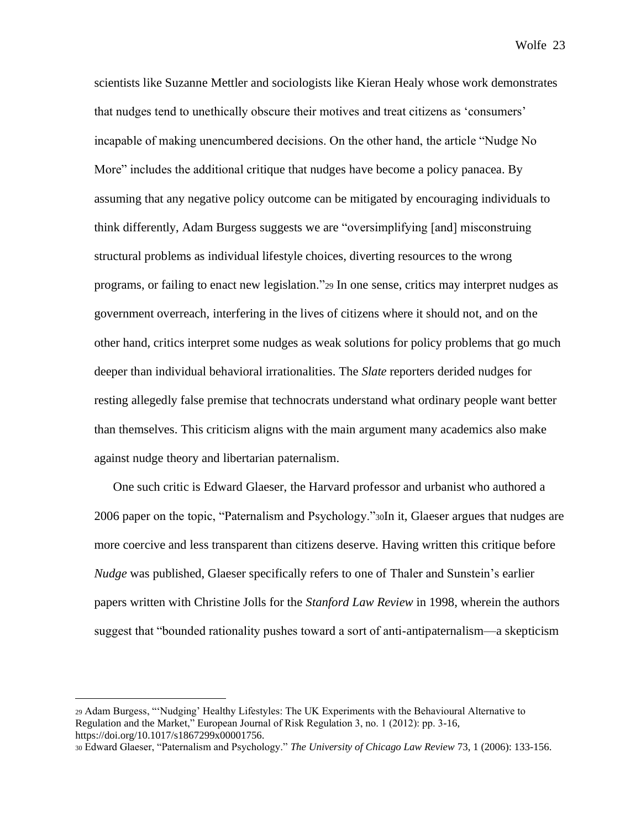scientists like Suzanne Mettler and sociologists like Kieran Healy whose work demonstrates that nudges tend to unethically obscure their motives and treat citizens as 'consumers' incapable of making unencumbered decisions. On the other hand, the article "Nudge No More" includes the additional critique that nudges have become a policy panacea. By assuming that any negative policy outcome can be mitigated by encouraging individuals to think differently, Adam Burgess suggests we are "oversimplifying [and] misconstruing structural problems as individual lifestyle choices, diverting resources to the wrong programs, or failing to enact new legislation."<sup>29</sup> In one sense, critics may interpret nudges as government overreach, interfering in the lives of citizens where it should not, and on the other hand, critics interpret some nudges as weak solutions for policy problems that go much deeper than individual behavioral irrationalities. The *Slate* reporters derided nudges for resting allegedly false premise that technocrats understand what ordinary people want better than themselves. This criticism aligns with the main argument many academics also make against nudge theory and libertarian paternalism.

One such critic is Edward Glaeser, the Harvard professor and urbanist who authored a 2006 paper on the topic, "Paternalism and Psychology."30In it, Glaeser argues that nudges are more coercive and less transparent than citizens deserve. Having written this critique before *Nudge* was published, Glaeser specifically refers to one of Thaler and Sunstein's earlier papers written with Christine Jolls for the *Stanford Law Review* in 1998, wherein the authors suggest that "bounded rationality pushes toward a sort of anti-antipaternalism—a skepticism

<sup>29</sup> Adam Burgess, "'Nudging' Healthy Lifestyles: The UK Experiments with the Behavioural Alternative to Regulation and the Market," European Journal of Risk Regulation 3, no. 1 (2012): pp. 3-16, https://doi.org/10.1017/s1867299x00001756.

<sup>30</sup> Edward Glaeser, "Paternalism and Psychology." *The University of Chicago Law Review* 73, 1 (2006): 133-156.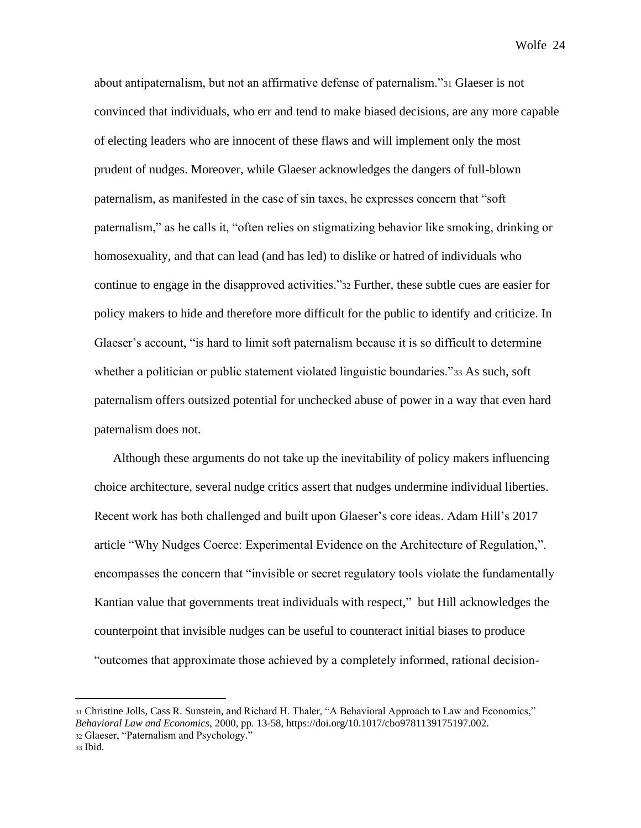about antipaternalism, but not an affirmative defense of paternalism."<sup>31</sup> Glaeser is not convinced that individuals, who err and tend to make biased decisions, are any more capable of electing leaders who are innocent of these flaws and will implement only the most prudent of nudges. Moreover, while Glaeser acknowledges the dangers of full-blown paternalism, as manifested in the case of sin taxes, he expresses concern that "soft paternalism," as he calls it, "often relies on stigmatizing behavior like smoking, drinking or homosexuality, and that can lead (and has led) to dislike or hatred of individuals who continue to engage in the disapproved activities."<sup>32</sup> Further, these subtle cues are easier for policy makers to hide and therefore more difficult for the public to identify and criticize. In Glaeser's account, "is hard to limit soft paternalism because it is so difficult to determine whether a politician or public statement violated linguistic boundaries."33 As such, soft paternalism offers outsized potential for unchecked abuse of power in a way that even hard paternalism does not.

Although these arguments do not take up the inevitability of policy makers influencing choice architecture, several nudge critics assert that nudges undermine individual liberties. Recent work has both challenged and built upon Glaeser's core ideas. Adam Hill's 2017 article "Why Nudges Coerce: Experimental Evidence on the Architecture of Regulation,". encompasses the concern that "invisible or secret regulatory tools violate the fundamentally Kantian value that governments treat individuals with respect," but Hill acknowledges the counterpoint that invisible nudges can be useful to counteract initial biases to produce "outcomes that approximate those achieved by a completely informed, rational decision-

<sup>31</sup> Christine Jolls, Cass R. Sunstein, and Richard H. Thaler, "A Behavioral Approach to Law and Economics," *Behavioral Law and Economics*, 2000, pp. 13-58, https://doi.org/10.1017/cbo9781139175197.002.

<sup>32</sup> Glaeser, "Paternalism and Psychology."

<sup>33</sup> Ibid.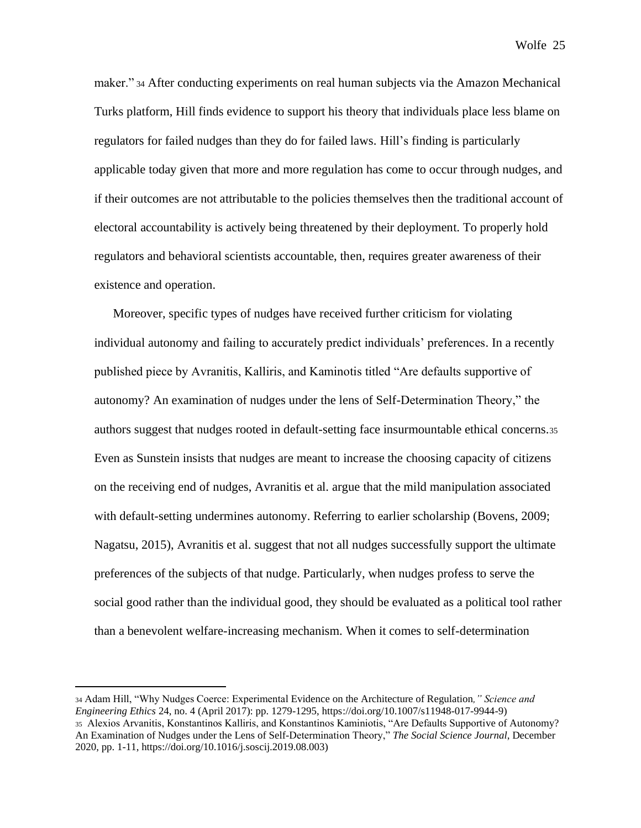maker." <sup>34</sup> After conducting experiments on real human subjects via the Amazon Mechanical Turks platform, Hill finds evidence to support his theory that individuals place less blame on regulators for failed nudges than they do for failed laws. Hill's finding is particularly applicable today given that more and more regulation has come to occur through nudges, and if their outcomes are not attributable to the policies themselves then the traditional account of electoral accountability is actively being threatened by their deployment. To properly hold regulators and behavioral scientists accountable, then, requires greater awareness of their existence and operation.

Moreover, specific types of nudges have received further criticism for violating individual autonomy and failing to accurately predict individuals' preferences. In a recently published piece by Avranitis, Kalliris, and Kaminotis titled "Are defaults supportive of autonomy? An examination of nudges under the lens of Self-Determination Theory," the authors suggest that nudges rooted in default-setting face insurmountable ethical concerns.<sup>35</sup> Even as Sunstein insists that nudges are meant to increase the choosing capacity of citizens on the receiving end of nudges, Avranitis et al. argue that the mild manipulation associated with default-setting undermines autonomy. Referring to earlier scholarship (Bovens, 2009; Nagatsu, 2015), Avranitis et al. suggest that not all nudges successfully support the ultimate preferences of the subjects of that nudge. Particularly, when nudges profess to serve the social good rather than the individual good, they should be evaluated as a political tool rather than a benevolent welfare-increasing mechanism. When it comes to self-determination

<sup>34</sup> Adam Hill, "Why Nudges Coerce: Experimental Evidence on the Architecture of Regulation*," Science and Engineering Ethics* 24, no. 4 (April 2017): pp. 1279-1295, https://doi.org/10.1007/s11948-017-9944-9) <sup>35</sup> Alexios Arvanitis, Konstantinos Kalliris, and Konstantinos Kaminiotis, "Are Defaults Supportive of Autonomy? An Examination of Nudges under the Lens of Self-Determination Theory," *The Social Science Journal*, December 2020, pp. 1-11, https://doi.org/10.1016/j.soscij.2019.08.003)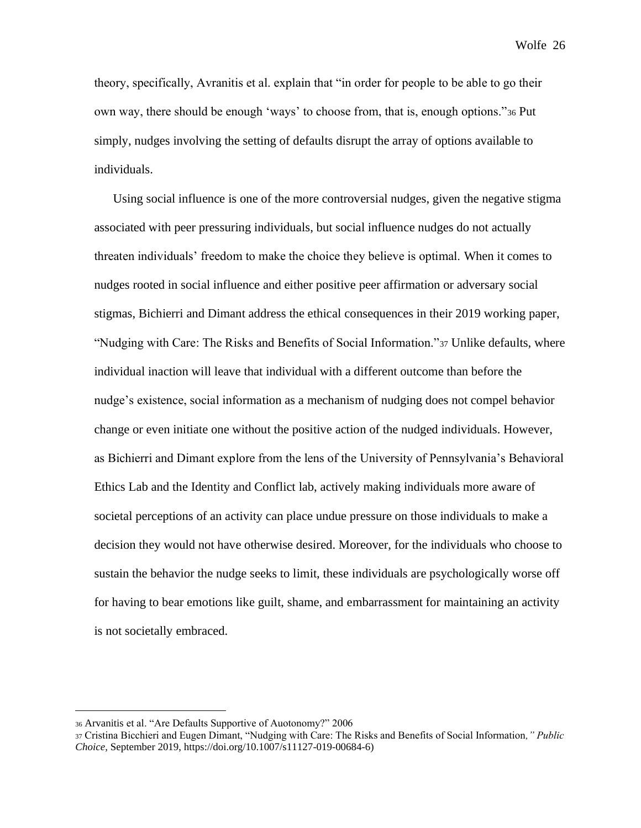theory, specifically, Avranitis et al. explain that "in order for people to be able to go their own way, there should be enough 'ways' to choose from, that is, enough options."<sup>36</sup> Put simply, nudges involving the setting of defaults disrupt the array of options available to individuals.

Using social influence is one of the more controversial nudges, given the negative stigma associated with peer pressuring individuals, but social influence nudges do not actually threaten individuals' freedom to make the choice they believe is optimal. When it comes to nudges rooted in social influence and either positive peer affirmation or adversary social stigmas, Bichierri and Dimant address the ethical consequences in their 2019 working paper, "Nudging with Care: The Risks and Benefits of Social Information."<sup>37</sup> Unlike defaults, where individual inaction will leave that individual with a different outcome than before the nudge's existence, social information as a mechanism of nudging does not compel behavior change or even initiate one without the positive action of the nudged individuals. However, as Bichierri and Dimant explore from the lens of the University of Pennsylvania's Behavioral Ethics Lab and the Identity and Conflict lab, actively making individuals more aware of societal perceptions of an activity can place undue pressure on those individuals to make a decision they would not have otherwise desired. Moreover, for the individuals who choose to sustain the behavior the nudge seeks to limit, these individuals are psychologically worse off for having to bear emotions like guilt, shame, and embarrassment for maintaining an activity is not societally embraced.

<sup>36</sup> Arvanitis et al. "Are Defaults Supportive of Auotonomy?" 2006

<sup>37</sup> Cristina Bicchieri and Eugen Dimant, "Nudging with Care: The Risks and Benefits of Social Information*," Public Choice*, September 2019, https://doi.org/10.1007/s11127-019-00684-6)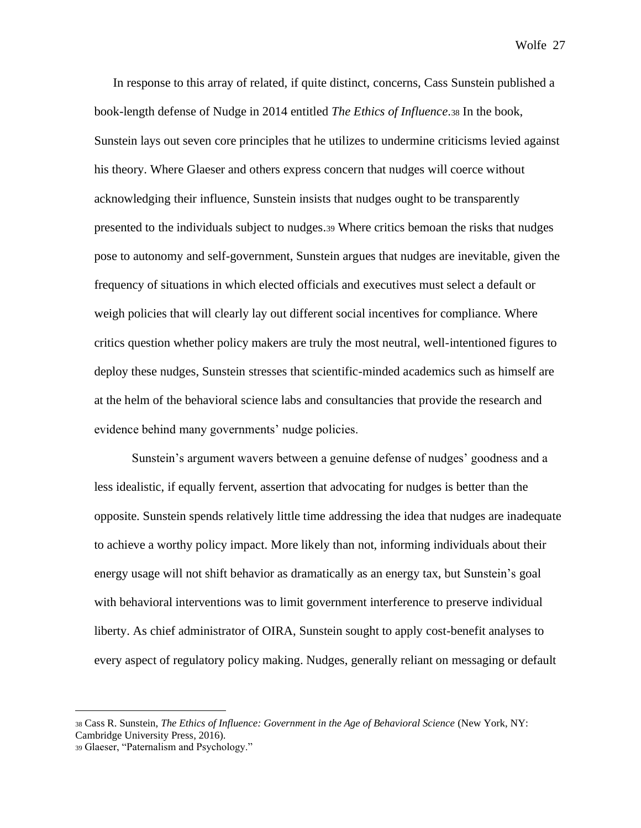In response to this array of related, if quite distinct, concerns, Cass Sunstein published a book-length defense of Nudge in 2014 entitled *The Ethics of Influence*.<sup>38</sup> In the book, Sunstein lays out seven core principles that he utilizes to undermine criticisms levied against his theory. Where Glaeser and others express concern that nudges will coerce without acknowledging their influence, Sunstein insists that nudges ought to be transparently presented to the individuals subject to nudges.<sup>39</sup> Where critics bemoan the risks that nudges pose to autonomy and self-government, Sunstein argues that nudges are inevitable, given the frequency of situations in which elected officials and executives must select a default or weigh policies that will clearly lay out different social incentives for compliance. Where critics question whether policy makers are truly the most neutral, well-intentioned figures to deploy these nudges, Sunstein stresses that scientific-minded academics such as himself are at the helm of the behavioral science labs and consultancies that provide the research and evidence behind many governments' nudge policies.

Sunstein's argument wavers between a genuine defense of nudges' goodness and a less idealistic, if equally fervent, assertion that advocating for nudges is better than the opposite. Sunstein spends relatively little time addressing the idea that nudges are inadequate to achieve a worthy policy impact. More likely than not, informing individuals about their energy usage will not shift behavior as dramatically as an energy tax, but Sunstein's goal with behavioral interventions was to limit government interference to preserve individual liberty. As chief administrator of OIRA, Sunstein sought to apply cost-benefit analyses to every aspect of regulatory policy making. Nudges, generally reliant on messaging or default

<sup>38</sup> Cass R. Sunstein, *The Ethics of Influence: Government in the Age of Behavioral Science* (New York, NY: Cambridge University Press, 2016).

<sup>39</sup> Glaeser, "Paternalism and Psychology."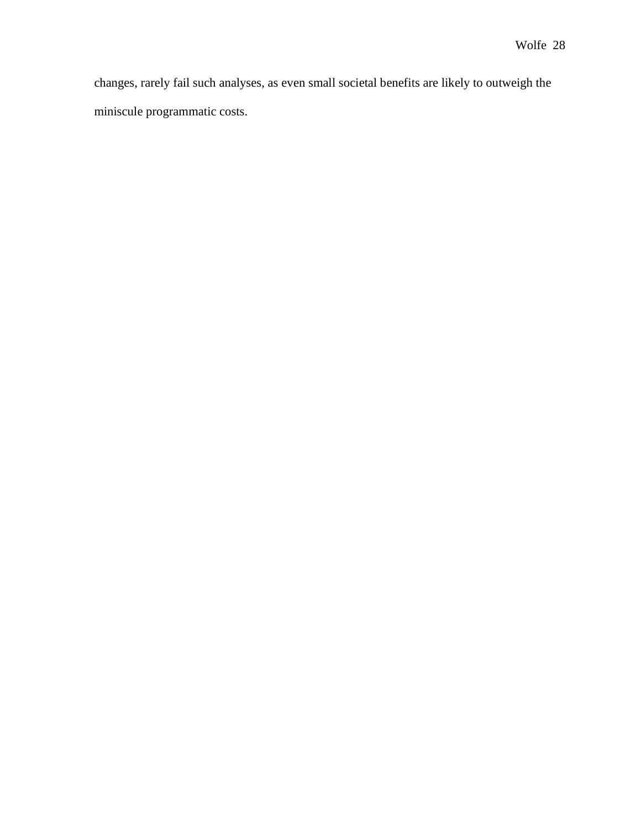changes, rarely fail such analyses, as even small societal benefits are likely to outweigh the miniscule programmatic costs.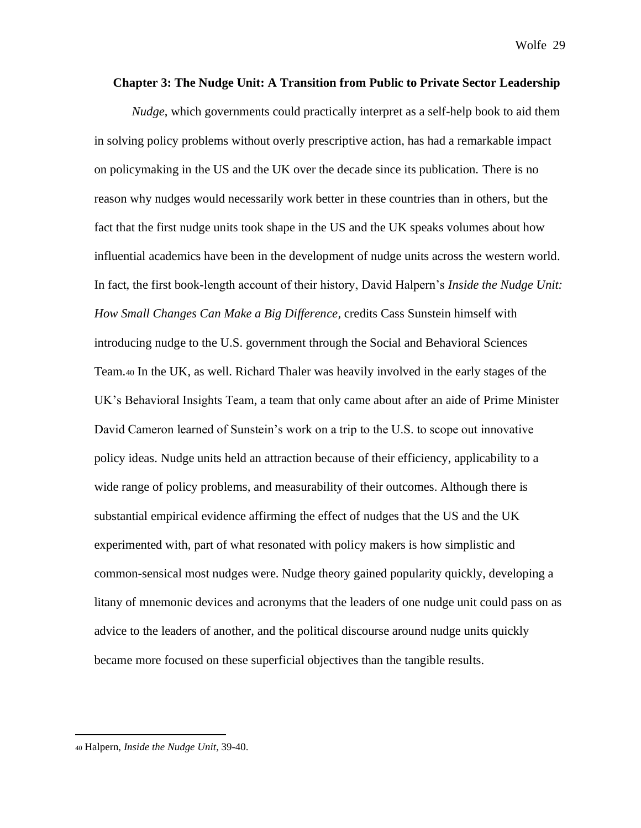#### **Chapter 3: The Nudge Unit: A Transition from Public to Private Sector Leadership**

*Nudge*, which governments could practically interpret as a self-help book to aid them in solving policy problems without overly prescriptive action, has had a remarkable impact on policymaking in the US and the UK over the decade since its publication. There is no reason why nudges would necessarily work better in these countries than in others, but the fact that the first nudge units took shape in the US and the UK speaks volumes about how influential academics have been in the development of nudge units across the western world. In fact, the first book-length account of their history, David Halpern's *Inside the Nudge Unit: How Small Changes Can Make a Big Difference,* credits Cass Sunstein himself with introducing nudge to the U.S. government through the Social and Behavioral Sciences Team.<sup>40</sup> In the UK, as well. Richard Thaler was heavily involved in the early stages of the UK's Behavioral Insights Team, a team that only came about after an aide of Prime Minister David Cameron learned of Sunstein's work on a trip to the U.S. to scope out innovative policy ideas. Nudge units held an attraction because of their efficiency, applicability to a wide range of policy problems, and measurability of their outcomes. Although there is substantial empirical evidence affirming the effect of nudges that the US and the UK experimented with, part of what resonated with policy makers is how simplistic and common-sensical most nudges were. Nudge theory gained popularity quickly, developing a litany of mnemonic devices and acronyms that the leaders of one nudge unit could pass on as advice to the leaders of another, and the political discourse around nudge units quickly became more focused on these superficial objectives than the tangible results.

<sup>40</sup> Halpern, *Inside the Nudge Unit*, 39-40.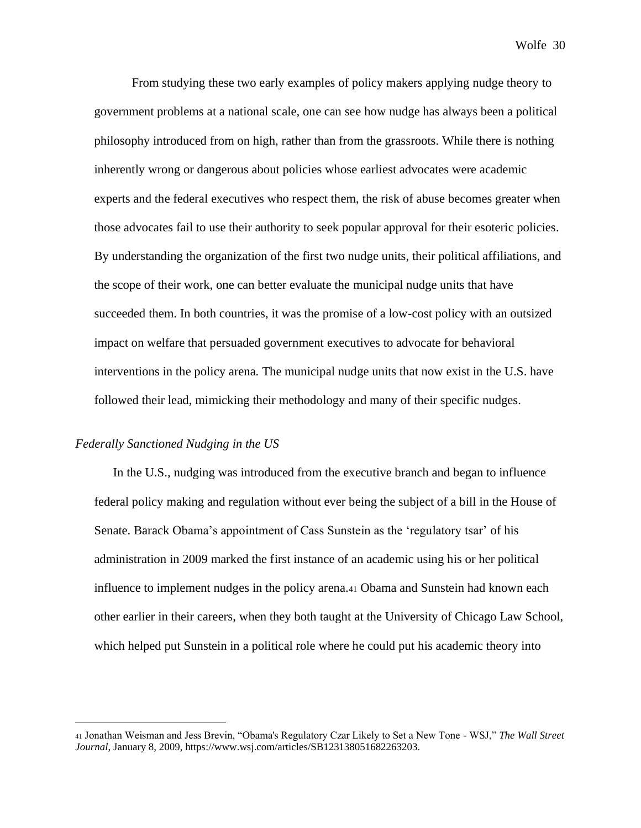From studying these two early examples of policy makers applying nudge theory to government problems at a national scale, one can see how nudge has always been a political philosophy introduced from on high, rather than from the grassroots. While there is nothing inherently wrong or dangerous about policies whose earliest advocates were academic experts and the federal executives who respect them, the risk of abuse becomes greater when those advocates fail to use their authority to seek popular approval for their esoteric policies. By understanding the organization of the first two nudge units, their political affiliations, and the scope of their work, one can better evaluate the municipal nudge units that have succeeded them. In both countries, it was the promise of a low-cost policy with an outsized impact on welfare that persuaded government executives to advocate for behavioral interventions in the policy arena. The municipal nudge units that now exist in the U.S. have followed their lead, mimicking their methodology and many of their specific nudges.

#### *Federally Sanctioned Nudging in the US*

In the U.S., nudging was introduced from the executive branch and began to influence federal policy making and regulation without ever being the subject of a bill in the House of Senate. Barack Obama's appointment of Cass Sunstein as the 'regulatory tsar' of his administration in 2009 marked the first instance of an academic using his or her political influence to implement nudges in the policy arena.<sup>41</sup> Obama and Sunstein had known each other earlier in their careers, when they both taught at the University of Chicago Law School, which helped put Sunstein in a political role where he could put his academic theory into

<sup>41</sup> Jonathan Weisman and Jess Brevin, "Obama's Regulatory Czar Likely to Set a New Tone - WSJ," *The Wall Street Journal*, January 8, 2009, https://www.wsj.com/articles/SB123138051682263203.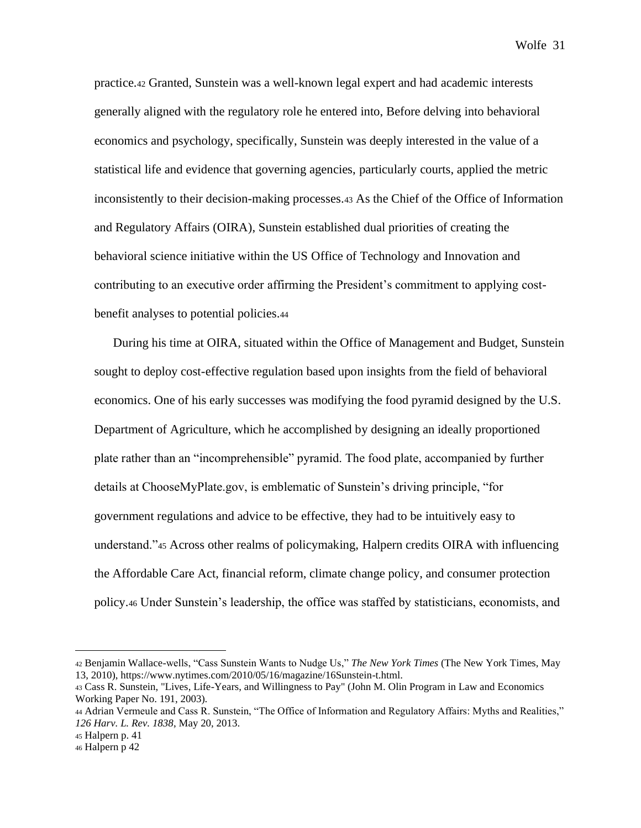practice.<sup>42</sup> Granted, Sunstein was a well-known legal expert and had academic interests generally aligned with the regulatory role he entered into, Before delving into behavioral economics and psychology, specifically, Sunstein was deeply interested in the value of a statistical life and evidence that governing agencies, particularly courts, applied the metric inconsistently to their decision-making processes.<sup>43</sup> As the Chief of the Office of Information and Regulatory Affairs (OIRA), Sunstein established dual priorities of creating the behavioral science initiative within the US Office of Technology and Innovation and contributing to an executive order affirming the President's commitment to applying costbenefit analyses to potential policies.<sup>44</sup>

During his time at OIRA, situated within the Office of Management and Budget, Sunstein sought to deploy cost-effective regulation based upon insights from the field of behavioral economics. One of his early successes was modifying the food pyramid designed by the U.S. Department of Agriculture, which he accomplished by designing an ideally proportioned plate rather than an "incomprehensible" pyramid. The food plate, accompanied by further details at ChooseMyPlate.gov, is emblematic of Sunstein's driving principle, "for government regulations and advice to be effective, they had to be intuitively easy to understand."<sup>45</sup> Across other realms of policymaking, Halpern credits OIRA with influencing the Affordable Care Act, financial reform, climate change policy, and consumer protection policy.<sup>46</sup> Under Sunstein's leadership, the office was staffed by statisticians, economists, and

<sup>42</sup> Benjamin Wallace-wells, "Cass Sunstein Wants to Nudge Us," *The New York Times* (The New York Times, May 13, 2010), https://www.nytimes.com/2010/05/16/magazine/16Sunstein-t.html.

<sup>43</sup> Cass R. Sunstein, "Lives, Life-Years, and Willingness to Pay" (John M. Olin Program in Law and Economics Working Paper No. 191, 2003).

<sup>44</sup> Adrian Vermeule and Cass R. Sunstein, "The Office of Information and Regulatory Affairs: Myths and Realities," *126 Harv. L. Rev. 1838*, May 20, 2013.

<sup>45</sup> Halpern p. 41

<sup>46</sup> Halpern p 42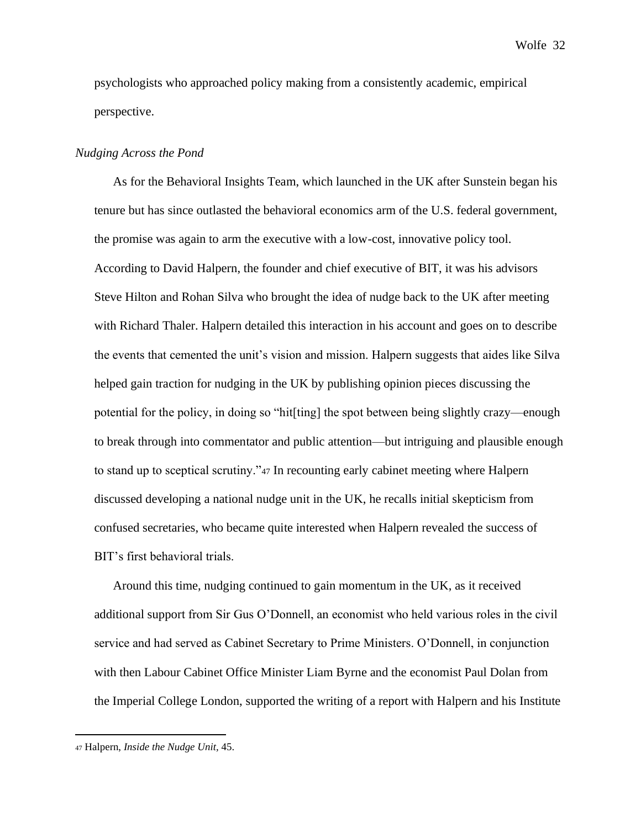psychologists who approached policy making from a consistently academic, empirical perspective.

## *Nudging Across the Pond*

As for the Behavioral Insights Team, which launched in the UK after Sunstein began his tenure but has since outlasted the behavioral economics arm of the U.S. federal government, the promise was again to arm the executive with a low-cost, innovative policy tool. According to David Halpern, the founder and chief executive of BIT, it was his advisors Steve Hilton and Rohan Silva who brought the idea of nudge back to the UK after meeting with Richard Thaler. Halpern detailed this interaction in his account and goes on to describe the events that cemented the unit's vision and mission. Halpern suggests that aides like Silva helped gain traction for nudging in the UK by publishing opinion pieces discussing the potential for the policy, in doing so "hit[ting] the spot between being slightly crazy—enough to break through into commentator and public attention—but intriguing and plausible enough to stand up to sceptical scrutiny."<sup>47</sup> In recounting early cabinet meeting where Halpern discussed developing a national nudge unit in the UK, he recalls initial skepticism from confused secretaries, who became quite interested when Halpern revealed the success of BIT's first behavioral trials.

Around this time, nudging continued to gain momentum in the UK, as it received additional support from Sir Gus O'Donnell, an economist who held various roles in the civil service and had served as Cabinet Secretary to Prime Ministers. O'Donnell, in conjunction with then Labour Cabinet Office Minister Liam Byrne and the economist Paul Dolan from the Imperial College London, supported the writing of a report with Halpern and his Institute

<sup>47</sup> Halpern, *Inside the Nudge Unit,* 45.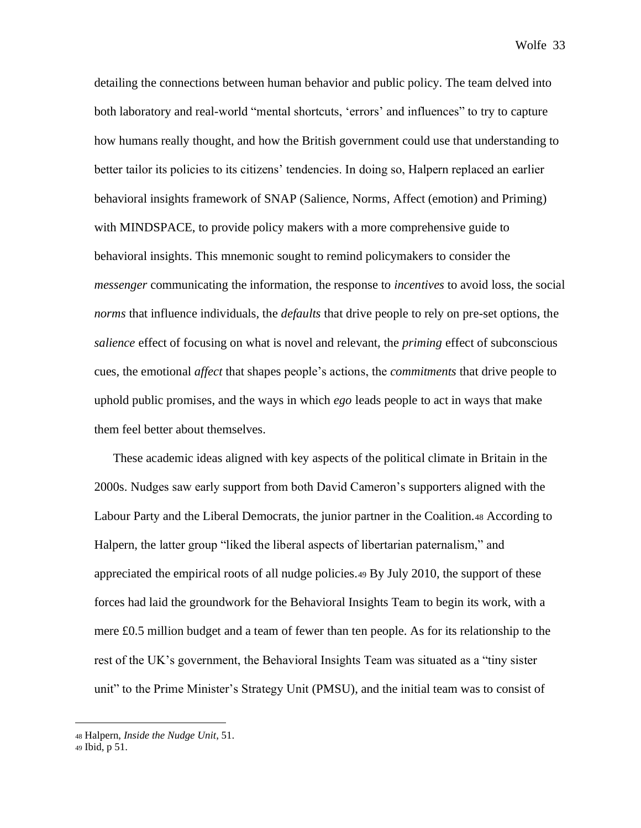detailing the connections between human behavior and public policy. The team delved into both laboratory and real-world "mental shortcuts, 'errors' and influences" to try to capture how humans really thought, and how the British government could use that understanding to better tailor its policies to its citizens' tendencies. In doing so, Halpern replaced an earlier behavioral insights framework of SNAP (Salience, Norms, Affect (emotion) and Priming) with MINDSPACE, to provide policy makers with a more comprehensive guide to behavioral insights. This mnemonic sought to remind policymakers to consider the *messenger* communicating the information, the response to *incentives* to avoid loss, the social *norms* that influence individuals, the *defaults* that drive people to rely on pre-set options, the *salience* effect of focusing on what is novel and relevant, the *priming* effect of subconscious cues, the emotional *affect* that shapes people's actions, the *commitments* that drive people to uphold public promises, and the ways in which *ego* leads people to act in ways that make them feel better about themselves.

These academic ideas aligned with key aspects of the political climate in Britain in the 2000s. Nudges saw early support from both David Cameron's supporters aligned with the Labour Party and the Liberal Democrats, the junior partner in the Coalition.<sup>48</sup> According to Halpern, the latter group "liked the liberal aspects of libertarian paternalism," and appreciated the empirical roots of all nudge policies.<sup>49</sup> By July 2010, the support of these forces had laid the groundwork for the Behavioral Insights Team to begin its work, with a mere £0.5 million budget and a team of fewer than ten people. As for its relationship to the rest of the UK's government, the Behavioral Insights Team was situated as a "tiny sister unit" to the Prime Minister's Strategy Unit (PMSU), and the initial team was to consist of

<sup>48</sup> Halpern, *Inside the Nudge Unit*, 51.

<sup>49</sup> Ibid, p 51.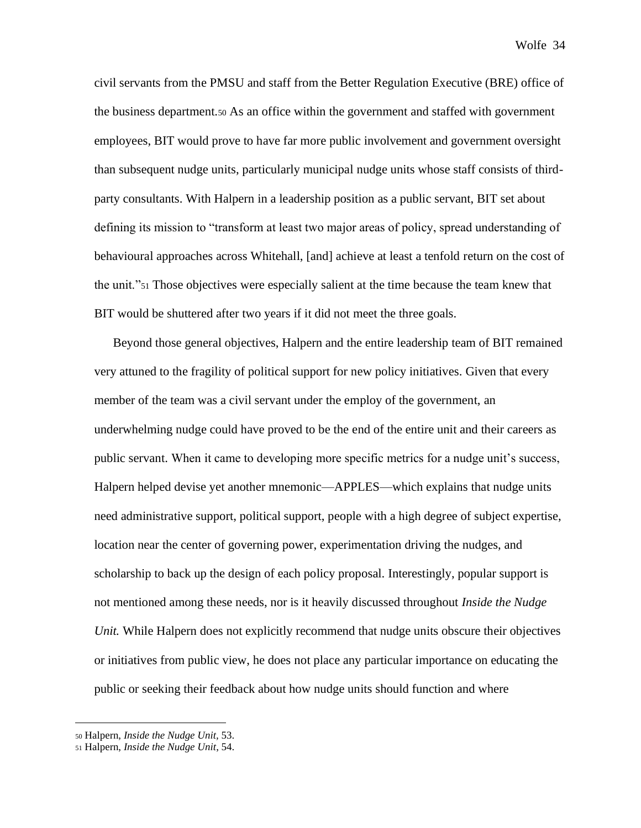civil servants from the PMSU and staff from the Better Regulation Executive (BRE) office of the business department.<sup>50</sup> As an office within the government and staffed with government employees, BIT would prove to have far more public involvement and government oversight than subsequent nudge units, particularly municipal nudge units whose staff consists of thirdparty consultants. With Halpern in a leadership position as a public servant, BIT set about defining its mission to "transform at least two major areas of policy, spread understanding of behavioural approaches across Whitehall, [and] achieve at least a tenfold return on the cost of the unit."<sup>51</sup> Those objectives were especially salient at the time because the team knew that BIT would be shuttered after two years if it did not meet the three goals.

Beyond those general objectives, Halpern and the entire leadership team of BIT remained very attuned to the fragility of political support for new policy initiatives. Given that every member of the team was a civil servant under the employ of the government, an underwhelming nudge could have proved to be the end of the entire unit and their careers as public servant. When it came to developing more specific metrics for a nudge unit's success, Halpern helped devise yet another mnemonic—APPLES—which explains that nudge units need administrative support, political support, people with a high degree of subject expertise, location near the center of governing power, experimentation driving the nudges, and scholarship to back up the design of each policy proposal. Interestingly, popular support is not mentioned among these needs, nor is it heavily discussed throughout *Inside the Nudge Unit.* While Halpern does not explicitly recommend that nudge units obscure their objectives or initiatives from public view, he does not place any particular importance on educating the public or seeking their feedback about how nudge units should function and where

<sup>50</sup> Halpern, *Inside the Nudge Unit,* 53.

<sup>51</sup> Halpern, *Inside the Nudge Unit*, 54.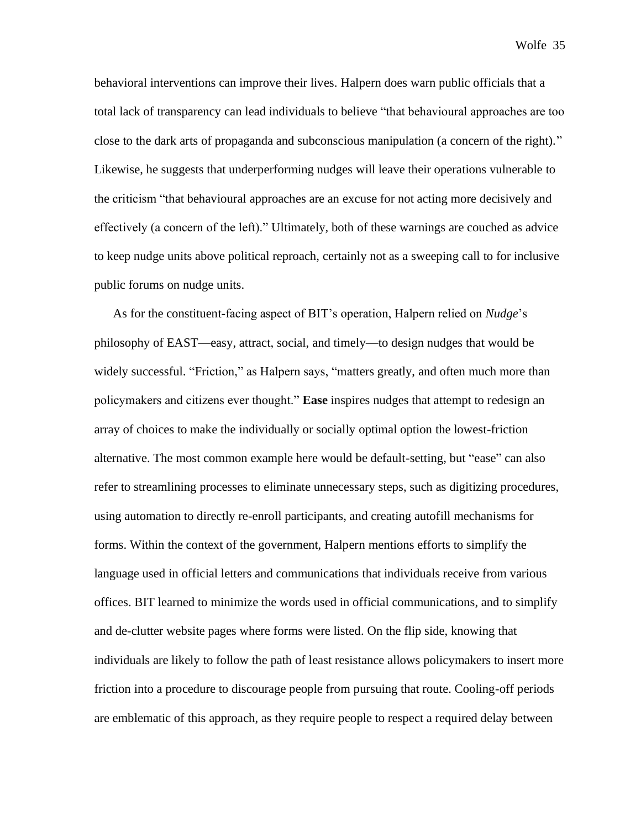behavioral interventions can improve their lives. Halpern does warn public officials that a total lack of transparency can lead individuals to believe "that behavioural approaches are too close to the dark arts of propaganda and subconscious manipulation (a concern of the right)." Likewise, he suggests that underperforming nudges will leave their operations vulnerable to the criticism "that behavioural approaches are an excuse for not acting more decisively and effectively (a concern of the left)." Ultimately, both of these warnings are couched as advice to keep nudge units above political reproach, certainly not as a sweeping call to for inclusive public forums on nudge units.

As for the constituent-facing aspect of BIT's operation, Halpern relied on *Nudge*'s philosophy of EAST—easy, attract, social, and timely—to design nudges that would be widely successful. "Friction," as Halpern says, "matters greatly, and often much more than policymakers and citizens ever thought." **Ease** inspires nudges that attempt to redesign an array of choices to make the individually or socially optimal option the lowest-friction alternative. The most common example here would be default-setting, but "ease" can also refer to streamlining processes to eliminate unnecessary steps, such as digitizing procedures, using automation to directly re-enroll participants, and creating autofill mechanisms for forms. Within the context of the government, Halpern mentions efforts to simplify the language used in official letters and communications that individuals receive from various offices. BIT learned to minimize the words used in official communications, and to simplify and de-clutter website pages where forms were listed. On the flip side, knowing that individuals are likely to follow the path of least resistance allows policymakers to insert more friction into a procedure to discourage people from pursuing that route. Cooling-off periods are emblematic of this approach, as they require people to respect a required delay between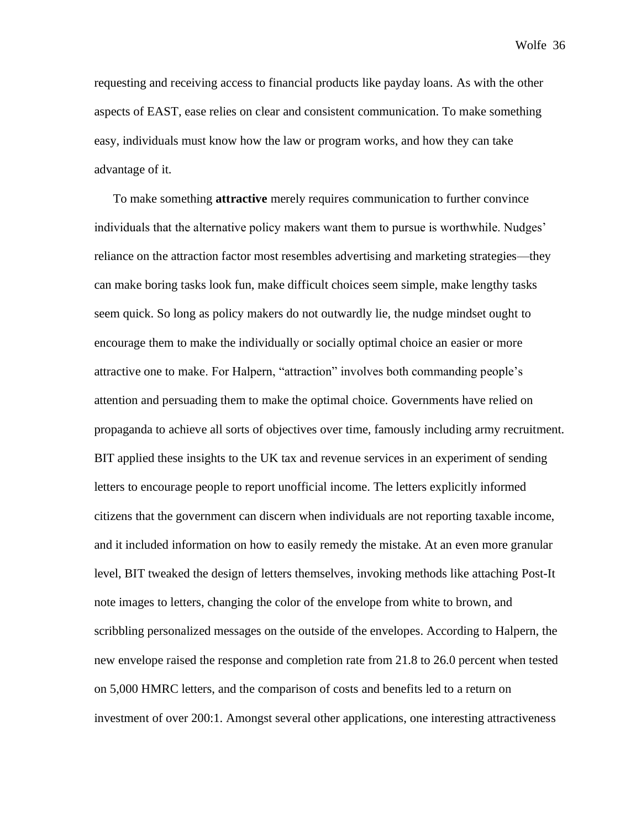requesting and receiving access to financial products like payday loans. As with the other aspects of EAST, ease relies on clear and consistent communication. To make something easy, individuals must know how the law or program works, and how they can take advantage of it.

To make something **attractive** merely requires communication to further convince individuals that the alternative policy makers want them to pursue is worthwhile. Nudges' reliance on the attraction factor most resembles advertising and marketing strategies—they can make boring tasks look fun, make difficult choices seem simple, make lengthy tasks seem quick. So long as policy makers do not outwardly lie, the nudge mindset ought to encourage them to make the individually or socially optimal choice an easier or more attractive one to make. For Halpern, "attraction" involves both commanding people's attention and persuading them to make the optimal choice. Governments have relied on propaganda to achieve all sorts of objectives over time, famously including army recruitment. BIT applied these insights to the UK tax and revenue services in an experiment of sending letters to encourage people to report unofficial income. The letters explicitly informed citizens that the government can discern when individuals are not reporting taxable income, and it included information on how to easily remedy the mistake. At an even more granular level, BIT tweaked the design of letters themselves, invoking methods like attaching Post-It note images to letters, changing the color of the envelope from white to brown, and scribbling personalized messages on the outside of the envelopes. According to Halpern, the new envelope raised the response and completion rate from 21.8 to 26.0 percent when tested on 5,000 HMRC letters, and the comparison of costs and benefits led to a return on investment of over 200:1. Amongst several other applications, one interesting attractiveness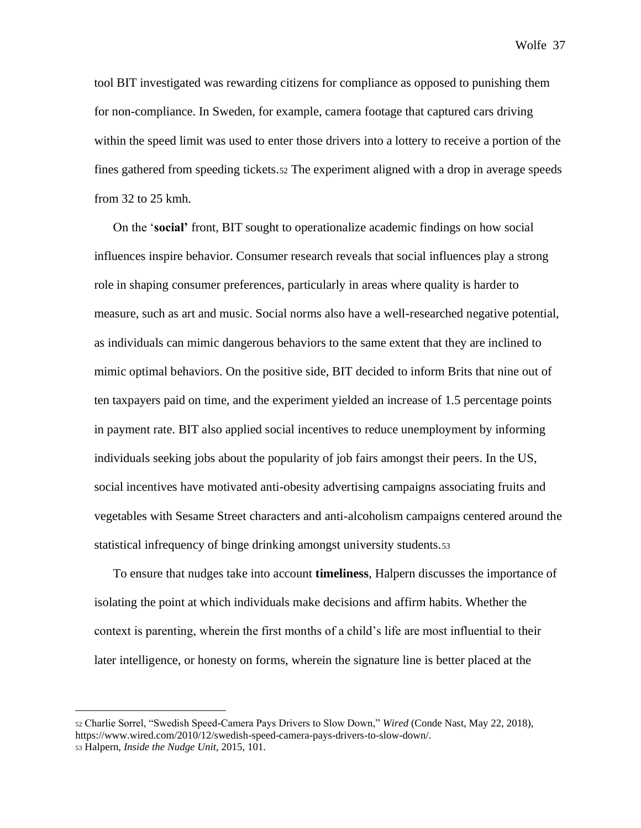tool BIT investigated was rewarding citizens for compliance as opposed to punishing them for non-compliance. In Sweden, for example, camera footage that captured cars driving within the speed limit was used to enter those drivers into a lottery to receive a portion of the fines gathered from speeding tickets.<sup>52</sup> The experiment aligned with a drop in average speeds from 32 to 25 kmh.

On the '**social'** front, BIT sought to operationalize academic findings on how social influences inspire behavior. Consumer research reveals that social influences play a strong role in shaping consumer preferences, particularly in areas where quality is harder to measure, such as art and music. Social norms also have a well-researched negative potential, as individuals can mimic dangerous behaviors to the same extent that they are inclined to mimic optimal behaviors. On the positive side, BIT decided to inform Brits that nine out of ten taxpayers paid on time, and the experiment yielded an increase of 1.5 percentage points in payment rate. BIT also applied social incentives to reduce unemployment by informing individuals seeking jobs about the popularity of job fairs amongst their peers. In the US, social incentives have motivated anti-obesity advertising campaigns associating fruits and vegetables with Sesame Street characters and anti-alcoholism campaigns centered around the statistical infrequency of binge drinking amongst university students.<sup>53</sup>

To ensure that nudges take into account **timeliness**, Halpern discusses the importance of isolating the point at which individuals make decisions and affirm habits. Whether the context is parenting, wherein the first months of a child's life are most influential to their later intelligence, or honesty on forms, wherein the signature line is better placed at the

<sup>52</sup> Charlie Sorrel, "Swedish Speed-Camera Pays Drivers to Slow Down," *Wired* (Conde Nast, May 22, 2018), https://www.wired.com/2010/12/swedish-speed-camera-pays-drivers-to-slow-down/. <sup>53</sup> Halpern, *Inside the Nudge Unit,* 2015, 101.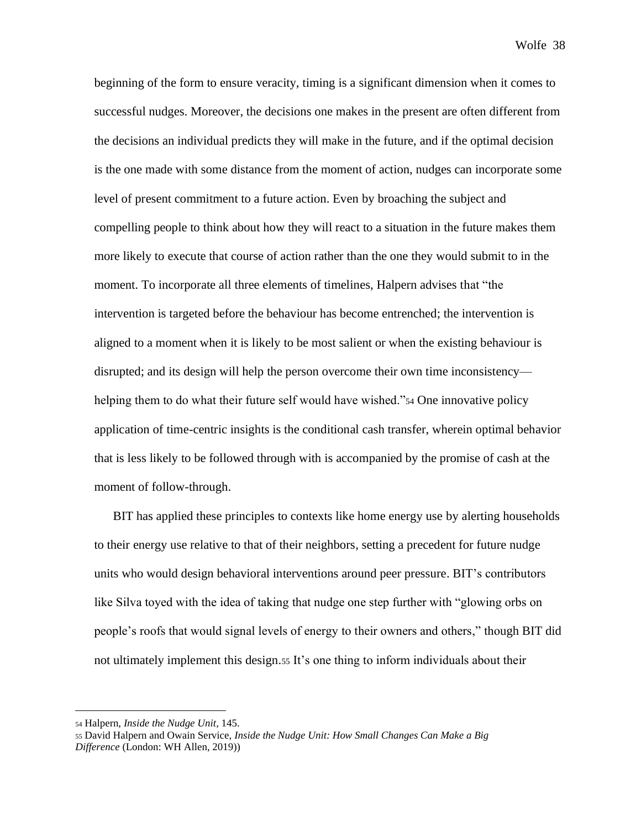beginning of the form to ensure veracity, timing is a significant dimension when it comes to successful nudges. Moreover, the decisions one makes in the present are often different from the decisions an individual predicts they will make in the future, and if the optimal decision is the one made with some distance from the moment of action, nudges can incorporate some level of present commitment to a future action. Even by broaching the subject and compelling people to think about how they will react to a situation in the future makes them more likely to execute that course of action rather than the one they would submit to in the moment. To incorporate all three elements of timelines, Halpern advises that "the intervention is targeted before the behaviour has become entrenched; the intervention is aligned to a moment when it is likely to be most salient or when the existing behaviour is disrupted; and its design will help the person overcome their own time inconsistency helping them to do what their future self would have wished."<sup>54</sup> One innovative policy application of time-centric insights is the conditional cash transfer, wherein optimal behavior that is less likely to be followed through with is accompanied by the promise of cash at the moment of follow-through.

BIT has applied these principles to contexts like home energy use by alerting households to their energy use relative to that of their neighbors, setting a precedent for future nudge units who would design behavioral interventions around peer pressure. BIT's contributors like Silva toyed with the idea of taking that nudge one step further with "glowing orbs on people's roofs that would signal levels of energy to their owners and others," though BIT did not ultimately implement this design.<sup>55</sup> It's one thing to inform individuals about their

<sup>54</sup> Halpern, *Inside the Nudge Unit,* 145.

<sup>55</sup> David Halpern and Owain Service, *Inside the Nudge Unit: How Small Changes Can Make a Big Difference* (London: WH Allen, 2019))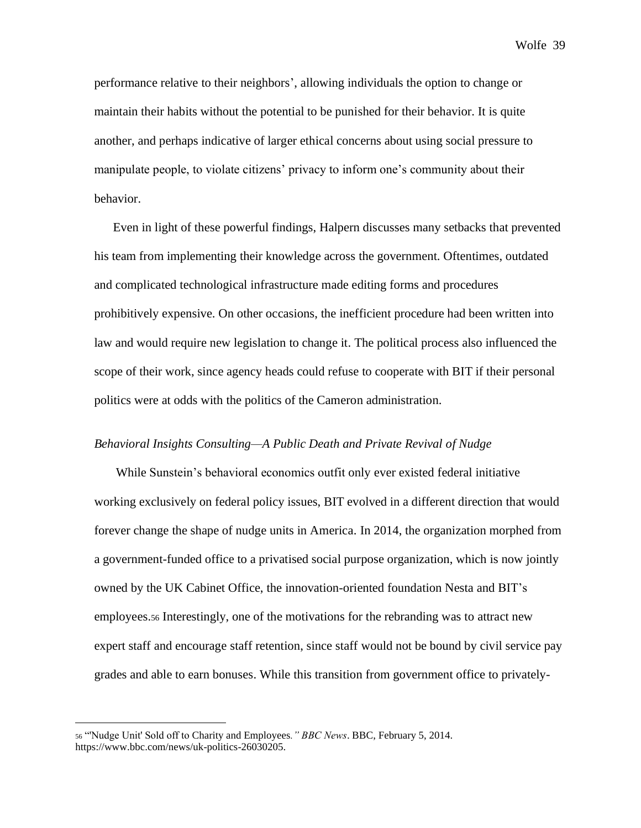performance relative to their neighbors', allowing individuals the option to change or maintain their habits without the potential to be punished for their behavior. It is quite another, and perhaps indicative of larger ethical concerns about using social pressure to manipulate people, to violate citizens' privacy to inform one's community about their behavior.

Even in light of these powerful findings, Halpern discusses many setbacks that prevented his team from implementing their knowledge across the government. Oftentimes, outdated and complicated technological infrastructure made editing forms and procedures prohibitively expensive. On other occasions, the inefficient procedure had been written into law and would require new legislation to change it. The political process also influenced the scope of their work, since agency heads could refuse to cooperate with BIT if their personal politics were at odds with the politics of the Cameron administration.

## *Behavioral Insights Consulting—A Public Death and Private Revival of Nudge*

While Sunstein's behavioral economics outfit only ever existed federal initiative working exclusively on federal policy issues, BIT evolved in a different direction that would forever change the shape of nudge units in America. In 2014, the organization morphed from a government-funded office to a privatised social purpose organization, which is now jointly owned by the UK Cabinet Office, the innovation-oriented foundation Nesta and BIT's employees.<sup>56</sup> Interestingly, one of the motivations for the rebranding was to attract new expert staff and encourage staff retention, since staff would not be bound by civil service pay grades and able to earn bonuses. While this transition from government office to privately-

<sup>56</sup> "'Nudge Unit' Sold off to Charity and Employees*." BBC News*. BBC, February 5, 2014. https://www.bbc.com/news/uk-politics-26030205.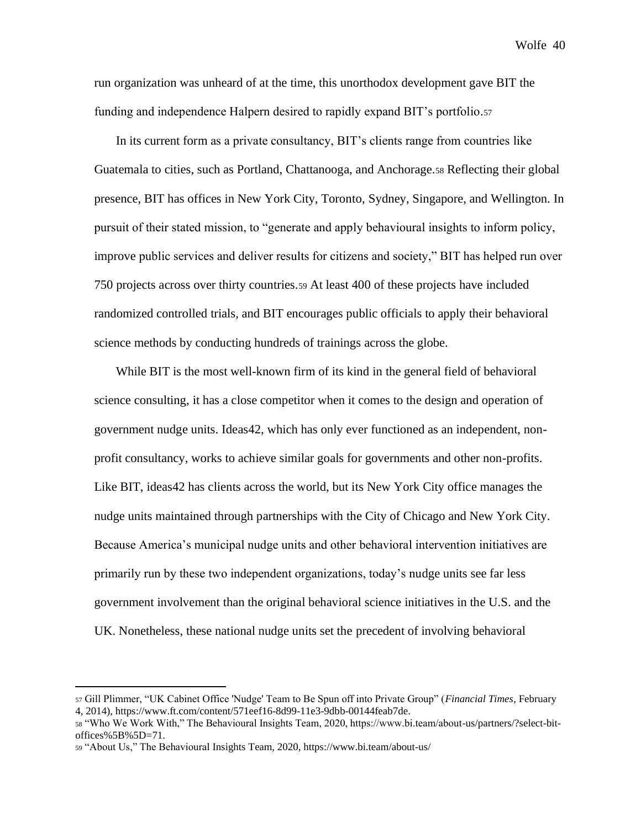run organization was unheard of at the time, this unorthodox development gave BIT the funding and independence Halpern desired to rapidly expand BIT's portfolio.<sup>57</sup>

In its current form as a private consultancy, BIT's clients range from countries like Guatemala to cities, such as Portland, Chattanooga, and Anchorage.<sup>58</sup> Reflecting their global presence, BIT has offices in New York City, Toronto, Sydney, Singapore, and Wellington. In pursuit of their stated mission, to "generate and apply behavioural insights to inform policy, improve public services and deliver results for citizens and society," BIT has helped run over 750 projects across over thirty countries.<sup>59</sup> At least 400 of these projects have included randomized controlled trials, and BIT encourages public officials to apply their behavioral science methods by conducting hundreds of trainings across the globe.

While BIT is the most well-known firm of its kind in the general field of behavioral science consulting, it has a close competitor when it comes to the design and operation of government nudge units. Ideas42, which has only ever functioned as an independent, nonprofit consultancy, works to achieve similar goals for governments and other non-profits. Like BIT, ideas42 has clients across the world, but its New York City office manages the nudge units maintained through partnerships with the City of Chicago and New York City. Because America's municipal nudge units and other behavioral intervention initiatives are primarily run by these two independent organizations, today's nudge units see far less government involvement than the original behavioral science initiatives in the U.S. and the UK. Nonetheless, these national nudge units set the precedent of involving behavioral

<sup>57</sup> Gill Plimmer, "UK Cabinet Office 'Nudge' Team to Be Spun off into Private Group" (*Financial Times*, February 4, 2014), https://www.ft.com/content/571eef16-8d99-11e3-9dbb-00144feab7de.

<sup>58</sup> "Who We Work With," The Behavioural Insights Team, 2020, https://www.bi.team/about-us/partners/?select-bitoffices%5B%5D=71.

<sup>59</sup> "About Us," The Behavioural Insights Team, 2020, https://www.bi.team/about-us/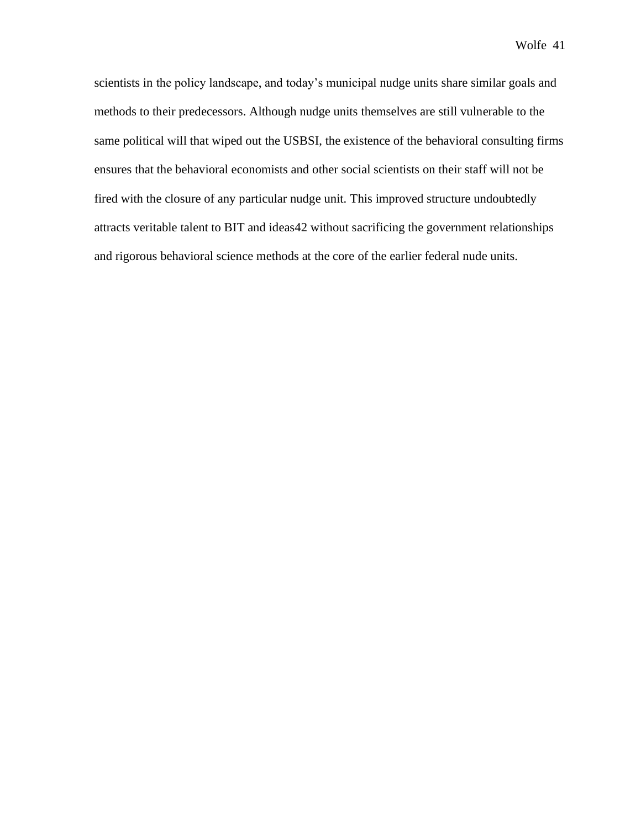scientists in the policy landscape, and today's municipal nudge units share similar goals and methods to their predecessors. Although nudge units themselves are still vulnerable to the same political will that wiped out the USBSI, the existence of the behavioral consulting firms ensures that the behavioral economists and other social scientists on their staff will not be fired with the closure of any particular nudge unit. This improved structure undoubtedly attracts veritable talent to BIT and ideas42 without sacrificing the government relationships and rigorous behavioral science methods at the core of the earlier federal nude units.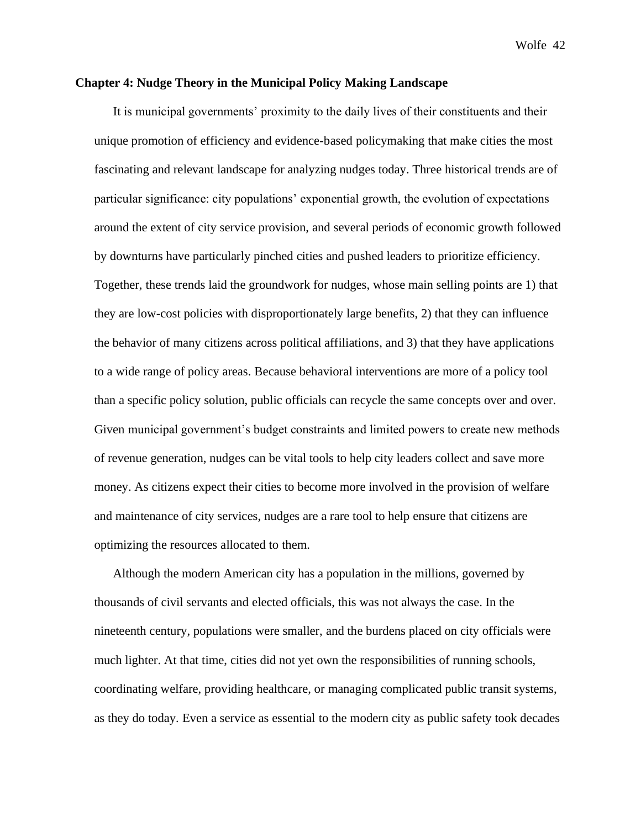## **Chapter 4: Nudge Theory in the Municipal Policy Making Landscape**

It is municipal governments' proximity to the daily lives of their constituents and their unique promotion of efficiency and evidence-based policymaking that make cities the most fascinating and relevant landscape for analyzing nudges today. Three historical trends are of particular significance: city populations' exponential growth, the evolution of expectations around the extent of city service provision, and several periods of economic growth followed by downturns have particularly pinched cities and pushed leaders to prioritize efficiency. Together, these trends laid the groundwork for nudges, whose main selling points are 1) that they are low-cost policies with disproportionately large benefits, 2) that they can influence the behavior of many citizens across political affiliations, and 3) that they have applications to a wide range of policy areas. Because behavioral interventions are more of a policy tool than a specific policy solution, public officials can recycle the same concepts over and over. Given municipal government's budget constraints and limited powers to create new methods of revenue generation, nudges can be vital tools to help city leaders collect and save more money. As citizens expect their cities to become more involved in the provision of welfare and maintenance of city services, nudges are a rare tool to help ensure that citizens are optimizing the resources allocated to them.

Although the modern American city has a population in the millions, governed by thousands of civil servants and elected officials, this was not always the case. In the nineteenth century, populations were smaller, and the burdens placed on city officials were much lighter. At that time, cities did not yet own the responsibilities of running schools, coordinating welfare, providing healthcare, or managing complicated public transit systems, as they do today. Even a service as essential to the modern city as public safety took decades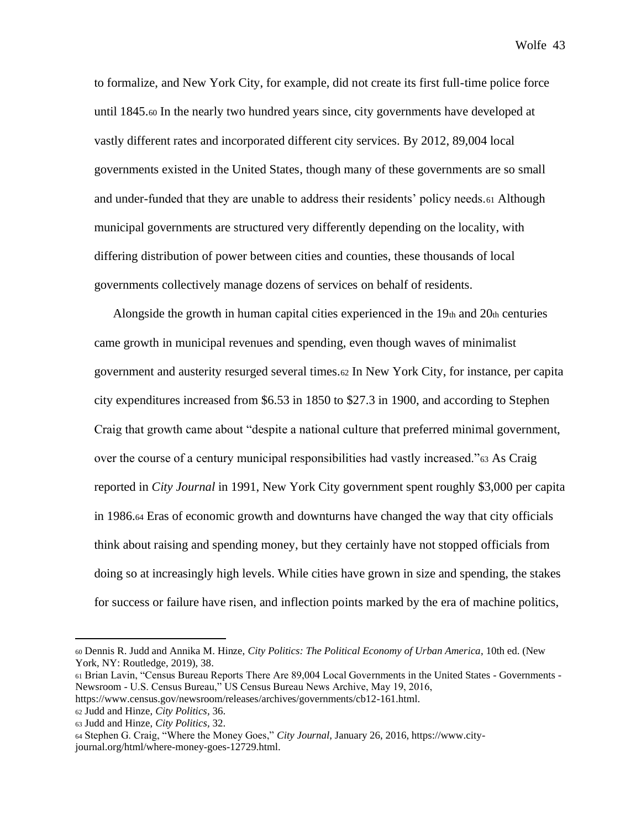to formalize, and New York City, for example, did not create its first full-time police force until 1845.<sup>60</sup> In the nearly two hundred years since, city governments have developed at vastly different rates and incorporated different city services. By 2012, 89,004 local governments existed in the United States, though many of these governments are so small and under-funded that they are unable to address their residents' policy needs.<sup>61</sup> Although municipal governments are structured very differently depending on the locality, with differing distribution of power between cities and counties, these thousands of local governments collectively manage dozens of services on behalf of residents.

Alongside the growth in human capital cities experienced in the  $19<sub>th</sub>$  and  $20<sub>th</sub>$  centuries came growth in municipal revenues and spending, even though waves of minimalist government and austerity resurged several times.<sup>62</sup> In New York City, for instance, per capita city expenditures increased from \$6.53 in 1850 to \$27.3 in 1900, and according to Stephen Craig that growth came about "despite a national culture that preferred minimal government, over the course of a century municipal responsibilities had vastly increased."<sup>63</sup> As Craig reported in *City Journal* in 1991, New York City government spent roughly \$3,000 per capita in 1986.<sup>64</sup> Eras of economic growth and downturns have changed the way that city officials think about raising and spending money, but they certainly have not stopped officials from doing so at increasingly high levels. While cities have grown in size and spending, the stakes for success or failure have risen, and inflection points marked by the era of machine politics,

<sup>60</sup> Dennis R. Judd and Annika M. Hinze, *City Politics: The Political Economy of Urban America*, 10th ed. (New York, NY: Routledge, 2019), 38.

<sup>61</sup> Brian Lavin, "Census Bureau Reports There Are 89,004 Local Governments in the United States - Governments - Newsroom - U.S. Census Bureau," US Census Bureau News Archive, May 19, 2016, https://www.census.gov/newsroom/releases/archives/governments/cb12-161.html.

<sup>62</sup> Judd and Hinze, *City Politics,* 36.

<sup>63</sup> Judd and Hinze, *City Politics,* 32.

<sup>64</sup> Stephen G. Craig, "Where the Money Goes," *City Journal*, January 26, 2016, https://www.cityjournal.org/html/where-money-goes-12729.html.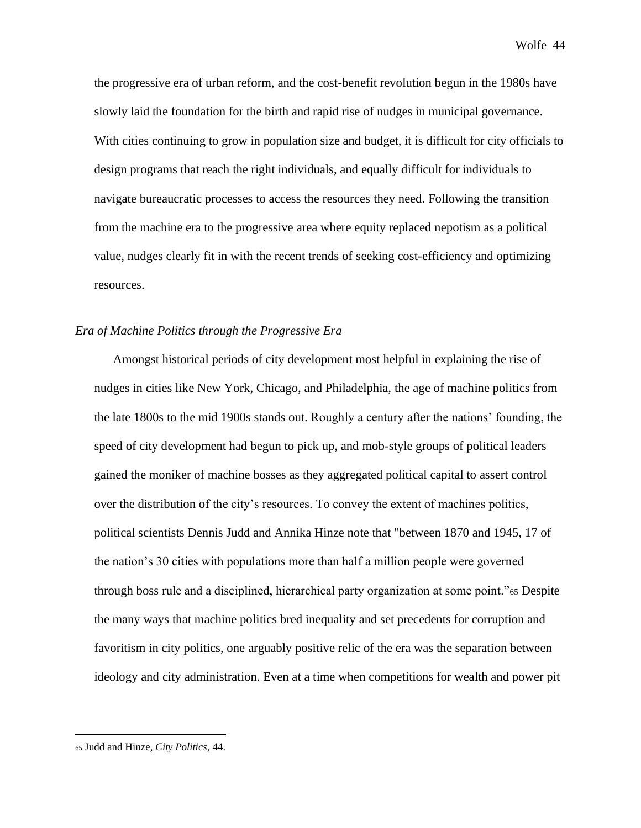the progressive era of urban reform, and the cost-benefit revolution begun in the 1980s have slowly laid the foundation for the birth and rapid rise of nudges in municipal governance. With cities continuing to grow in population size and budget, it is difficult for city officials to design programs that reach the right individuals, and equally difficult for individuals to navigate bureaucratic processes to access the resources they need. Following the transition from the machine era to the progressive area where equity replaced nepotism as a political value, nudges clearly fit in with the recent trends of seeking cost-efficiency and optimizing resources.

## *Era of Machine Politics through the Progressive Era*

Amongst historical periods of city development most helpful in explaining the rise of nudges in cities like New York, Chicago, and Philadelphia, the age of machine politics from the late 1800s to the mid 1900s stands out. Roughly a century after the nations' founding, the speed of city development had begun to pick up, and mob-style groups of political leaders gained the moniker of machine bosses as they aggregated political capital to assert control over the distribution of the city's resources. To convey the extent of machines politics, political scientists Dennis Judd and Annika Hinze note that "between 1870 and 1945, 17 of the nation's 30 cities with populations more than half a million people were governed through boss rule and a disciplined, hierarchical party organization at some point."<sup>65</sup> Despite the many ways that machine politics bred inequality and set precedents for corruption and favoritism in city politics, one arguably positive relic of the era was the separation between ideology and city administration. Even at a time when competitions for wealth and power pit

<sup>65</sup> Judd and Hinze, *City Politics,* 44.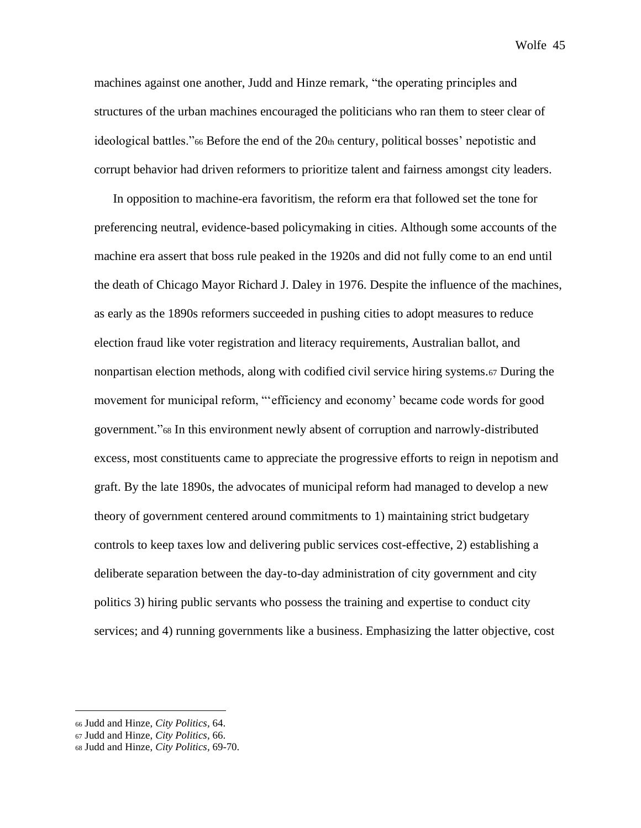machines against one another, Judd and Hinze remark, "the operating principles and structures of the urban machines encouraged the politicians who ran them to steer clear of ideological battles."<sup>66</sup> Before the end of the  $20<sub>th</sub>$  century, political bosses' nepotistic and corrupt behavior had driven reformers to prioritize talent and fairness amongst city leaders.

In opposition to machine-era favoritism, the reform era that followed set the tone for preferencing neutral, evidence-based policymaking in cities. Although some accounts of the machine era assert that boss rule peaked in the 1920s and did not fully come to an end until the death of Chicago Mayor Richard J. Daley in 1976. Despite the influence of the machines, as early as the 1890s reformers succeeded in pushing cities to adopt measures to reduce election fraud like voter registration and literacy requirements, Australian ballot, and nonpartisan election methods, along with codified civil service hiring systems.<sup>67</sup> During the movement for municipal reform, "'efficiency and economy' became code words for good government."<sup>68</sup> In this environment newly absent of corruption and narrowly-distributed excess, most constituents came to appreciate the progressive efforts to reign in nepotism and graft. By the late 1890s, the advocates of municipal reform had managed to develop a new theory of government centered around commitments to 1) maintaining strict budgetary controls to keep taxes low and delivering public services cost-effective, 2) establishing a deliberate separation between the day-to-day administration of city government and city politics 3) hiring public servants who possess the training and expertise to conduct city services; and 4) running governments like a business. Emphasizing the latter objective, cost

<sup>66</sup> Judd and Hinze, *City Politics,* 64.

<sup>67</sup> Judd and Hinze, *City Politics,* 66.

<sup>68</sup> Judd and Hinze, *City Politics,* 69-70.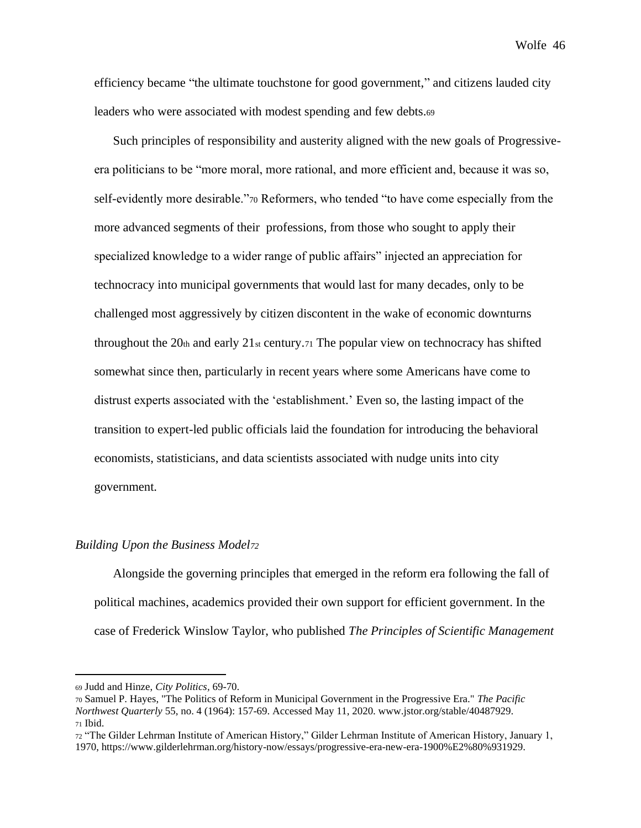efficiency became "the ultimate touchstone for good government," and citizens lauded city leaders who were associated with modest spending and few debts.<sup>69</sup>

Such principles of responsibility and austerity aligned with the new goals of Progressiveera politicians to be "more moral, more rational, and more efficient and, because it was so, self-evidently more desirable."<sup>70</sup> Reformers, who tended "to have come especially from the more advanced segments of their professions, from those who sought to apply their specialized knowledge to a wider range of public affairs" injected an appreciation for technocracy into municipal governments that would last for many decades, only to be challenged most aggressively by citizen discontent in the wake of economic downturns throughout the 20th and early 21st century. The popular view on technocracy has shifted somewhat since then, particularly in recent years where some Americans have come to distrust experts associated with the 'establishment.' Even so, the lasting impact of the transition to expert-led public officials laid the foundation for introducing the behavioral economists, statisticians, and data scientists associated with nudge units into city government.

### *Building Upon the Business Model<sup>72</sup>*

Alongside the governing principles that emerged in the reform era following the fall of political machines, academics provided their own support for efficient government. In the case of Frederick Winslow Taylor, who published *The Principles of Scientific Management* 

<sup>69</sup> Judd and Hinze, *City Politics,* 69-70.

<sup>70</sup> Samuel P. Hayes, "The Politics of Reform in Municipal Government in the Progressive Era." *The Pacific Northwest Quarterly* 55, no. 4 (1964): 157-69. Accessed May 11, 2020. www.jstor.org/stable/40487929. <sup>71</sup> Ibid.

<sup>72</sup> "The Gilder Lehrman Institute of American History," Gilder Lehrman Institute of American History, January 1, 1970, https://www.gilderlehrman.org/history-now/essays/progressive-era-new-era-1900%E2%80%931929.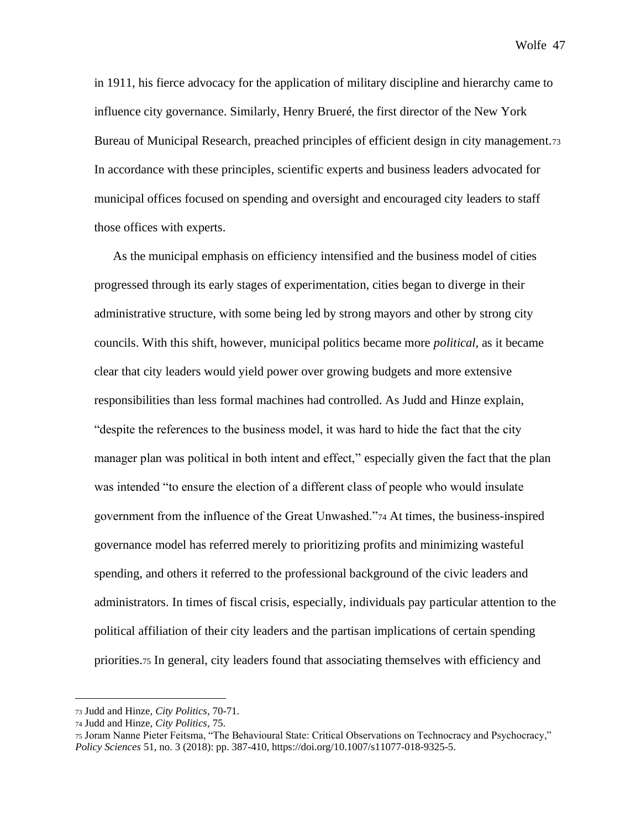in 1911, his fierce advocacy for the application of military discipline and hierarchy came to influence city governance. Similarly, Henry Brueré, the first director of the New York Bureau of Municipal Research, preached principles of efficient design in city management.<sup>73</sup> In accordance with these principles, scientific experts and business leaders advocated for municipal offices focused on spending and oversight and encouraged city leaders to staff those offices with experts.

As the municipal emphasis on efficiency intensified and the business model of cities progressed through its early stages of experimentation, cities began to diverge in their administrative structure, with some being led by strong mayors and other by strong city councils. With this shift, however, municipal politics became more *political,* as it became clear that city leaders would yield power over growing budgets and more extensive responsibilities than less formal machines had controlled. As Judd and Hinze explain, "despite the references to the business model, it was hard to hide the fact that the city manager plan was political in both intent and effect," especially given the fact that the plan was intended "to ensure the election of a different class of people who would insulate government from the influence of the Great Unwashed."<sup>74</sup> At times, the business-inspired governance model has referred merely to prioritizing profits and minimizing wasteful spending, and others it referred to the professional background of the civic leaders and administrators. In times of fiscal crisis, especially, individuals pay particular attention to the political affiliation of their city leaders and the partisan implications of certain spending priorities.<sup>75</sup> In general, city leaders found that associating themselves with efficiency and

<sup>73</sup> Judd and Hinze, *City Politics,* 70-71.

<sup>74</sup> Judd and Hinze, *City Politics,* 75.

<sup>75</sup> Joram Nanne Pieter Feitsma, "The Behavioural State: Critical Observations on Technocracy and Psychocracy," *Policy Sciences* 51, no. 3 (2018): pp. 387-410, https://doi.org/10.1007/s11077-018-9325-5.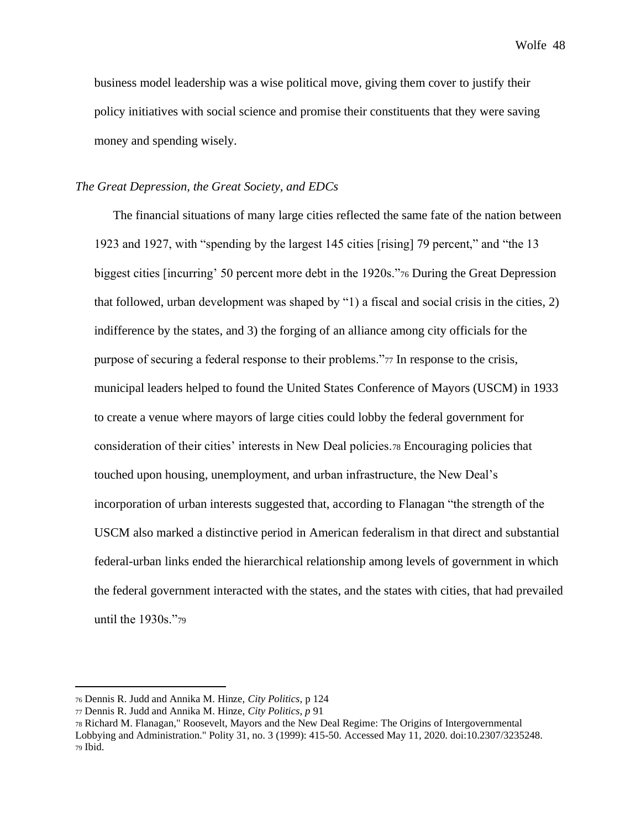business model leadership was a wise political move, giving them cover to justify their policy initiatives with social science and promise their constituents that they were saving money and spending wisely.

## *The Great Depression, the Great Society, and EDCs*

The financial situations of many large cities reflected the same fate of the nation between 1923 and 1927, with "spending by the largest 145 cities [rising] 79 percent," and "the 13 biggest cities [incurring' 50 percent more debt in the 1920s."<sup>76</sup> During the Great Depression that followed, urban development was shaped by "1) a fiscal and social crisis in the cities, 2) indifference by the states, and 3) the forging of an alliance among city officials for the purpose of securing a federal response to their problems."<sup>77</sup> In response to the crisis, municipal leaders helped to found the United States Conference of Mayors (USCM) in 1933 to create a venue where mayors of large cities could lobby the federal government for consideration of their cities' interests in New Deal policies.<sup>78</sup> Encouraging policies that touched upon housing, unemployment, and urban infrastructure, the New Deal's incorporation of urban interests suggested that, according to Flanagan "the strength of the USCM also marked a distinctive period in American federalism in that direct and substantial federal-urban links ended the hierarchical relationship among levels of government in which the federal government interacted with the states, and the states with cities, that had prevailed until the 1930s."<sup>79</sup>

<sup>76</sup> Dennis R. Judd and Annika M. Hinze, *City Politics,* p 124

<sup>77</sup> Dennis R. Judd and Annika M. Hinze, *City Politics, p* 91

<sup>78</sup> Richard M. Flanagan," Roosevelt, Mayors and the New Deal Regime: The Origins of Intergovernmental Lobbying and Administration." Polity 31, no. 3 (1999): 415-50. Accessed May 11, 2020. doi:10.2307/3235248. <sup>79</sup> Ibid.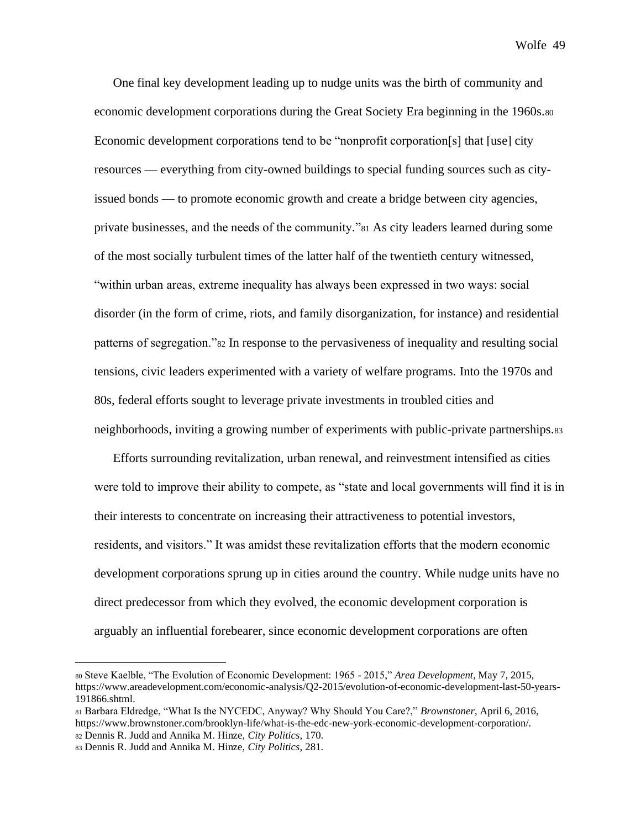One final key development leading up to nudge units was the birth of community and economic development corporations during the Great Society Era beginning in the 1960s.<sup>80</sup> Economic development corporations tend to be "nonprofit corporation[s] that [use] city resources — everything from city-owned buildings to special funding sources such as cityissued bonds — to promote economic growth and create a bridge between city agencies, private businesses, and the needs of the community."<sup>81</sup> As city leaders learned during some of the most socially turbulent times of the latter half of the twentieth century witnessed, "within urban areas, extreme inequality has always been expressed in two ways: social disorder (in the form of crime, riots, and family disorganization, for instance) and residential patterns of segregation."<sup>82</sup> In response to the pervasiveness of inequality and resulting social tensions, civic leaders experimented with a variety of welfare programs. Into the 1970s and 80s, federal efforts sought to leverage private investments in troubled cities and neighborhoods, inviting a growing number of experiments with public-private partnerships.<sup>83</sup>

Efforts surrounding revitalization, urban renewal, and reinvestment intensified as cities were told to improve their ability to compete, as "state and local governments will find it is in their interests to concentrate on increasing their attractiveness to potential investors, residents, and visitors." It was amidst these revitalization efforts that the modern economic development corporations sprung up in cities around the country. While nudge units have no direct predecessor from which they evolved, the economic development corporation is arguably an influential forebearer, since economic development corporations are often

<sup>80</sup> Steve Kaelble, "The Evolution of Economic Development: 1965 - 2015," *Area Development*, May 7, 2015, https://www.areadevelopment.com/economic-analysis/Q2-2015/evolution-of-economic-development-last-50-years-191866.shtml.

<sup>81</sup> Barbara Eldredge, "What Is the NYCEDC, Anyway? Why Should You Care?," *Brownstoner*, April 6, 2016, https://www.brownstoner.com/brooklyn-life/what-is-the-edc-new-york-economic-development-corporation/. <sup>82</sup> Dennis R. Judd and Annika M. Hinze, *City Politics,* 170.

<sup>83</sup> Dennis R. Judd and Annika M. Hinze, *City Politics,* 281.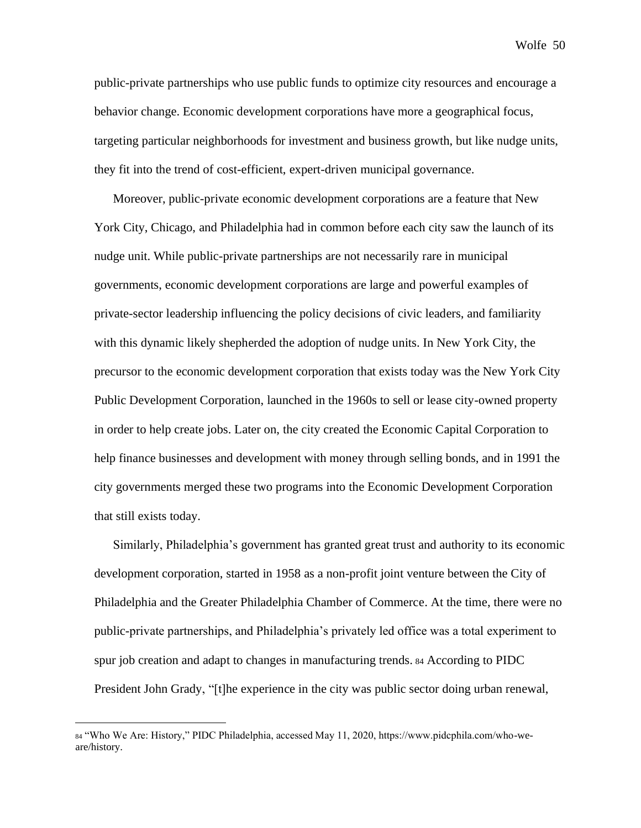public-private partnerships who use public funds to optimize city resources and encourage a behavior change. Economic development corporations have more a geographical focus, targeting particular neighborhoods for investment and business growth, but like nudge units, they fit into the trend of cost-efficient, expert-driven municipal governance.

Moreover, public-private economic development corporations are a feature that New York City, Chicago, and Philadelphia had in common before each city saw the launch of its nudge unit. While public-private partnerships are not necessarily rare in municipal governments, economic development corporations are large and powerful examples of private-sector leadership influencing the policy decisions of civic leaders, and familiarity with this dynamic likely shepherded the adoption of nudge units. In New York City, the precursor to the economic development corporation that exists today was the New York City Public Development Corporation, launched in the 1960s to sell or lease city-owned property in order to help create jobs. Later on, the city created the Economic Capital Corporation to help finance businesses and development with money through selling bonds, and in 1991 the city governments merged these two programs into the Economic Development Corporation that still exists today.

Similarly, Philadelphia's government has granted great trust and authority to its economic development corporation, started in 1958 as a non-profit joint venture between the City of Philadelphia and the Greater Philadelphia Chamber of Commerce. At the time, there were no public-private partnerships, and Philadelphia's privately led office was a total experiment to spur job creation and adapt to changes in manufacturing trends. <sup>84</sup> According to PIDC President John Grady, "[t]he experience in the city was public sector doing urban renewal,

<sup>84</sup> "Who We Are: History," PIDC Philadelphia, accessed May 11, 2020, https://www.pidcphila.com/who-weare/history.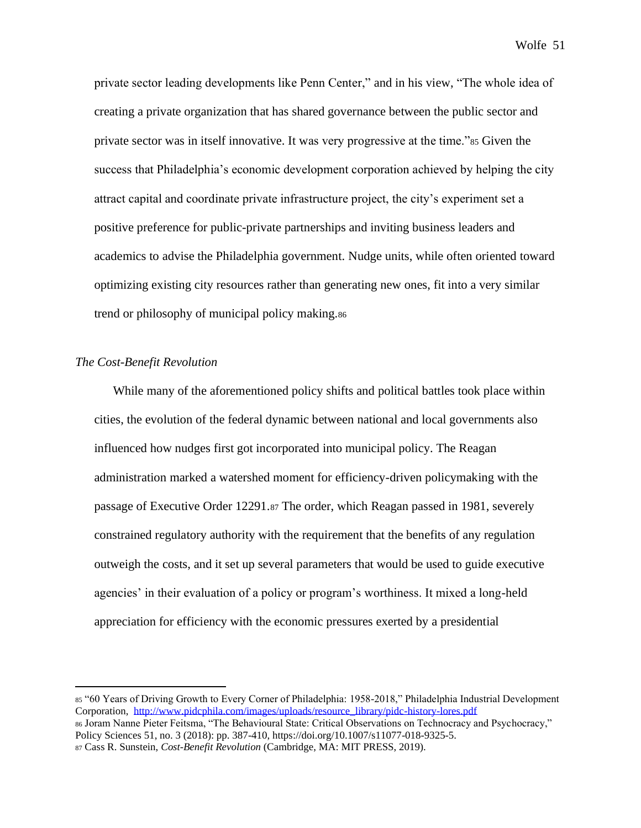private sector leading developments like Penn Center," and in his view, "The whole idea of creating a private organization that has shared governance between the public sector and private sector was in itself innovative. It was very progressive at the time."<sup>85</sup> Given the success that Philadelphia's economic development corporation achieved by helping the city attract capital and coordinate private infrastructure project, the city's experiment set a positive preference for public-private partnerships and inviting business leaders and academics to advise the Philadelphia government. Nudge units, while often oriented toward optimizing existing city resources rather than generating new ones, fit into a very similar trend or philosophy of municipal policy making.<sup>86</sup>

## *The Cost-Benefit Revolution*

While many of the aforementioned policy shifts and political battles took place within cities, the evolution of the federal dynamic between national and local governments also influenced how nudges first got incorporated into municipal policy. The Reagan administration marked a watershed moment for efficiency-driven policymaking with the passage of Executive Order 12291.<sup>87</sup> The order, which Reagan passed in 1981, severely constrained regulatory authority with the requirement that the benefits of any regulation outweigh the costs, and it set up several parameters that would be used to guide executive agencies' in their evaluation of a policy or program's worthiness. It mixed a long-held appreciation for efficiency with the economic pressures exerted by a presidential

<sup>85</sup> "60 Years of Driving Growth to Every Corner of Philadelphia: 1958-2018," Philadelphia Industrial Development Corporation, [http://www.pidcphila.com/images/uploads/resource\\_library/pidc-history-lores.pdf](http://www.pidcphila.com/images/uploads/resource_library/pidc-history-lores.pdf)

<sup>86</sup> Joram Nanne Pieter Feitsma, "The Behavioural State: Critical Observations on Technocracy and Psychocracy," Policy Sciences 51, no. 3 (2018): pp. 387-410, https://doi.org/10.1007/s11077-018-9325-5.

<sup>87</sup> Cass R. Sunstein, *Cost-Benefit Revolution* (Cambridge, MA: MIT PRESS, 2019).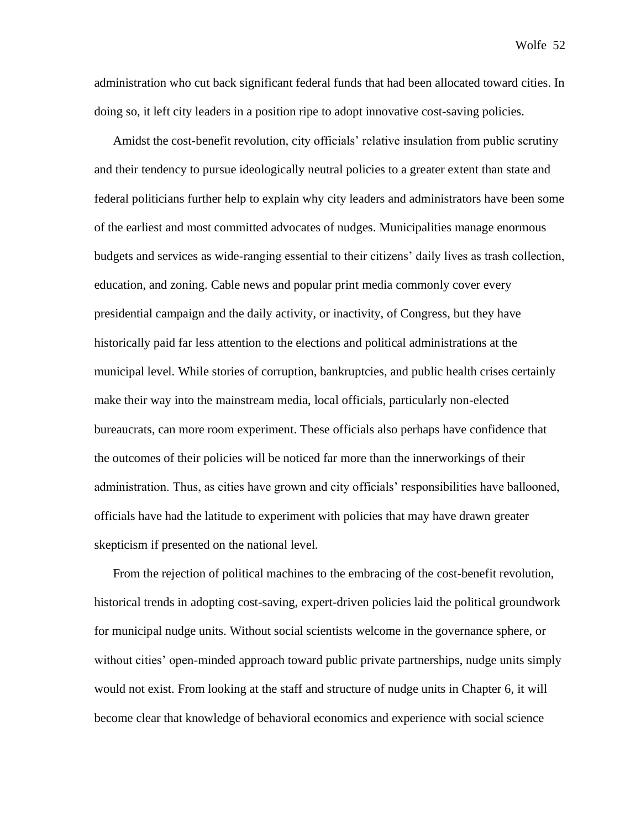administration who cut back significant federal funds that had been allocated toward cities. In doing so, it left city leaders in a position ripe to adopt innovative cost-saving policies.

Amidst the cost-benefit revolution, city officials' relative insulation from public scrutiny and their tendency to pursue ideologically neutral policies to a greater extent than state and federal politicians further help to explain why city leaders and administrators have been some of the earliest and most committed advocates of nudges. Municipalities manage enormous budgets and services as wide-ranging essential to their citizens' daily lives as trash collection, education, and zoning. Cable news and popular print media commonly cover every presidential campaign and the daily activity, or inactivity, of Congress, but they have historically paid far less attention to the elections and political administrations at the municipal level. While stories of corruption, bankruptcies, and public health crises certainly make their way into the mainstream media, local officials, particularly non-elected bureaucrats, can more room experiment. These officials also perhaps have confidence that the outcomes of their policies will be noticed far more than the innerworkings of their administration. Thus, as cities have grown and city officials' responsibilities have ballooned, officials have had the latitude to experiment with policies that may have drawn greater skepticism if presented on the national level.

From the rejection of political machines to the embracing of the cost-benefit revolution, historical trends in adopting cost-saving, expert-driven policies laid the political groundwork for municipal nudge units. Without social scientists welcome in the governance sphere, or without cities' open-minded approach toward public private partnerships, nudge units simply would not exist. From looking at the staff and structure of nudge units in Chapter 6, it will become clear that knowledge of behavioral economics and experience with social science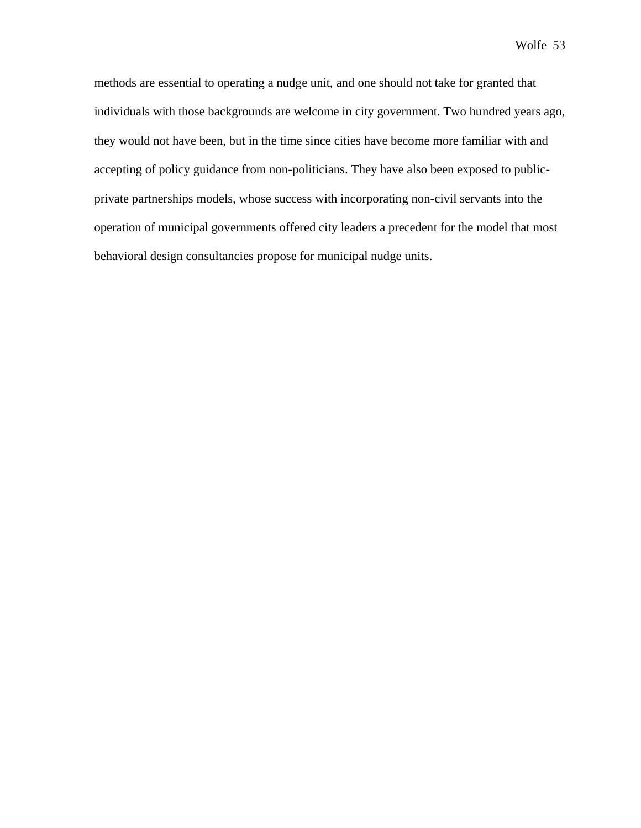methods are essential to operating a nudge unit, and one should not take for granted that individuals with those backgrounds are welcome in city government. Two hundred years ago, they would not have been, but in the time since cities have become more familiar with and accepting of policy guidance from non-politicians. They have also been exposed to publicprivate partnerships models, whose success with incorporating non-civil servants into the operation of municipal governments offered city leaders a precedent for the model that most behavioral design consultancies propose for municipal nudge units.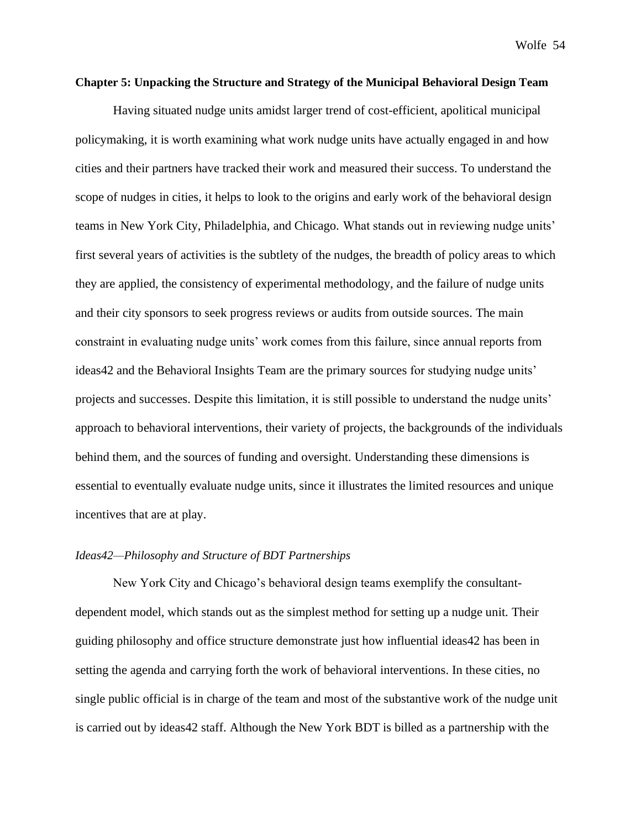# **Chapter 5: Unpacking the Structure and Strategy of the Municipal Behavioral Design Team**

Having situated nudge units amidst larger trend of cost-efficient, apolitical municipal policymaking, it is worth examining what work nudge units have actually engaged in and how cities and their partners have tracked their work and measured their success. To understand the scope of nudges in cities, it helps to look to the origins and early work of the behavioral design teams in New York City, Philadelphia, and Chicago. What stands out in reviewing nudge units' first several years of activities is the subtlety of the nudges, the breadth of policy areas to which they are applied, the consistency of experimental methodology, and the failure of nudge units and their city sponsors to seek progress reviews or audits from outside sources. The main constraint in evaluating nudge units' work comes from this failure, since annual reports from ideas42 and the Behavioral Insights Team are the primary sources for studying nudge units' projects and successes. Despite this limitation, it is still possible to understand the nudge units' approach to behavioral interventions, their variety of projects, the backgrounds of the individuals behind them, and the sources of funding and oversight. Understanding these dimensions is essential to eventually evaluate nudge units, since it illustrates the limited resources and unique incentives that are at play.

## *Ideas42—Philosophy and Structure of BDT Partnerships*

New York City and Chicago's behavioral design teams exemplify the consultantdependent model, which stands out as the simplest method for setting up a nudge unit. Their guiding philosophy and office structure demonstrate just how influential ideas42 has been in setting the agenda and carrying forth the work of behavioral interventions. In these cities, no single public official is in charge of the team and most of the substantive work of the nudge unit is carried out by ideas42 staff. Although the New York BDT is billed as a partnership with the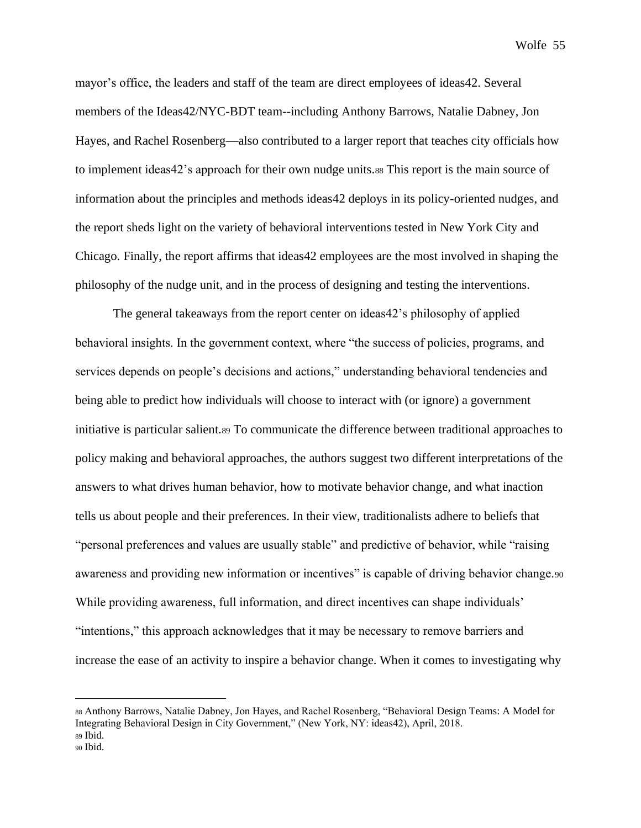mayor's office, the leaders and staff of the team are direct employees of ideas42. Several members of the Ideas42/NYC-BDT team--including Anthony Barrows, Natalie Dabney, Jon Hayes, and Rachel Rosenberg—also contributed to a larger report that teaches city officials how to implement ideas42's approach for their own nudge units.<sup>88</sup> This report is the main source of information about the principles and methods ideas42 deploys in its policy-oriented nudges, and the report sheds light on the variety of behavioral interventions tested in New York City and Chicago. Finally, the report affirms that ideas42 employees are the most involved in shaping the philosophy of the nudge unit, and in the process of designing and testing the interventions.

The general takeaways from the report center on ideas42's philosophy of applied behavioral insights. In the government context, where "the success of policies, programs, and services depends on people's decisions and actions," understanding behavioral tendencies and being able to predict how individuals will choose to interact with (or ignore) a government initiative is particular salient.<sup>89</sup> To communicate the difference between traditional approaches to policy making and behavioral approaches, the authors suggest two different interpretations of the answers to what drives human behavior, how to motivate behavior change, and what inaction tells us about people and their preferences. In their view, traditionalists adhere to beliefs that "personal preferences and values are usually stable" and predictive of behavior, while "raising awareness and providing new information or incentives" is capable of driving behavior change.90 While providing awareness, full information, and direct incentives can shape individuals' "intentions," this approach acknowledges that it may be necessary to remove barriers and increase the ease of an activity to inspire a behavior change. When it comes to investigating why

<sup>88</sup> Anthony Barrows, Natalie Dabney, Jon Hayes, and Rachel Rosenberg, "Behavioral Design Teams: A Model for Integrating Behavioral Design in City Government," (New York, NY: ideas42), April, 2018. <sup>89</sup> Ibid.

<sup>90</sup> Ibid.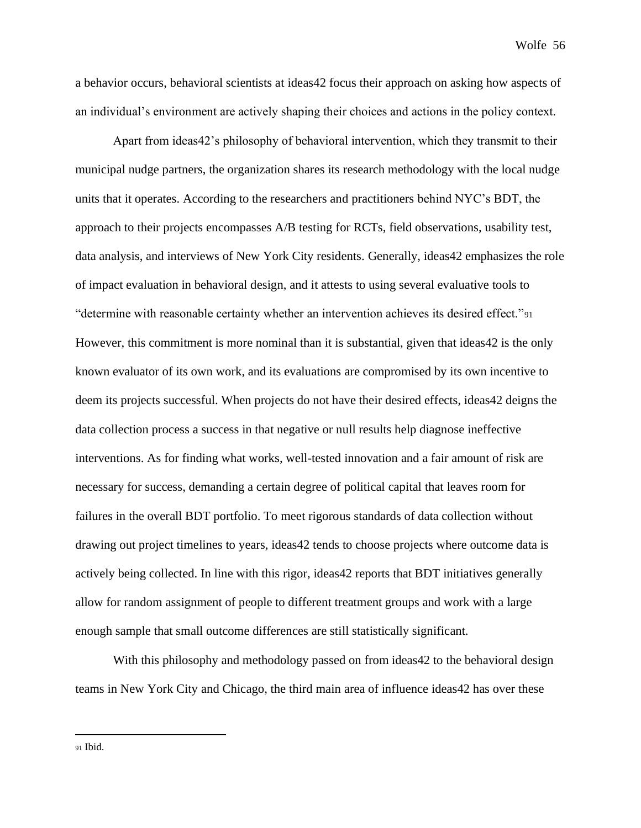a behavior occurs, behavioral scientists at ideas42 focus their approach on asking how aspects of an individual's environment are actively shaping their choices and actions in the policy context.

Apart from ideas42's philosophy of behavioral intervention, which they transmit to their municipal nudge partners, the organization shares its research methodology with the local nudge units that it operates. According to the researchers and practitioners behind NYC's BDT, the approach to their projects encompasses A/B testing for RCTs, field observations, usability test, data analysis, and interviews of New York City residents. Generally, ideas42 emphasizes the role of impact evaluation in behavioral design, and it attests to using several evaluative tools to "determine with reasonable certainty whether an intervention achieves its desired effect."<sup>91</sup> However, this commitment is more nominal than it is substantial, given that ideas42 is the only known evaluator of its own work, and its evaluations are compromised by its own incentive to deem its projects successful. When projects do not have their desired effects, ideas42 deigns the data collection process a success in that negative or null results help diagnose ineffective interventions. As for finding what works, well-tested innovation and a fair amount of risk are necessary for success, demanding a certain degree of political capital that leaves room for failures in the overall BDT portfolio. To meet rigorous standards of data collection without drawing out project timelines to years, ideas42 tends to choose projects where outcome data is actively being collected. In line with this rigor, ideas42 reports that BDT initiatives generally allow for random assignment of people to different treatment groups and work with a large enough sample that small outcome differences are still statistically significant.

With this philosophy and methodology passed on from ideas42 to the behavioral design teams in New York City and Chicago, the third main area of influence ideas42 has over these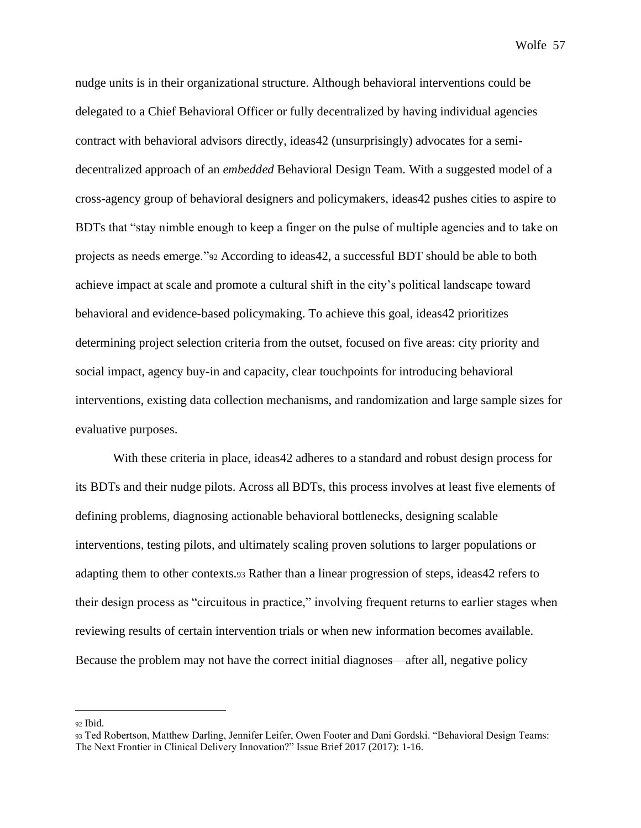nudge units is in their organizational structure. Although behavioral interventions could be delegated to a Chief Behavioral Officer or fully decentralized by having individual agencies contract with behavioral advisors directly, ideas42 (unsurprisingly) advocates for a semidecentralized approach of an *embedded* Behavioral Design Team. With a suggested model of a cross-agency group of behavioral designers and policymakers, ideas42 pushes cities to aspire to BDTs that "stay nimble enough to keep a finger on the pulse of multiple agencies and to take on projects as needs emerge."<sup>92</sup> According to ideas42, a successful BDT should be able to both achieve impact at scale and promote a cultural shift in the city's political landscape toward behavioral and evidence-based policymaking. To achieve this goal, ideas42 prioritizes determining project selection criteria from the outset, focused on five areas: city priority and social impact, agency buy-in and capacity, clear touchpoints for introducing behavioral interventions, existing data collection mechanisms, and randomization and large sample sizes for evaluative purposes.

With these criteria in place, ideas42 adheres to a standard and robust design process for its BDTs and their nudge pilots. Across all BDTs, this process involves at least five elements of defining problems, diagnosing actionable behavioral bottlenecks, designing scalable interventions, testing pilots, and ultimately scaling proven solutions to larger populations or adapting them to other contexts.<sup>93</sup> Rather than a linear progression of steps, ideas42 refers to their design process as "circuitous in practice," involving frequent returns to earlier stages when reviewing results of certain intervention trials or when new information becomes available. Because the problem may not have the correct initial diagnoses—after all, negative policy

<sup>92</sup> Ibid.

<sup>93</sup> Ted Robertson, Matthew Darling, Jennifer Leifer, Owen Footer and Dani Gordski. "Behavioral Design Teams: The Next Frontier in Clinical Delivery Innovation?" Issue Brief 2017 (2017): 1-16.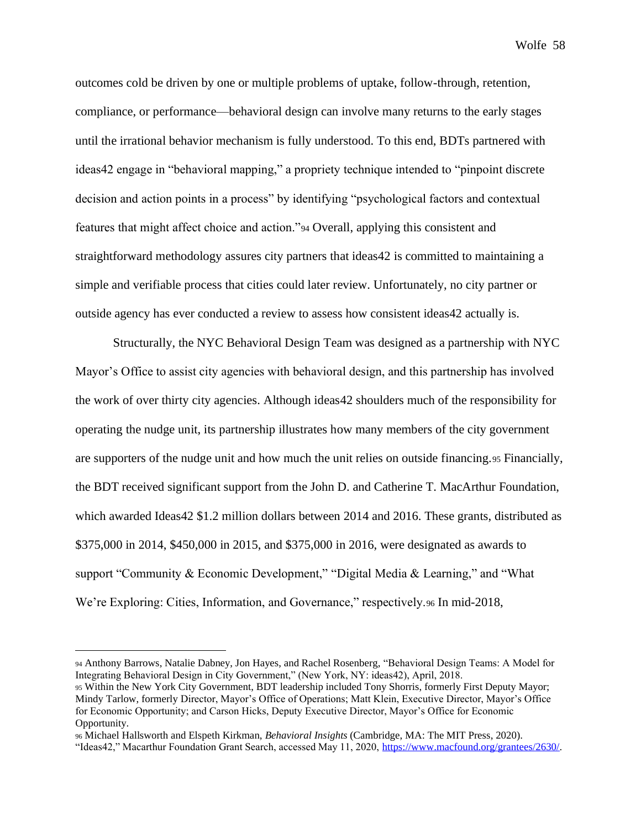outcomes cold be driven by one or multiple problems of uptake, follow-through, retention, compliance, or performance—behavioral design can involve many returns to the early stages until the irrational behavior mechanism is fully understood. To this end, BDTs partnered with ideas42 engage in "behavioral mapping," a propriety technique intended to "pinpoint discrete decision and action points in a process" by identifying "psychological factors and contextual features that might affect choice and action."<sup>94</sup> Overall, applying this consistent and straightforward methodology assures city partners that ideas42 is committed to maintaining a simple and verifiable process that cities could later review. Unfortunately, no city partner or outside agency has ever conducted a review to assess how consistent ideas42 actually is.

Structurally, the NYC Behavioral Design Team was designed as a partnership with NYC Mayor's Office to assist city agencies with behavioral design, and this partnership has involved the work of over thirty city agencies. Although ideas42 shoulders much of the responsibility for operating the nudge unit, its partnership illustrates how many members of the city government are supporters of the nudge unit and how much the unit relies on outside financing.<sup>95</sup> Financially, the BDT received significant support from the John D. and Catherine T. MacArthur Foundation, which awarded Ideas 42 \$1.2 million dollars between 2014 and 2016. These grants, distributed as \$375,000 in 2014, \$450,000 in 2015, and \$375,000 in 2016, were designated as awards to support "Community & Economic Development," "Digital Media & Learning," and "What We're Exploring: Cities, Information, and Governance," respectively.96 In mid-2018,

<sup>94</sup> Anthony Barrows, Natalie Dabney, Jon Hayes, and Rachel Rosenberg, "Behavioral Design Teams: A Model for Integrating Behavioral Design in City Government," (New York, NY: ideas42), April, 2018.

<sup>95</sup> Within the New York City Government, BDT leadership included Tony Shorris, formerly First Deputy Mayor; Mindy Tarlow, formerly Director, Mayor's Office of Operations; Matt Klein, Executive Director, Mayor's Office for Economic Opportunity; and Carson Hicks, Deputy Executive Director, Mayor's Office for Economic Opportunity.

<sup>96</sup> Michael Hallsworth and Elspeth Kirkman, *Behavioral Insights* (Cambridge, MA: The MIT Press, 2020).

<sup>&</sup>quot;Ideas42," Macarthur Foundation Grant Search, accessed May 11, 2020, [https://www.macfound.org/grantees/2630/.](https://www.macfound.org/grantees/2630/)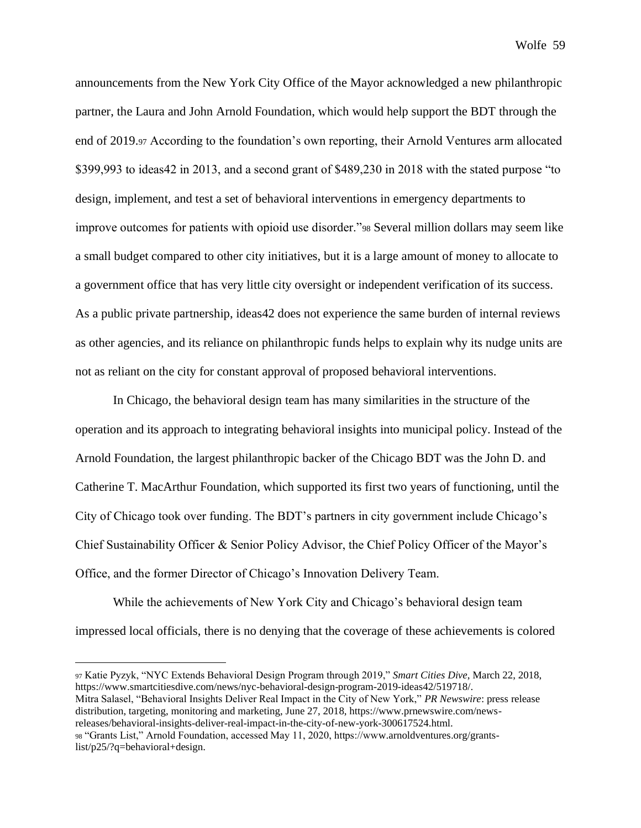announcements from the New York City Office of the Mayor acknowledged a new philanthropic partner, the Laura and John Arnold Foundation, which would help support the BDT through the end of 2019.<sup>97</sup> According to the foundation's own reporting, their Arnold Ventures arm allocated \$399,993 to ideas42 in 2013, and a second grant of \$489,230 in 2018 with the stated purpose "to design, implement, and test a set of behavioral interventions in emergency departments to improve outcomes for patients with opioid use disorder."<sup>98</sup> Several million dollars may seem like a small budget compared to other city initiatives, but it is a large amount of money to allocate to a government office that has very little city oversight or independent verification of its success. As a public private partnership, ideas42 does not experience the same burden of internal reviews as other agencies, and its reliance on philanthropic funds helps to explain why its nudge units are not as reliant on the city for constant approval of proposed behavioral interventions.

In Chicago, the behavioral design team has many similarities in the structure of the operation and its approach to integrating behavioral insights into municipal policy. Instead of the Arnold Foundation, the largest philanthropic backer of the Chicago BDT was the John D. and Catherine T. MacArthur Foundation, which supported its first two years of functioning, until the City of Chicago took over funding. The BDT's partners in city government include Chicago's Chief Sustainability Officer & Senior Policy Advisor, the Chief Policy Officer of the Mayor's Office, and the former Director of Chicago's Innovation Delivery Team.

While the achievements of New York City and Chicago's behavioral design team impressed local officials, there is no denying that the coverage of these achievements is colored

<sup>97</sup> Katie Pyzyk, "NYC Extends Behavioral Design Program through 2019," *Smart Cities Dive*, March 22, 2018, https://www.smartcitiesdive.com/news/nyc-behavioral-design-program-2019-ideas42/519718/. Mitra Salasel, "Behavioral Insights Deliver Real Impact in the City of New York," *PR Newswire*: press release distribution, targeting, monitoring and marketing, June 27, 2018, https://www.prnewswire.com/newsreleases/behavioral-insights-deliver-real-impact-in-the-city-of-new-york-300617524.html. <sup>98</sup> "Grants List," Arnold Foundation, accessed May 11, 2020, https://www.arnoldventures.org/grantslist/p25/?q=behavioral+design.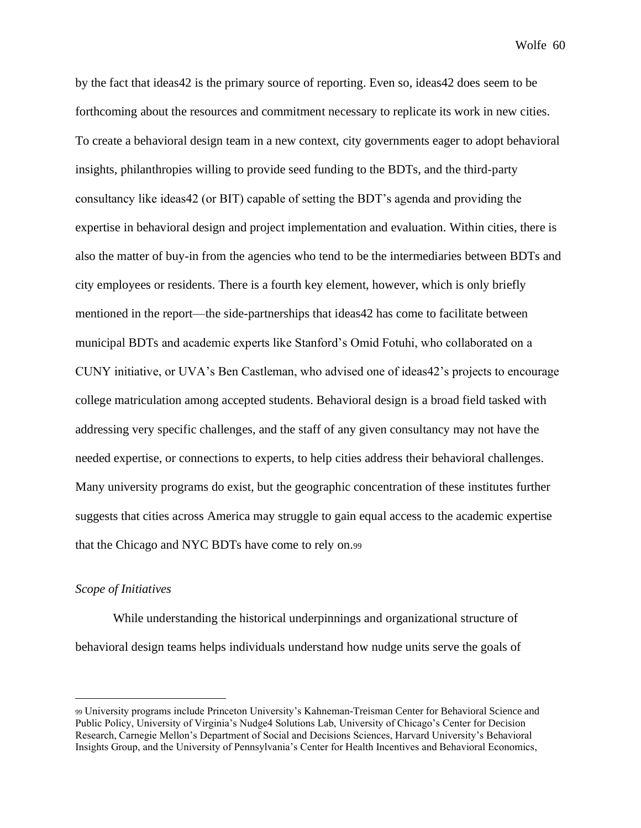by the fact that ideas42 is the primary source of reporting. Even so, ideas42 does seem to be forthcoming about the resources and commitment necessary to replicate its work in new cities. To create a behavioral design team in a new context, city governments eager to adopt behavioral insights, philanthropies willing to provide seed funding to the BDTs, and the third-party consultancy like ideas42 (or BIT) capable of setting the BDT's agenda and providing the expertise in behavioral design and project implementation and evaluation. Within cities, there is also the matter of buy-in from the agencies who tend to be the intermediaries between BDTs and city employees or residents. There is a fourth key element, however, which is only briefly mentioned in the report—the side-partnerships that ideas42 has come to facilitate between municipal BDTs and academic experts like Stanford's Omid Fotuhi, who collaborated on a CUNY initiative, or UVA's Ben Castleman, who advised one of ideas42's projects to encourage college matriculation among accepted students. Behavioral design is a broad field tasked with addressing very specific challenges, and the staff of any given consultancy may not have the needed expertise, or connections to experts, to help cities address their behavioral challenges. Many university programs do exist, but the geographic concentration of these institutes further suggests that cities across America may struggle to gain equal access to the academic expertise that the Chicago and NYC BDTs have come to rely on.<sup>99</sup>

### *Scope of Initiatives*

While understanding the historical underpinnings and organizational structure of behavioral design teams helps individuals understand how nudge units serve the goals of

<sup>99</sup> University programs include Princeton University's Kahneman-Treisman Center for Behavioral Science and Public Policy, University of Virginia's Nudge4 Solutions Lab, University of Chicago's Center for Decision Research, Carnegie Mellon's Department of Social and Decisions Sciences, Harvard University's Behavioral Insights Group, and the University of Pennsylvania's Center for Health Incentives and Behavioral Economics,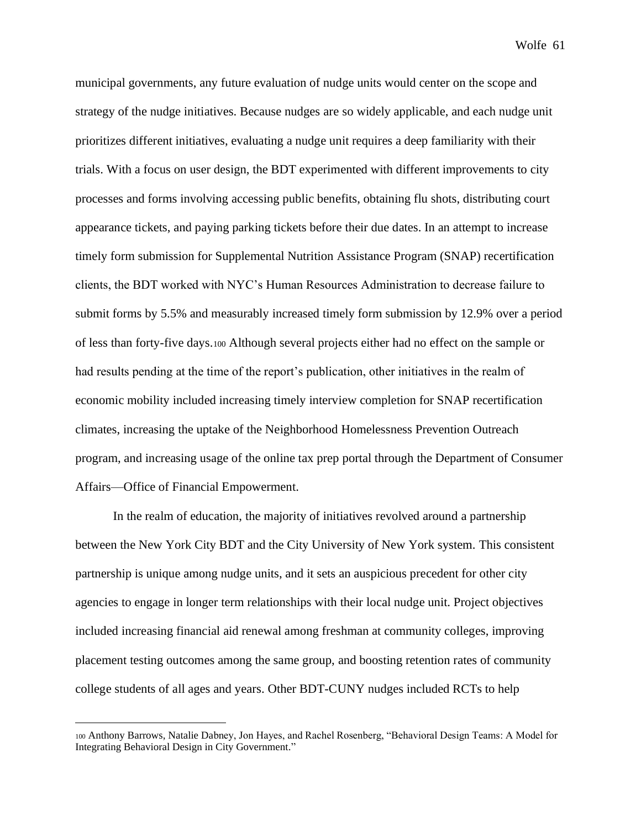municipal governments, any future evaluation of nudge units would center on the scope and strategy of the nudge initiatives. Because nudges are so widely applicable, and each nudge unit prioritizes different initiatives, evaluating a nudge unit requires a deep familiarity with their trials. With a focus on user design, the BDT experimented with different improvements to city processes and forms involving accessing public benefits, obtaining flu shots, distributing court appearance tickets, and paying parking tickets before their due dates. In an attempt to increase timely form submission for Supplemental Nutrition Assistance Program (SNAP) recertification clients, the BDT worked with NYC's Human Resources Administration to decrease failure to submit forms by 5.5% and measurably increased timely form submission by 12.9% over a period of less than forty-five days.<sup>100</sup> Although several projects either had no effect on the sample or had results pending at the time of the report's publication, other initiatives in the realm of economic mobility included increasing timely interview completion for SNAP recertification climates, increasing the uptake of the Neighborhood Homelessness Prevention Outreach program, and increasing usage of the online tax prep portal through the Department of Consumer Affairs—Office of Financial Empowerment.

In the realm of education, the majority of initiatives revolved around a partnership between the New York City BDT and the City University of New York system. This consistent partnership is unique among nudge units, and it sets an auspicious precedent for other city agencies to engage in longer term relationships with their local nudge unit. Project objectives included increasing financial aid renewal among freshman at community colleges, improving placement testing outcomes among the same group, and boosting retention rates of community college students of all ages and years. Other BDT-CUNY nudges included RCTs to help

<sup>100</sup> Anthony Barrows, Natalie Dabney, Jon Hayes, and Rachel Rosenberg, "Behavioral Design Teams: A Model for Integrating Behavioral Design in City Government."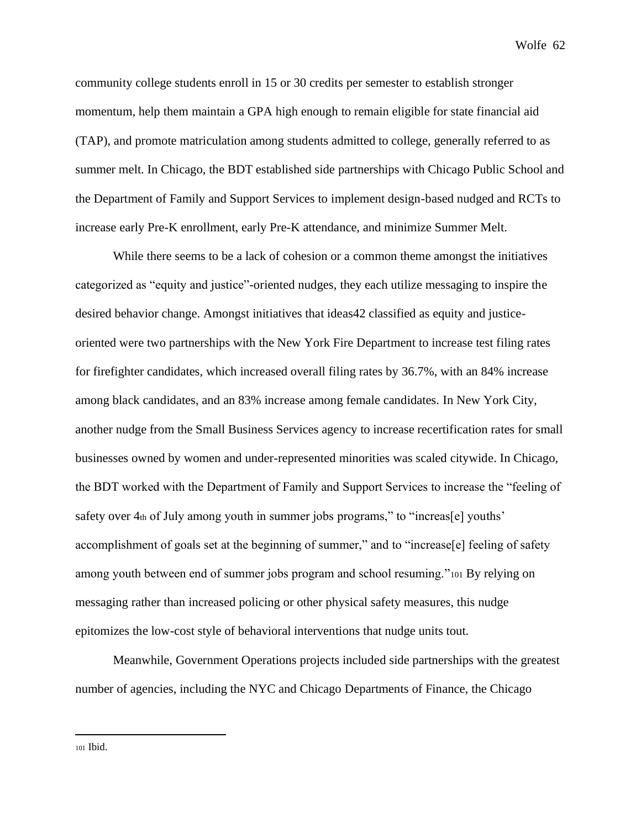community college students enroll in 15 or 30 credits per semester to establish stronger momentum, help them maintain a GPA high enough to remain eligible for state financial aid (TAP), and promote matriculation among students admitted to college, generally referred to as summer melt. In Chicago, the BDT established side partnerships with Chicago Public School and the Department of Family and Support Services to implement design-based nudged and RCTs to increase early Pre-K enrollment, early Pre-K attendance, and minimize Summer Melt.

While there seems to be a lack of cohesion or a common theme amongst the initiatives categorized as "equity and justice"-oriented nudges, they each utilize messaging to inspire the desired behavior change. Amongst initiatives that ideas42 classified as equity and justiceoriented were two partnerships with the New York Fire Department to increase test filing rates for firefighter candidates, which increased overall filing rates by 36.7%, with an 84% increase among black candidates, and an 83% increase among female candidates. In New York City, another nudge from the Small Business Services agency to increase recertification rates for small businesses owned by women and under-represented minorities was scaled citywide. In Chicago, the BDT worked with the Department of Family and Support Services to increase the "feeling of safety over 4th of July among youth in summer jobs programs," to "increas[e] youths" accomplishment of goals set at the beginning of summer," and to "increase[e] feeling of safety among youth between end of summer jobs program and school resuming."<sup>101</sup> By relying on messaging rather than increased policing or other physical safety measures, this nudge epitomizes the low-cost style of behavioral interventions that nudge units tout.

Meanwhile, Government Operations projects included side partnerships with the greatest number of agencies, including the NYC and Chicago Departments of Finance, the Chicago

<sup>101</sup> Ibid.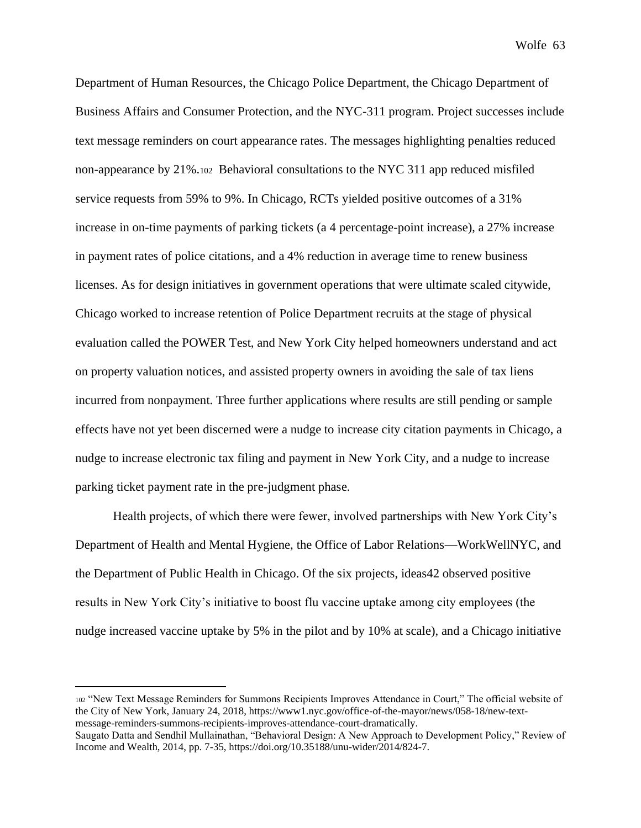Department of Human Resources, the Chicago Police Department, the Chicago Department of Business Affairs and Consumer Protection, and the NYC-311 program. Project successes include text message reminders on court appearance rates. The messages highlighting penalties reduced non-appearance by 21%.102 Behavioral consultations to the NYC 311 app reduced misfiled service requests from 59% to 9%. In Chicago, RCTs yielded positive outcomes of a 31% increase in on-time payments of parking tickets (a 4 percentage-point increase), a 27% increase in payment rates of police citations, and a 4% reduction in average time to renew business licenses. As for design initiatives in government operations that were ultimate scaled citywide, Chicago worked to increase retention of Police Department recruits at the stage of physical evaluation called the POWER Test, and New York City helped homeowners understand and act on property valuation notices, and assisted property owners in avoiding the sale of tax liens incurred from nonpayment. Three further applications where results are still pending or sample effects have not yet been discerned were a nudge to increase city citation payments in Chicago, a nudge to increase electronic tax filing and payment in New York City, and a nudge to increase parking ticket payment rate in the pre-judgment phase.

Health projects, of which there were fewer, involved partnerships with New York City's Department of Health and Mental Hygiene, the Office of Labor Relations—WorkWellNYC, and the Department of Public Health in Chicago. Of the six projects, ideas42 observed positive results in New York City's initiative to boost flu vaccine uptake among city employees (the nudge increased vaccine uptake by 5% in the pilot and by 10% at scale), and a Chicago initiative

<sup>102</sup> "New Text Message Reminders for Summons Recipients Improves Attendance in Court," The official website of the City of New York, January 24, 2018, https://www1.nyc.gov/office-of-the-mayor/news/058-18/new-textmessage-reminders-summons-recipients-improves-attendance-court-dramatically.

Saugato Datta and Sendhil Mullainathan, "Behavioral Design: A New Approach to Development Policy," Review of Income and Wealth, 2014, pp. 7-35, https://doi.org/10.35188/unu-wider/2014/824-7.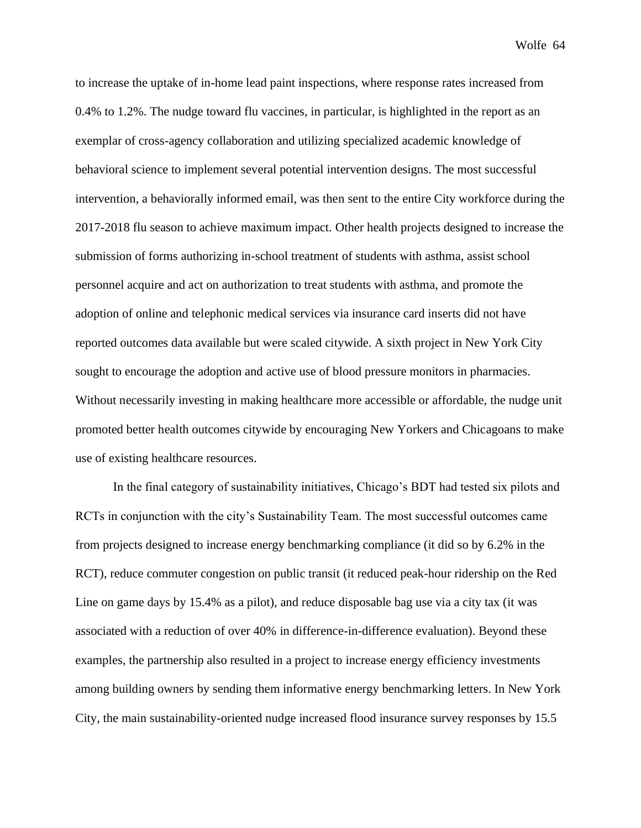to increase the uptake of in-home lead paint inspections, where response rates increased from 0.4% to 1.2%. The nudge toward flu vaccines, in particular, is highlighted in the report as an exemplar of cross-agency collaboration and utilizing specialized academic knowledge of behavioral science to implement several potential intervention designs. The most successful intervention, a behaviorally informed email, was then sent to the entire City workforce during the 2017-2018 flu season to achieve maximum impact. Other health projects designed to increase the submission of forms authorizing in-school treatment of students with asthma, assist school personnel acquire and act on authorization to treat students with asthma, and promote the adoption of online and telephonic medical services via insurance card inserts did not have reported outcomes data available but were scaled citywide. A sixth project in New York City sought to encourage the adoption and active use of blood pressure monitors in pharmacies. Without necessarily investing in making healthcare more accessible or affordable, the nudge unit promoted better health outcomes citywide by encouraging New Yorkers and Chicagoans to make use of existing healthcare resources.

In the final category of sustainability initiatives, Chicago's BDT had tested six pilots and RCTs in conjunction with the city's Sustainability Team. The most successful outcomes came from projects designed to increase energy benchmarking compliance (it did so by 6.2% in the RCT), reduce commuter congestion on public transit (it reduced peak-hour ridership on the Red Line on game days by 15.4% as a pilot), and reduce disposable bag use via a city tax (it was associated with a reduction of over 40% in difference-in-difference evaluation). Beyond these examples, the partnership also resulted in a project to increase energy efficiency investments among building owners by sending them informative energy benchmarking letters. In New York City, the main sustainability-oriented nudge increased flood insurance survey responses by 15.5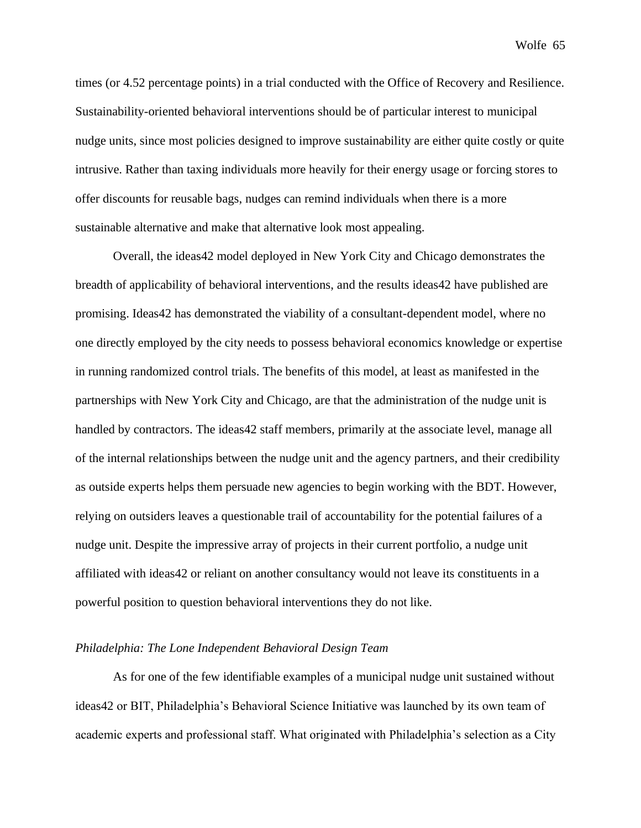times (or 4.52 percentage points) in a trial conducted with the Office of Recovery and Resilience. Sustainability-oriented behavioral interventions should be of particular interest to municipal nudge units, since most policies designed to improve sustainability are either quite costly or quite intrusive. Rather than taxing individuals more heavily for their energy usage or forcing stores to offer discounts for reusable bags, nudges can remind individuals when there is a more sustainable alternative and make that alternative look most appealing.

Overall, the ideas42 model deployed in New York City and Chicago demonstrates the breadth of applicability of behavioral interventions, and the results ideas42 have published are promising. Ideas42 has demonstrated the viability of a consultant-dependent model, where no one directly employed by the city needs to possess behavioral economics knowledge or expertise in running randomized control trials. The benefits of this model, at least as manifested in the partnerships with New York City and Chicago, are that the administration of the nudge unit is handled by contractors. The ideas42 staff members, primarily at the associate level, manage all of the internal relationships between the nudge unit and the agency partners, and their credibility as outside experts helps them persuade new agencies to begin working with the BDT. However, relying on outsiders leaves a questionable trail of accountability for the potential failures of a nudge unit. Despite the impressive array of projects in their current portfolio, a nudge unit affiliated with ideas42 or reliant on another consultancy would not leave its constituents in a powerful position to question behavioral interventions they do not like.

#### *Philadelphia: The Lone Independent Behavioral Design Team*

As for one of the few identifiable examples of a municipal nudge unit sustained without ideas42 or BIT, Philadelphia's Behavioral Science Initiative was launched by its own team of academic experts and professional staff. What originated with Philadelphia's selection as a City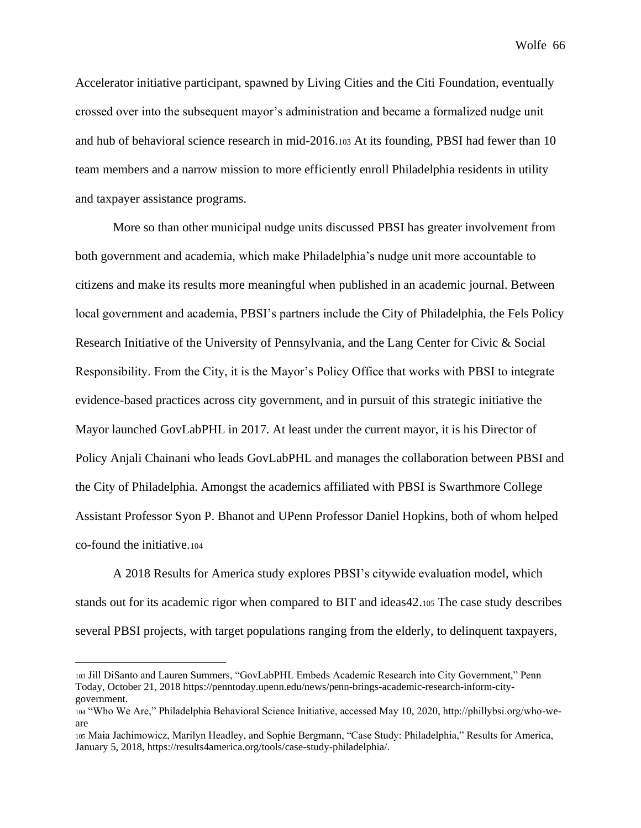Accelerator initiative participant, spawned by Living Cities and the Citi Foundation, eventually crossed over into the subsequent mayor's administration and became a formalized nudge unit and hub of behavioral science research in mid-2016.<sup>103</sup> At its founding, PBSI had fewer than 10 team members and a narrow mission to more efficiently enroll Philadelphia residents in utility and taxpayer assistance programs.

More so than other municipal nudge units discussed PBSI has greater involvement from both government and academia, which make Philadelphia's nudge unit more accountable to citizens and make its results more meaningful when published in an academic journal. Between local government and academia, PBSI's partners include the City of Philadelphia, the Fels Policy Research Initiative of the University of Pennsylvania, and the Lang Center for Civic & Social Responsibility. From the City, it is the Mayor's Policy Office that works with PBSI to integrate evidence-based practices across city government, and in pursuit of this strategic initiative the Mayor launched GovLabPHL in 2017. At least under the current mayor, it is his Director of Policy Anjali Chainani who leads GovLabPHL and manages the collaboration between PBSI and the City of Philadelphia. Amongst the academics affiliated with PBSI is Swarthmore College Assistant Professor Syon P. Bhanot and UPenn Professor Daniel Hopkins, both of whom helped co-found the initiative.<sup>104</sup>

A 2018 Results for America study explores PBSI's citywide evaluation model, which stands out for its academic rigor when compared to BIT and ideas42.<sup>105</sup> The case study describes several PBSI projects, with target populations ranging from the elderly, to delinquent taxpayers,

<sup>103</sup> Jill DiSanto and Lauren Summers, "GovLabPHL Embeds Academic Research into City Government," Penn Today, October 21, 2018 https://penntoday.upenn.edu/news/penn-brings-academic-research-inform-citygovernment.

<sup>104</sup> "Who We Are," Philadelphia Behavioral Science Initiative, accessed May 10, 2020, http://phillybsi.org/who-weare

<sup>105</sup> Maia Jachimowicz, Marilyn Headley, and Sophie Bergmann, "Case Study: Philadelphia," Results for America, January 5, 2018, https://results4america.org/tools/case-study-philadelphia/.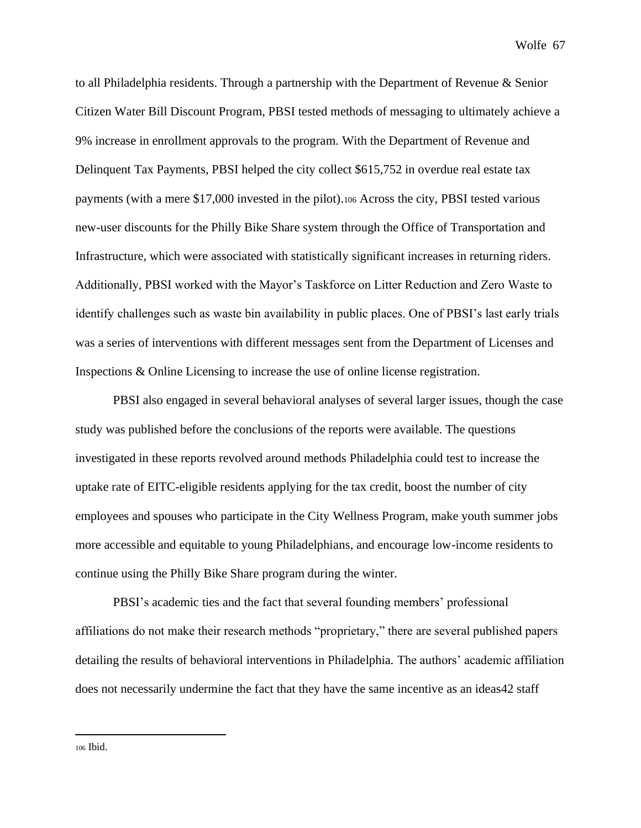to all Philadelphia residents. Through a partnership with the Department of Revenue & Senior Citizen Water Bill Discount Program, PBSI tested methods of messaging to ultimately achieve a 9% increase in enrollment approvals to the program. With the Department of Revenue and Delinquent Tax Payments, PBSI helped the city collect \$615,752 in overdue real estate tax payments (with a mere \$17,000 invested in the pilot).<sup>106</sup> Across the city, PBSI tested various new-user discounts for the Philly Bike Share system through the Office of Transportation and Infrastructure, which were associated with statistically significant increases in returning riders. Additionally, PBSI worked with the Mayor's Taskforce on Litter Reduction and Zero Waste to identify challenges such as waste bin availability in public places. One of PBSI's last early trials was a series of interventions with different messages sent from the Department of Licenses and Inspections & Online Licensing to increase the use of online license registration.

PBSI also engaged in several behavioral analyses of several larger issues, though the case study was published before the conclusions of the reports were available. The questions investigated in these reports revolved around methods Philadelphia could test to increase the uptake rate of EITC-eligible residents applying for the tax credit, boost the number of city employees and spouses who participate in the City Wellness Program, make youth summer jobs more accessible and equitable to young Philadelphians, and encourage low-income residents to continue using the Philly Bike Share program during the winter.

PBSI's academic ties and the fact that several founding members' professional affiliations do not make their research methods "proprietary," there are several published papers detailing the results of behavioral interventions in Philadelphia. The authors' academic affiliation does not necessarily undermine the fact that they have the same incentive as an ideas42 staff

<sup>106</sup> Ibid.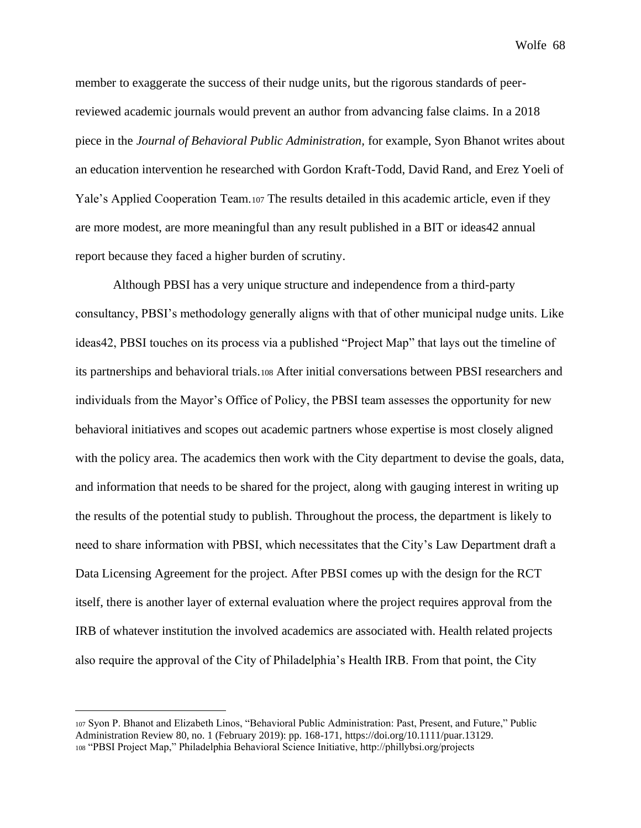member to exaggerate the success of their nudge units, but the rigorous standards of peerreviewed academic journals would prevent an author from advancing false claims. In a 2018 piece in the *Journal of Behavioral Public Administration,* for example, Syon Bhanot writes about an education intervention he researched with Gordon Kraft-Todd, David Rand, and Erez Yoeli of Yale's Applied Cooperation Team.<sup>107</sup> The results detailed in this academic article, even if they are more modest, are more meaningful than any result published in a BIT or ideas42 annual report because they faced a higher burden of scrutiny.

Although PBSI has a very unique structure and independence from a third-party consultancy, PBSI's methodology generally aligns with that of other municipal nudge units. Like ideas42, PBSI touches on its process via a published "Project Map" that lays out the timeline of its partnerships and behavioral trials.<sup>108</sup> After initial conversations between PBSI researchers and individuals from the Mayor's Office of Policy, the PBSI team assesses the opportunity for new behavioral initiatives and scopes out academic partners whose expertise is most closely aligned with the policy area. The academics then work with the City department to devise the goals, data, and information that needs to be shared for the project, along with gauging interest in writing up the results of the potential study to publish. Throughout the process, the department is likely to need to share information with PBSI, which necessitates that the City's Law Department draft a Data Licensing Agreement for the project. After PBSI comes up with the design for the RCT itself, there is another layer of external evaluation where the project requires approval from the IRB of whatever institution the involved academics are associated with. Health related projects also require the approval of the City of Philadelphia's Health IRB. From that point, the City

<sup>107</sup> Syon P. Bhanot and Elizabeth Linos, "Behavioral Public Administration: Past, Present, and Future," Public Administration Review 80, no. 1 (February 2019): pp. 168-171, https://doi.org/10.1111/puar.13129. <sup>108</sup> "PBSI Project Map," Philadelphia Behavioral Science Initiative, http://phillybsi.org/projects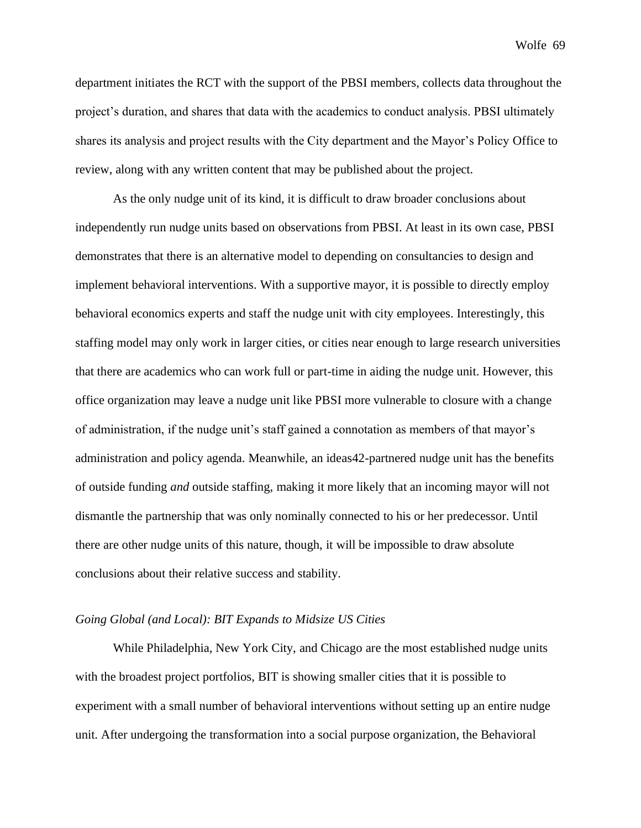department initiates the RCT with the support of the PBSI members, collects data throughout the project's duration, and shares that data with the academics to conduct analysis. PBSI ultimately shares its analysis and project results with the City department and the Mayor's Policy Office to review, along with any written content that may be published about the project.

As the only nudge unit of its kind, it is difficult to draw broader conclusions about independently run nudge units based on observations from PBSI. At least in its own case, PBSI demonstrates that there is an alternative model to depending on consultancies to design and implement behavioral interventions. With a supportive mayor, it is possible to directly employ behavioral economics experts and staff the nudge unit with city employees. Interestingly, this staffing model may only work in larger cities, or cities near enough to large research universities that there are academics who can work full or part-time in aiding the nudge unit. However, this office organization may leave a nudge unit like PBSI more vulnerable to closure with a change of administration, if the nudge unit's staff gained a connotation as members of that mayor's administration and policy agenda. Meanwhile, an ideas42-partnered nudge unit has the benefits of outside funding *and* outside staffing, making it more likely that an incoming mayor will not dismantle the partnership that was only nominally connected to his or her predecessor. Until there are other nudge units of this nature, though, it will be impossible to draw absolute conclusions about their relative success and stability.

# *Going Global (and Local): BIT Expands to Midsize US Cities*

While Philadelphia, New York City, and Chicago are the most established nudge units with the broadest project portfolios, BIT is showing smaller cities that it is possible to experiment with a small number of behavioral interventions without setting up an entire nudge unit. After undergoing the transformation into a social purpose organization, the Behavioral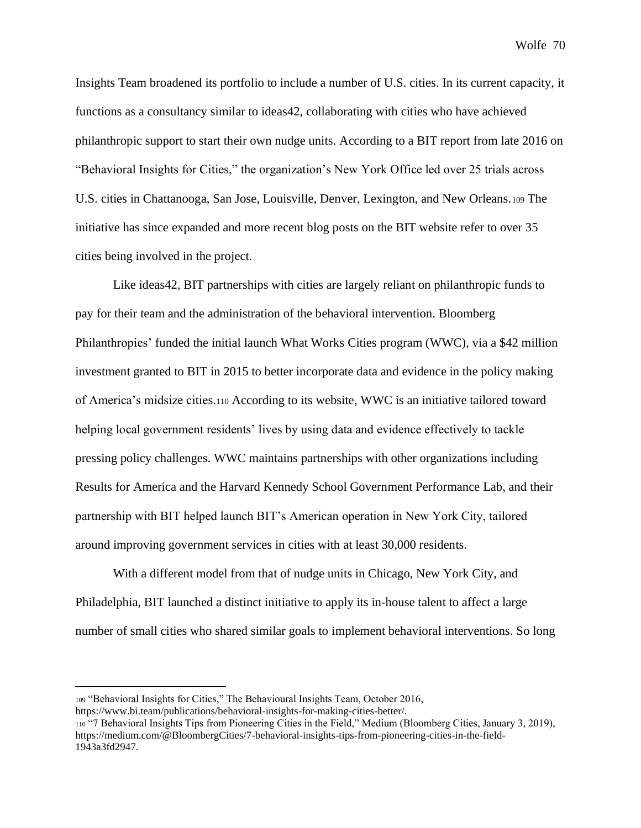Insights Team broadened its portfolio to include a number of U.S. cities. In its current capacity, it functions as a consultancy similar to ideas42, collaborating with cities who have achieved philanthropic support to start their own nudge units. According to a BIT report from late 2016 on "Behavioral Insights for Cities," the organization's New York Office led over 25 trials across U.S. cities in Chattanooga, San Jose, Louisville, Denver, Lexington, and New Orleans.<sup>109</sup> The initiative has since expanded and more recent blog posts on the BIT website refer to over 35 cities being involved in the project.

Like ideas42, BIT partnerships with cities are largely reliant on philanthropic funds to pay for their team and the administration of the behavioral intervention. Bloomberg Philanthropies' funded the initial launch What Works Cities program (WWC), via a \$42 million investment granted to BIT in 2015 to better incorporate data and evidence in the policy making of America's midsize cities.<sup>110</sup> According to its website, WWC is an initiative tailored toward helping local government residents' lives by using data and evidence effectively to tackle pressing policy challenges. WWC maintains partnerships with other organizations including Results for America and the Harvard Kennedy School Government Performance Lab, and their partnership with BIT helped launch BIT's American operation in New York City, tailored around improving government services in cities with at least 30,000 residents.

With a different model from that of nudge units in Chicago, New York City, and Philadelphia, BIT launched a distinct initiative to apply its in-house talent to affect a large number of small cities who shared similar goals to implement behavioral interventions. So long

<sup>109</sup> "Behavioral Insights for Cities," The Behavioural Insights Team, October 2016,

https://www.bi.team/publications/behavioral-insights-for-making-cities-better/.

<sup>110</sup> "7 Behavioral Insights Tips from Pioneering Cities in the Field," Medium (Bloomberg Cities, January 3, 2019), https://medium.com/@BloombergCities/7-behavioral-insights-tips-from-pioneering-cities-in-the-field-1943a3fd2947.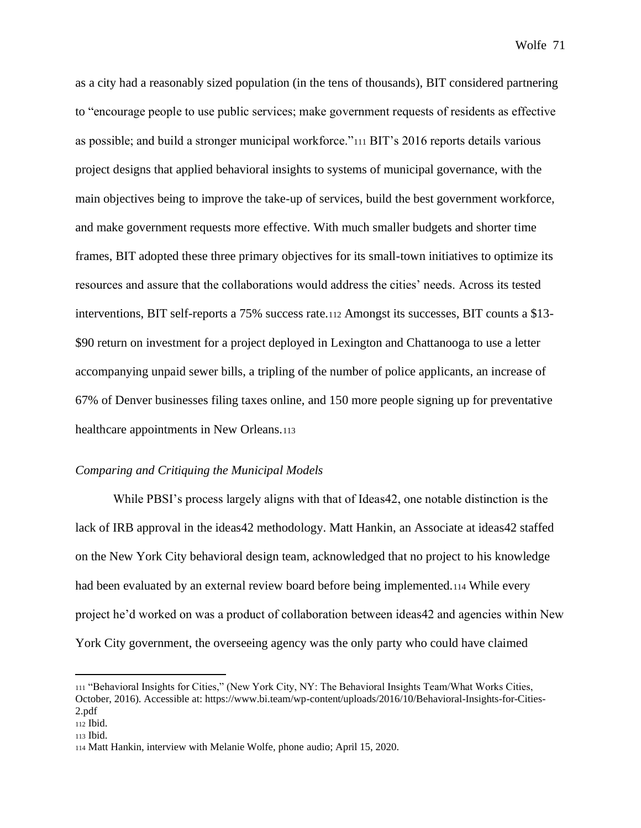as a city had a reasonably sized population (in the tens of thousands), BIT considered partnering to "encourage people to use public services; make government requests of residents as effective as possible; and build a stronger municipal workforce."<sup>111</sup> BIT's 2016 reports details various project designs that applied behavioral insights to systems of municipal governance, with the main objectives being to improve the take-up of services, build the best government workforce, and make government requests more effective. With much smaller budgets and shorter time frames, BIT adopted these three primary objectives for its small-town initiatives to optimize its resources and assure that the collaborations would address the cities' needs. Across its tested interventions, BIT self-reports a 75% success rate.<sup>112</sup> Amongst its successes, BIT counts a \$13- \$90 return on investment for a project deployed in Lexington and Chattanooga to use a letter accompanying unpaid sewer bills, a tripling of the number of police applicants, an increase of 67% of Denver businesses filing taxes online, and 150 more people signing up for preventative healthcare appointments in New Orleans.<sup>113</sup>

### *Comparing and Critiquing the Municipal Models*

While PBSI's process largely aligns with that of Ideas42, one notable distinction is the lack of IRB approval in the ideas42 methodology. Matt Hankin, an Associate at ideas42 staffed on the New York City behavioral design team, acknowledged that no project to his knowledge had been evaluated by an external review board before being implemented.<sup>114</sup> While every project he'd worked on was a product of collaboration between ideas42 and agencies within New York City government, the overseeing agency was the only party who could have claimed

<sup>111</sup> "Behavioral Insights for Cities," (New York City, NY: The Behavioral Insights Team/What Works Cities, October, 2016). Accessible at: https://www.bi.team/wp-content/uploads/2016/10/Behavioral-Insights-for-Cities-2.pdf

<sup>112</sup> Ibid.

<sup>113</sup> Ibid.

<sup>114</sup> Matt Hankin, interview with Melanie Wolfe, phone audio; April 15, 2020.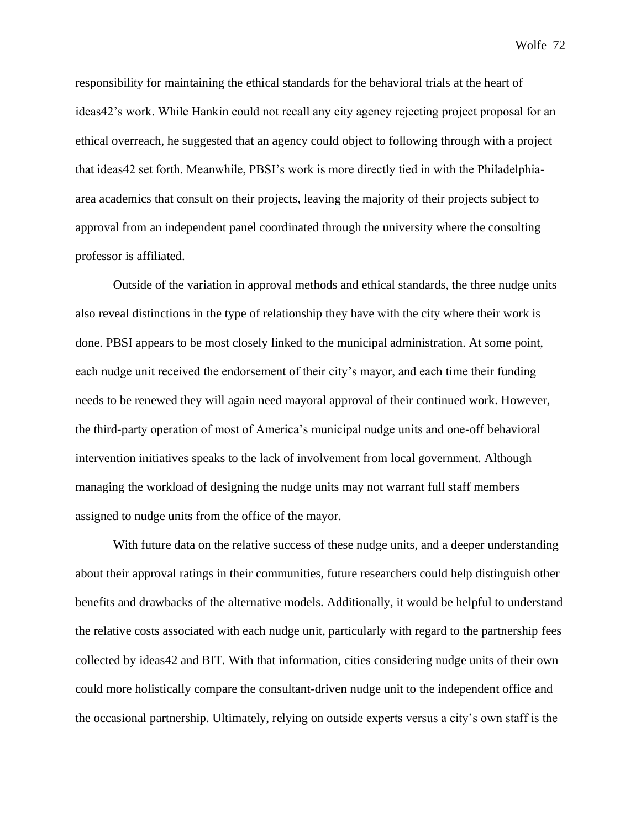responsibility for maintaining the ethical standards for the behavioral trials at the heart of ideas42's work. While Hankin could not recall any city agency rejecting project proposal for an ethical overreach, he suggested that an agency could object to following through with a project that ideas42 set forth. Meanwhile, PBSI's work is more directly tied in with the Philadelphiaarea academics that consult on their projects, leaving the majority of their projects subject to approval from an independent panel coordinated through the university where the consulting professor is affiliated.

Outside of the variation in approval methods and ethical standards, the three nudge units also reveal distinctions in the type of relationship they have with the city where their work is done. PBSI appears to be most closely linked to the municipal administration. At some point, each nudge unit received the endorsement of their city's mayor, and each time their funding needs to be renewed they will again need mayoral approval of their continued work. However, the third-party operation of most of America's municipal nudge units and one-off behavioral intervention initiatives speaks to the lack of involvement from local government. Although managing the workload of designing the nudge units may not warrant full staff members assigned to nudge units from the office of the mayor.

With future data on the relative success of these nudge units, and a deeper understanding about their approval ratings in their communities, future researchers could help distinguish other benefits and drawbacks of the alternative models. Additionally, it would be helpful to understand the relative costs associated with each nudge unit, particularly with regard to the partnership fees collected by ideas42 and BIT. With that information, cities considering nudge units of their own could more holistically compare the consultant-driven nudge unit to the independent office and the occasional partnership. Ultimately, relying on outside experts versus a city's own staff is the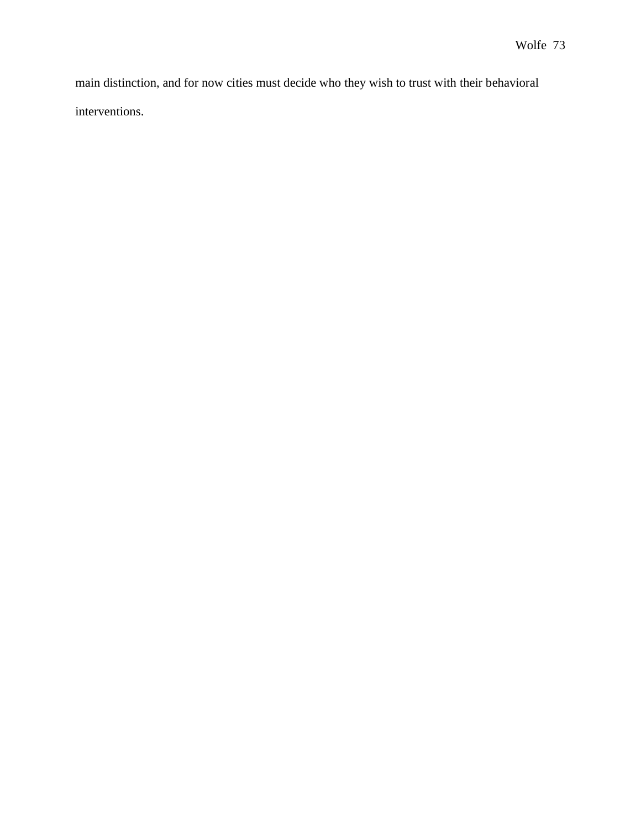main distinction, and for now cities must decide who they wish to trust with their behavioral interventions.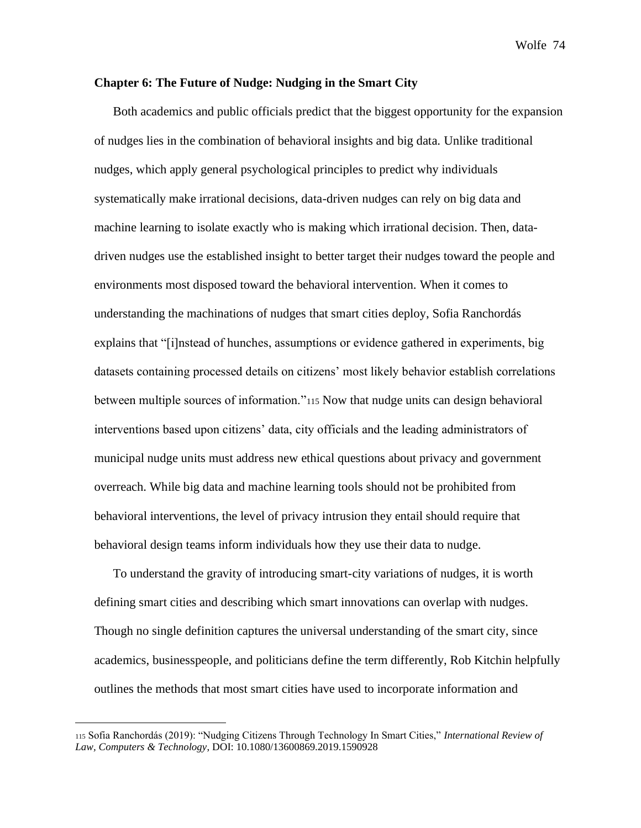## **Chapter 6: The Future of Nudge: Nudging in the Smart City**

Both academics and public officials predict that the biggest opportunity for the expansion of nudges lies in the combination of behavioral insights and big data. Unlike traditional nudges, which apply general psychological principles to predict why individuals systematically make irrational decisions, data-driven nudges can rely on big data and machine learning to isolate exactly who is making which irrational decision. Then, datadriven nudges use the established insight to better target their nudges toward the people and environments most disposed toward the behavioral intervention. When it comes to understanding the machinations of nudges that smart cities deploy, Sofia Ranchordás explains that "[i]nstead of hunches, assumptions or evidence gathered in experiments, big datasets containing processed details on citizens' most likely behavior establish correlations between multiple sources of information."<sup>115</sup> Now that nudge units can design behavioral interventions based upon citizens' data, city officials and the leading administrators of municipal nudge units must address new ethical questions about privacy and government overreach. While big data and machine learning tools should not be prohibited from behavioral interventions, the level of privacy intrusion they entail should require that behavioral design teams inform individuals how they use their data to nudge.

To understand the gravity of introducing smart-city variations of nudges, it is worth defining smart cities and describing which smart innovations can overlap with nudges. Though no single definition captures the universal understanding of the smart city, since academics, businesspeople, and politicians define the term differently, Rob Kitchin helpfully outlines the methods that most smart cities have used to incorporate information and

<sup>115</sup> Sofia Ranchordás (2019): "Nudging Citizens Through Technology In Smart Cities," *International Review of Law, Computers & Technology*, DOI: 10.1080/13600869.2019.1590928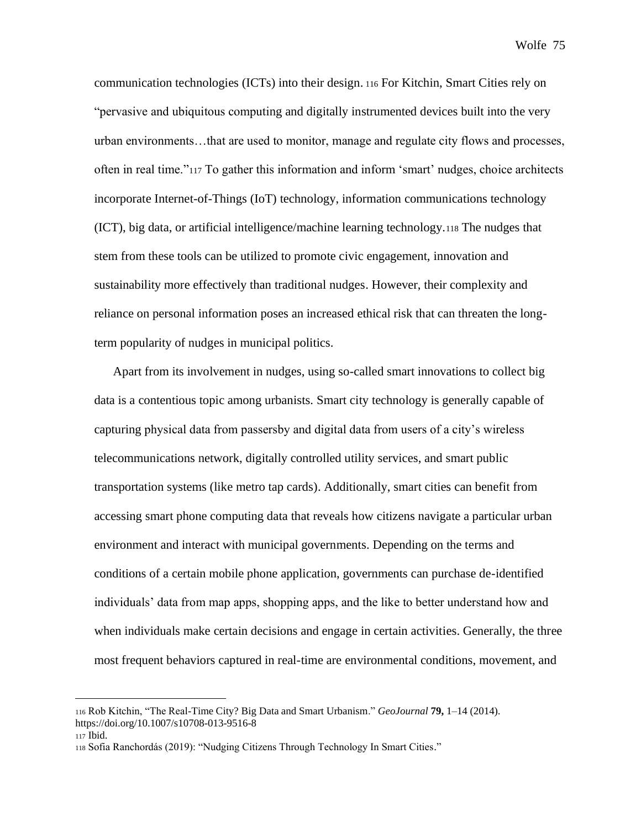communication technologies (ICTs) into their design. <sup>116</sup> For Kitchin, Smart Cities rely on "pervasive and ubiquitous computing and digitally instrumented devices built into the very urban environments…that are used to monitor, manage and regulate city flows and processes, often in real time."<sup>117</sup> To gather this information and inform 'smart' nudges, choice architects incorporate Internet-of-Things (IoT) technology, information communications technology (ICT), big data, or artificial intelligence/machine learning technology.<sup>118</sup> The nudges that stem from these tools can be utilized to promote civic engagement, innovation and sustainability more effectively than traditional nudges. However, their complexity and reliance on personal information poses an increased ethical risk that can threaten the longterm popularity of nudges in municipal politics.

Apart from its involvement in nudges, using so-called smart innovations to collect big data is a contentious topic among urbanists. Smart city technology is generally capable of capturing physical data from passersby and digital data from users of a city's wireless telecommunications network, digitally controlled utility services, and smart public transportation systems (like metro tap cards). Additionally, smart cities can benefit from accessing smart phone computing data that reveals how citizens navigate a particular urban environment and interact with municipal governments. Depending on the terms and conditions of a certain mobile phone application, governments can purchase de-identified individuals' data from map apps, shopping apps, and the like to better understand how and when individuals make certain decisions and engage in certain activities. Generally, the three most frequent behaviors captured in real-time are environmental conditions, movement, and

<sup>116</sup> Rob Kitchin, "The Real-Time City? Big Data and Smart Urbanism." *GeoJournal* **79,** 1–14 (2014). https://doi.org/10.1007/s10708-013-9516-8

<sup>117</sup> Ibid.

<sup>118</sup> Sofia Ranchordás (2019): "Nudging Citizens Through Technology In Smart Cities."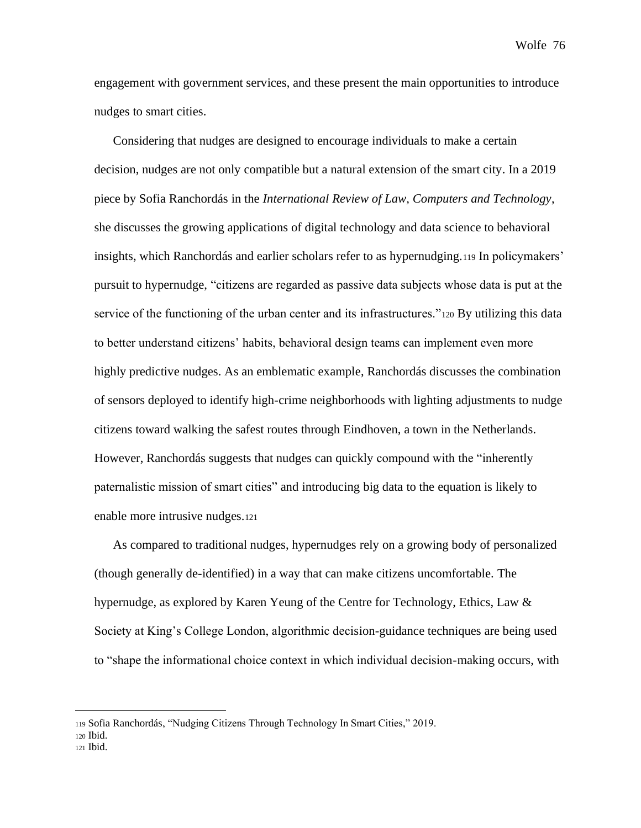engagement with government services, and these present the main opportunities to introduce nudges to smart cities.

Considering that nudges are designed to encourage individuals to make a certain decision, nudges are not only compatible but a natural extension of the smart city. In a 2019 piece by Sofia Ranchordás in the *International Review of Law, Computers and Technology*, she discusses the growing applications of digital technology and data science to behavioral insights, which Ranchordás and earlier scholars refer to as hypernudging.<sup>119</sup> In policymakers' pursuit to hypernudge, "citizens are regarded as passive data subjects whose data is put at the service of the functioning of the urban center and its infrastructures."<sup>120</sup> By utilizing this data to better understand citizens' habits, behavioral design teams can implement even more highly predictive nudges. As an emblematic example, Ranchordás discusses the combination of sensors deployed to identify high-crime neighborhoods with lighting adjustments to nudge citizens toward walking the safest routes through Eindhoven, a town in the Netherlands. However, Ranchordás suggests that nudges can quickly compound with the "inherently paternalistic mission of smart cities" and introducing big data to the equation is likely to enable more intrusive nudges.<sup>121</sup>

As compared to traditional nudges, hypernudges rely on a growing body of personalized (though generally de-identified) in a way that can make citizens uncomfortable. The hypernudge, as explored by Karen Yeung of the Centre for Technology, Ethics, Law & Society at King's College London, algorithmic decision-guidance techniques are being used to "shape the informational choice context in which individual decision-making occurs, with

<sup>119</sup> Sofia Ranchordás, "Nudging Citizens Through Technology In Smart Cities," 2019.

<sup>120</sup> Ibid.

<sup>121</sup> Ibid.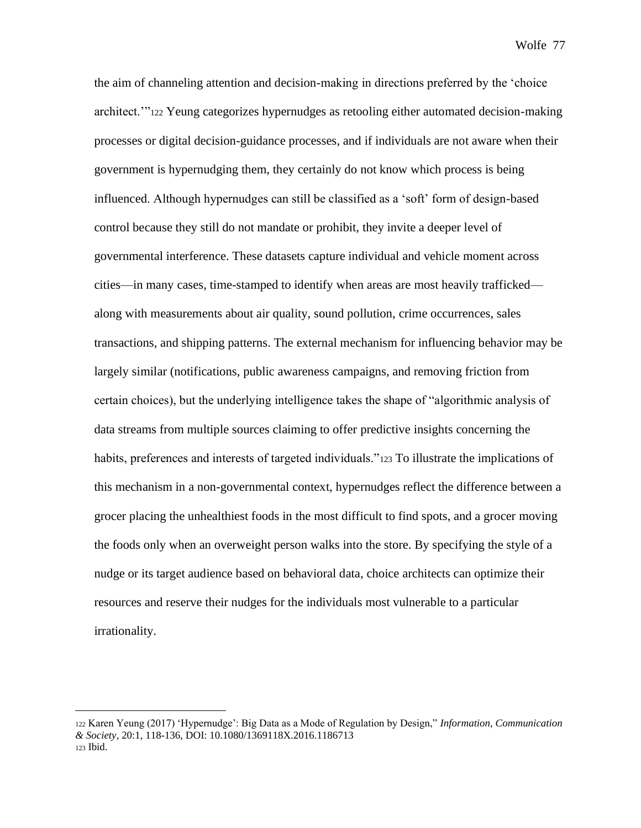the aim of channeling attention and decision-making in directions preferred by the 'choice architect.'"<sup>122</sup> Yeung categorizes hypernudges as retooling either automated decision-making processes or digital decision-guidance processes, and if individuals are not aware when their government is hypernudging them, they certainly do not know which process is being influenced. Although hypernudges can still be classified as a 'soft' form of design-based control because they still do not mandate or prohibit, they invite a deeper level of governmental interference. These datasets capture individual and vehicle moment across cities—in many cases, time-stamped to identify when areas are most heavily trafficked along with measurements about air quality, sound pollution, crime occurrences, sales transactions, and shipping patterns. The external mechanism for influencing behavior may be largely similar (notifications, public awareness campaigns, and removing friction from certain choices), but the underlying intelligence takes the shape of "algorithmic analysis of data streams from multiple sources claiming to offer predictive insights concerning the habits, preferences and interests of targeted individuals."<sup>123</sup> To illustrate the implications of this mechanism in a non-governmental context, hypernudges reflect the difference between a grocer placing the unhealthiest foods in the most difficult to find spots, and a grocer moving the foods only when an overweight person walks into the store. By specifying the style of a nudge or its target audience based on behavioral data, choice architects can optimize their resources and reserve their nudges for the individuals most vulnerable to a particular irrationality.

<sup>122</sup> Karen Yeung (2017) 'Hypernudge': Big Data as a Mode of Regulation by Design," *Information, Communication & Society*, 20:1, 118-136, DOI: 10.1080/1369118X.2016.1186713 <sup>123</sup> Ibid.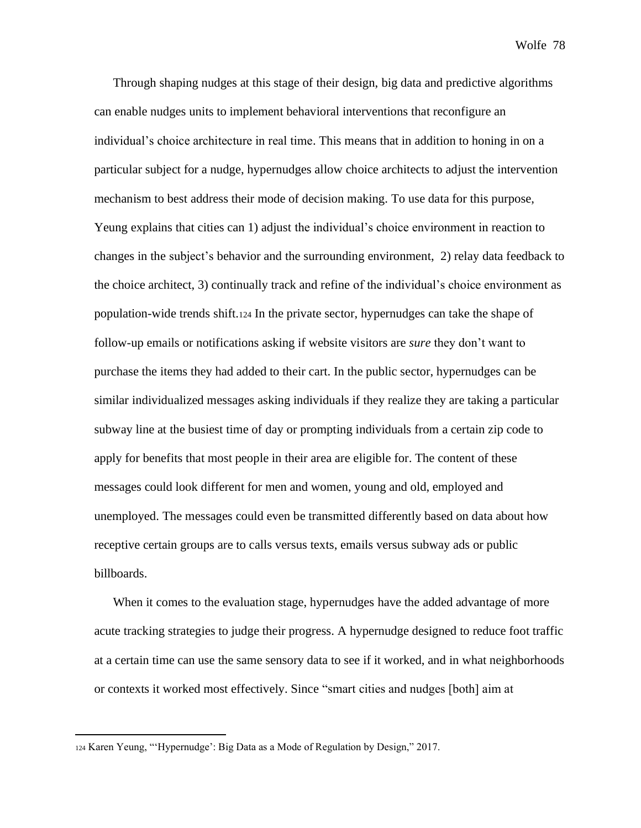Through shaping nudges at this stage of their design, big data and predictive algorithms can enable nudges units to implement behavioral interventions that reconfigure an individual's choice architecture in real time. This means that in addition to honing in on a particular subject for a nudge, hypernudges allow choice architects to adjust the intervention mechanism to best address their mode of decision making. To use data for this purpose, Yeung explains that cities can 1) adjust the individual's choice environment in reaction to changes in the subject's behavior and the surrounding environment, 2) relay data feedback to the choice architect, 3) continually track and refine of the individual's choice environment as population-wide trends shift.<sup>124</sup> In the private sector, hypernudges can take the shape of follow-up emails or notifications asking if website visitors are *sure* they don't want to purchase the items they had added to their cart. In the public sector, hypernudges can be similar individualized messages asking individuals if they realize they are taking a particular subway line at the busiest time of day or prompting individuals from a certain zip code to apply for benefits that most people in their area are eligible for. The content of these messages could look different for men and women, young and old, employed and unemployed. The messages could even be transmitted differently based on data about how receptive certain groups are to calls versus texts, emails versus subway ads or public billboards.

When it comes to the evaluation stage, hypernudges have the added advantage of more acute tracking strategies to judge their progress. A hypernudge designed to reduce foot traffic at a certain time can use the same sensory data to see if it worked, and in what neighborhoods or contexts it worked most effectively. Since "smart cities and nudges [both] aim at

<sup>124</sup> Karen Yeung, "'Hypernudge': Big Data as a Mode of Regulation by Design," 2017.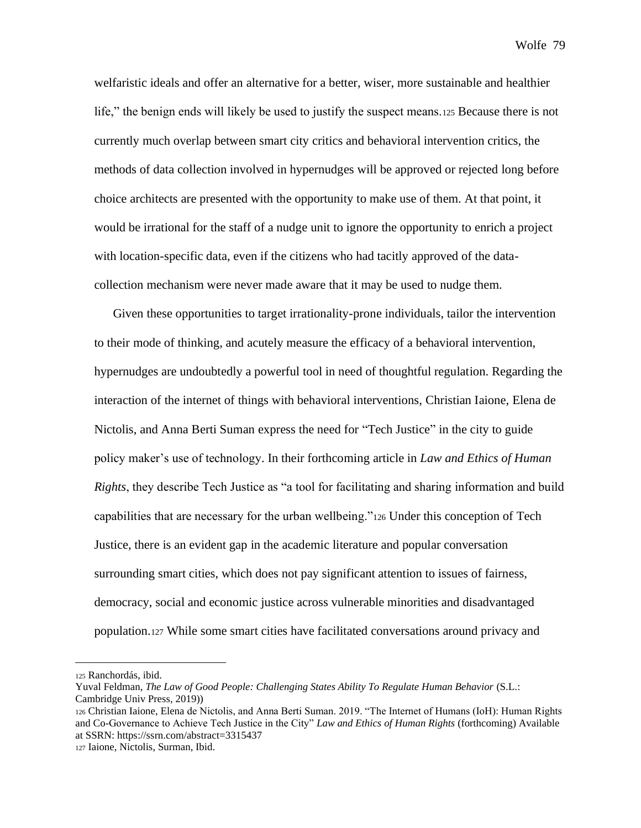welfaristic ideals and offer an alternative for a better, wiser, more sustainable and healthier life," the benign ends will likely be used to justify the suspect means.<sup>125</sup> Because there is not currently much overlap between smart city critics and behavioral intervention critics, the methods of data collection involved in hypernudges will be approved or rejected long before choice architects are presented with the opportunity to make use of them. At that point, it would be irrational for the staff of a nudge unit to ignore the opportunity to enrich a project with location-specific data, even if the citizens who had tacitly approved of the datacollection mechanism were never made aware that it may be used to nudge them.

Given these opportunities to target irrationality-prone individuals, tailor the intervention to their mode of thinking, and acutely measure the efficacy of a behavioral intervention, hypernudges are undoubtedly a powerful tool in need of thoughtful regulation. Regarding the interaction of the internet of things with behavioral interventions, Christian Iaione, Elena de Nictolis, and Anna Berti Suman express the need for "Tech Justice" in the city to guide policy maker's use of technology. In their forthcoming article in *Law and Ethics of Human Rights*, they describe Tech Justice as "a tool for facilitating and sharing information and build capabilities that are necessary for the urban wellbeing."<sup>126</sup> Under this conception of Tech Justice, there is an evident gap in the academic literature and popular conversation surrounding smart cities, which does not pay significant attention to issues of fairness, democracy, social and economic justice across vulnerable minorities and disadvantaged population.<sup>127</sup> While some smart cities have facilitated conversations around privacy and

<sup>125</sup> Ranchordás, ibid.

Yuval Feldman, *The Law of Good People: Challenging States Ability To Regulate Human Behavior* (S.L.: Cambridge Univ Press, 2019))

<sup>126</sup> Christian Iaione, Elena de Nictolis, and Anna Berti Suman. 2019. "The Internet of Humans (IoH): Human Rights and Co-Governance to Achieve Tech Justice in the City" *Law and Ethics of Human Rights* (forthcoming) Available at SSRN: https://ssrn.com/abstract=3315437

<sup>127</sup> Iaione, Nictolis, Surman, Ibid.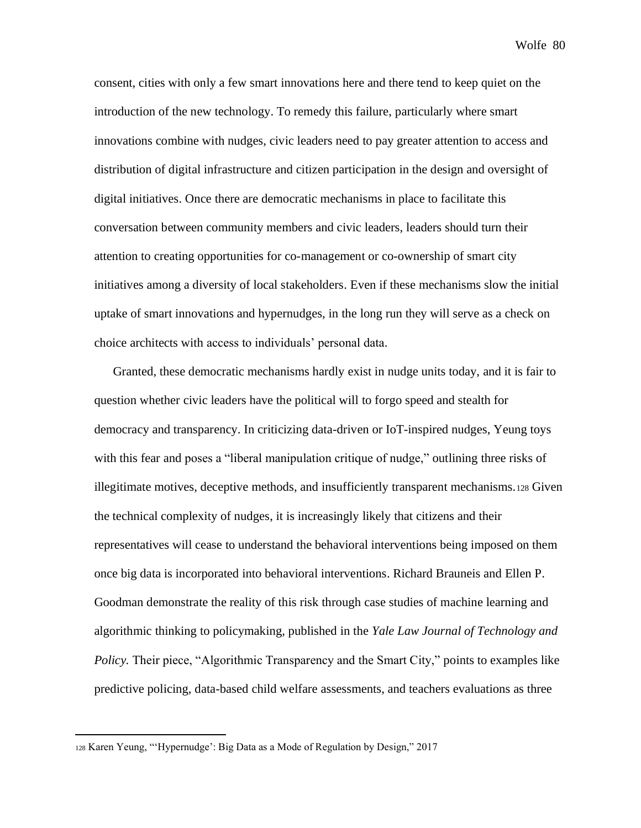consent, cities with only a few smart innovations here and there tend to keep quiet on the introduction of the new technology. To remedy this failure, particularly where smart innovations combine with nudges, civic leaders need to pay greater attention to access and distribution of digital infrastructure and citizen participation in the design and oversight of digital initiatives. Once there are democratic mechanisms in place to facilitate this conversation between community members and civic leaders, leaders should turn their attention to creating opportunities for co-management or co-ownership of smart city initiatives among a diversity of local stakeholders. Even if these mechanisms slow the initial uptake of smart innovations and hypernudges, in the long run they will serve as a check on choice architects with access to individuals' personal data.

Granted, these democratic mechanisms hardly exist in nudge units today, and it is fair to question whether civic leaders have the political will to forgo speed and stealth for democracy and transparency. In criticizing data-driven or IoT-inspired nudges, Yeung toys with this fear and poses a "liberal manipulation critique of nudge," outlining three risks of illegitimate motives, deceptive methods, and insufficiently transparent mechanisms.<sup>128</sup> Given the technical complexity of nudges, it is increasingly likely that citizens and their representatives will cease to understand the behavioral interventions being imposed on them once big data is incorporated into behavioral interventions. Richard Brauneis and Ellen P. Goodman demonstrate the reality of this risk through case studies of machine learning and algorithmic thinking to policymaking, published in the *Yale Law Journal of Technology and Policy.* Their piece, "Algorithmic Transparency and the Smart City," points to examples like predictive policing, data-based child welfare assessments, and teachers evaluations as three

<sup>128</sup> Karen Yeung, "'Hypernudge': Big Data as a Mode of Regulation by Design," 2017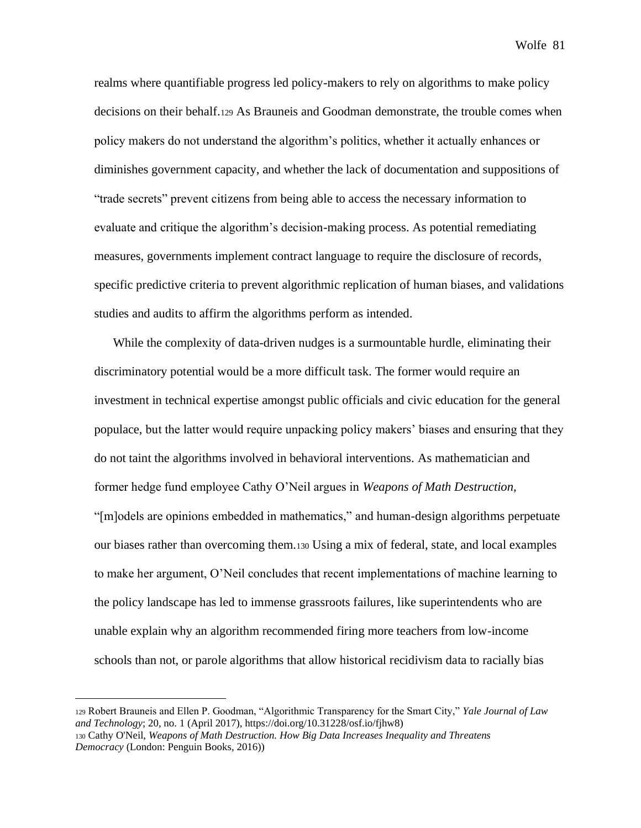realms where quantifiable progress led policy-makers to rely on algorithms to make policy decisions on their behalf.<sup>129</sup> As Brauneis and Goodman demonstrate, the trouble comes when policy makers do not understand the algorithm's politics, whether it actually enhances or diminishes government capacity, and whether the lack of documentation and suppositions of "trade secrets" prevent citizens from being able to access the necessary information to evaluate and critique the algorithm's decision-making process. As potential remediating measures, governments implement contract language to require the disclosure of records, specific predictive criteria to prevent algorithmic replication of human biases, and validations studies and audits to affirm the algorithms perform as intended.

While the complexity of data-driven nudges is a surmountable hurdle, eliminating their discriminatory potential would be a more difficult task. The former would require an investment in technical expertise amongst public officials and civic education for the general populace, but the latter would require unpacking policy makers' biases and ensuring that they do not taint the algorithms involved in behavioral interventions. As mathematician and former hedge fund employee Cathy O'Neil argues in *Weapons of Math Destruction,*  "[m]odels are opinions embedded in mathematics," and human-design algorithms perpetuate our biases rather than overcoming them.<sup>130</sup> Using a mix of federal, state, and local examples to make her argument, O'Neil concludes that recent implementations of machine learning to the policy landscape has led to immense grassroots failures, like superintendents who are unable explain why an algorithm recommended firing more teachers from low-income schools than not, or parole algorithms that allow historical recidivism data to racially bias

<sup>129</sup> Robert Brauneis and Ellen P. Goodman, "Algorithmic Transparency for the Smart City," *Yale Journal of Law and Technology*; 20, no. 1 (April 2017), https://doi.org/10.31228/osf.io/fjhw8) <sup>130</sup> Cathy O'Neil, *Weapons of Math Destruction. How Big Data Increases Inequality and Threatens* 

*Democracy* (London: Penguin Books, 2016))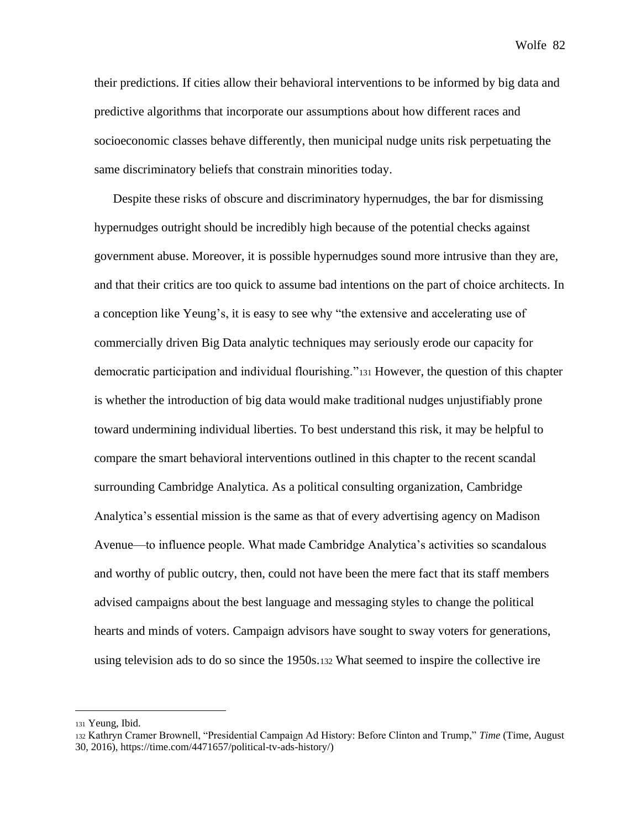their predictions. If cities allow their behavioral interventions to be informed by big data and predictive algorithms that incorporate our assumptions about how different races and socioeconomic classes behave differently, then municipal nudge units risk perpetuating the same discriminatory beliefs that constrain minorities today.

Despite these risks of obscure and discriminatory hypernudges, the bar for dismissing hypernudges outright should be incredibly high because of the potential checks against government abuse. Moreover, it is possible hypernudges sound more intrusive than they are, and that their critics are too quick to assume bad intentions on the part of choice architects. In a conception like Yeung's, it is easy to see why "the extensive and accelerating use of commercially driven Big Data analytic techniques may seriously erode our capacity for democratic participation and individual flourishing."<sup>131</sup> However, the question of this chapter is whether the introduction of big data would make traditional nudges unjustifiably prone toward undermining individual liberties. To best understand this risk, it may be helpful to compare the smart behavioral interventions outlined in this chapter to the recent scandal surrounding Cambridge Analytica. As a political consulting organization, Cambridge Analytica's essential mission is the same as that of every advertising agency on Madison Avenue—to influence people. What made Cambridge Analytica's activities so scandalous and worthy of public outcry, then, could not have been the mere fact that its staff members advised campaigns about the best language and messaging styles to change the political hearts and minds of voters. Campaign advisors have sought to sway voters for generations, using television ads to do so since the 1950s.<sup>132</sup> What seemed to inspire the collective ire

<sup>131</sup> Yeung, Ibid.

<sup>132</sup> Kathryn Cramer Brownell, "Presidential Campaign Ad History: Before Clinton and Trump," *Time* (Time, August 30, 2016), https://time.com/4471657/political-tv-ads-history/)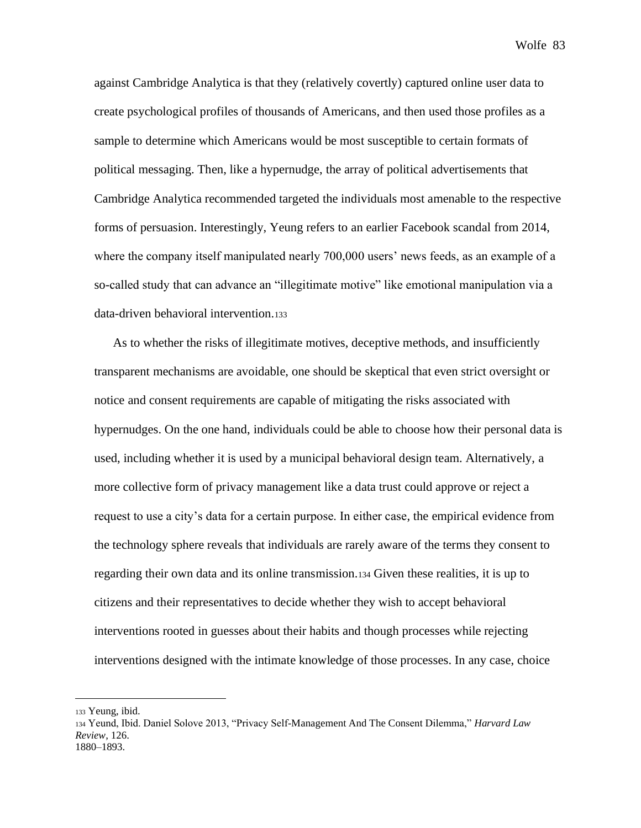against Cambridge Analytica is that they (relatively covertly) captured online user data to create psychological profiles of thousands of Americans, and then used those profiles as a sample to determine which Americans would be most susceptible to certain formats of political messaging. Then, like a hypernudge, the array of political advertisements that Cambridge Analytica recommended targeted the individuals most amenable to the respective forms of persuasion. Interestingly, Yeung refers to an earlier Facebook scandal from 2014, where the company itself manipulated nearly 700,000 users' news feeds, as an example of a so-called study that can advance an "illegitimate motive" like emotional manipulation via a data-driven behavioral intervention.<sup>133</sup>

As to whether the risks of illegitimate motives, deceptive methods, and insufficiently transparent mechanisms are avoidable, one should be skeptical that even strict oversight or notice and consent requirements are capable of mitigating the risks associated with hypernudges. On the one hand, individuals could be able to choose how their personal data is used, including whether it is used by a municipal behavioral design team. Alternatively, a more collective form of privacy management like a data trust could approve or reject a request to use a city's data for a certain purpose. In either case, the empirical evidence from the technology sphere reveals that individuals are rarely aware of the terms they consent to regarding their own data and its online transmission.<sup>134</sup> Given these realities, it is up to citizens and their representatives to decide whether they wish to accept behavioral interventions rooted in guesses about their habits and though processes while rejecting interventions designed with the intimate knowledge of those processes. In any case, choice

<sup>133</sup> Yeung, ibid.

<sup>134</sup> Yeund, Ibid. Daniel Solove 2013, "Privacy Self-Management And The Consent Dilemma," *Harvard Law Review*, 126. 1880–1893.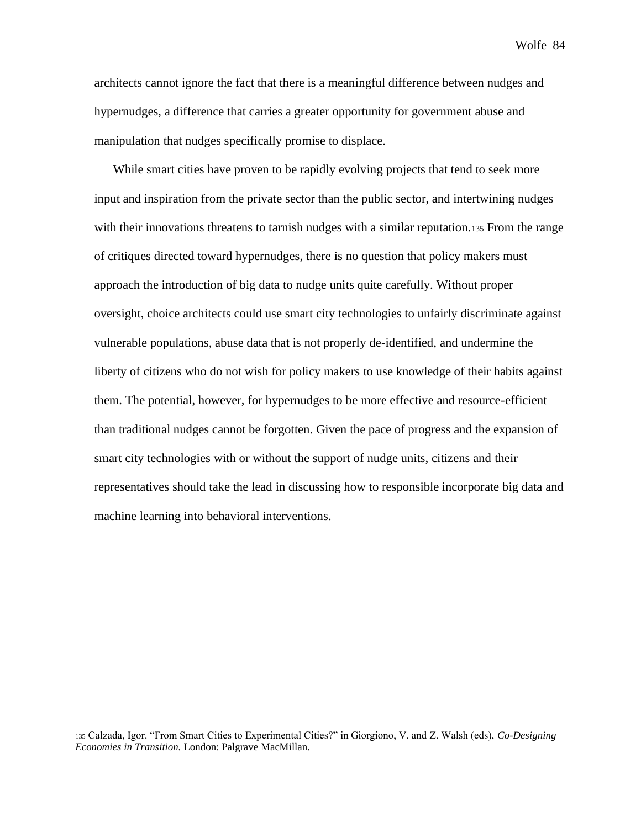architects cannot ignore the fact that there is a meaningful difference between nudges and hypernudges, a difference that carries a greater opportunity for government abuse and manipulation that nudges specifically promise to displace.

While smart cities have proven to be rapidly evolving projects that tend to seek more input and inspiration from the private sector than the public sector, and intertwining nudges with their innovations threatens to tarnish nudges with a similar reputation.135 From the range of critiques directed toward hypernudges, there is no question that policy makers must approach the introduction of big data to nudge units quite carefully. Without proper oversight, choice architects could use smart city technologies to unfairly discriminate against vulnerable populations, abuse data that is not properly de-identified, and undermine the liberty of citizens who do not wish for policy makers to use knowledge of their habits against them. The potential, however, for hypernudges to be more effective and resource-efficient than traditional nudges cannot be forgotten. Given the pace of progress and the expansion of smart city technologies with or without the support of nudge units, citizens and their representatives should take the lead in discussing how to responsible incorporate big data and machine learning into behavioral interventions.

<sup>135</sup> Calzada, Igor. "From Smart Cities to Experimental Cities?" in Giorgiono, V. and Z. Walsh (eds), *Co-Designing Economies in Transition.* London: Palgrave MacMillan.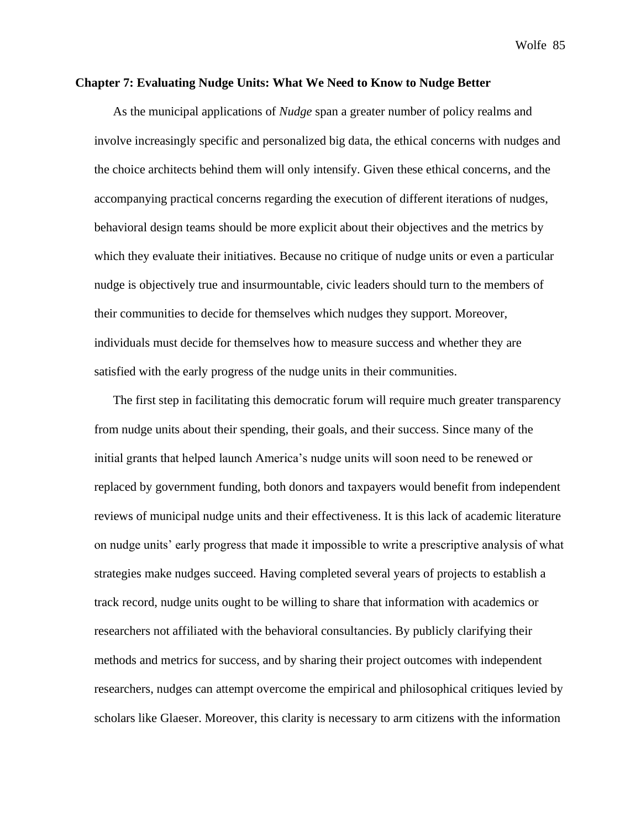## **Chapter 7: Evaluating Nudge Units: What We Need to Know to Nudge Better**

As the municipal applications of *Nudge* span a greater number of policy realms and involve increasingly specific and personalized big data, the ethical concerns with nudges and the choice architects behind them will only intensify. Given these ethical concerns, and the accompanying practical concerns regarding the execution of different iterations of nudges, behavioral design teams should be more explicit about their objectives and the metrics by which they evaluate their initiatives. Because no critique of nudge units or even a particular nudge is objectively true and insurmountable, civic leaders should turn to the members of their communities to decide for themselves which nudges they support. Moreover, individuals must decide for themselves how to measure success and whether they are satisfied with the early progress of the nudge units in their communities.

The first step in facilitating this democratic forum will require much greater transparency from nudge units about their spending, their goals, and their success. Since many of the initial grants that helped launch America's nudge units will soon need to be renewed or replaced by government funding, both donors and taxpayers would benefit from independent reviews of municipal nudge units and their effectiveness. It is this lack of academic literature on nudge units' early progress that made it impossible to write a prescriptive analysis of what strategies make nudges succeed. Having completed several years of projects to establish a track record, nudge units ought to be willing to share that information with academics or researchers not affiliated with the behavioral consultancies. By publicly clarifying their methods and metrics for success, and by sharing their project outcomes with independent researchers, nudges can attempt overcome the empirical and philosophical critiques levied by scholars like Glaeser. Moreover, this clarity is necessary to arm citizens with the information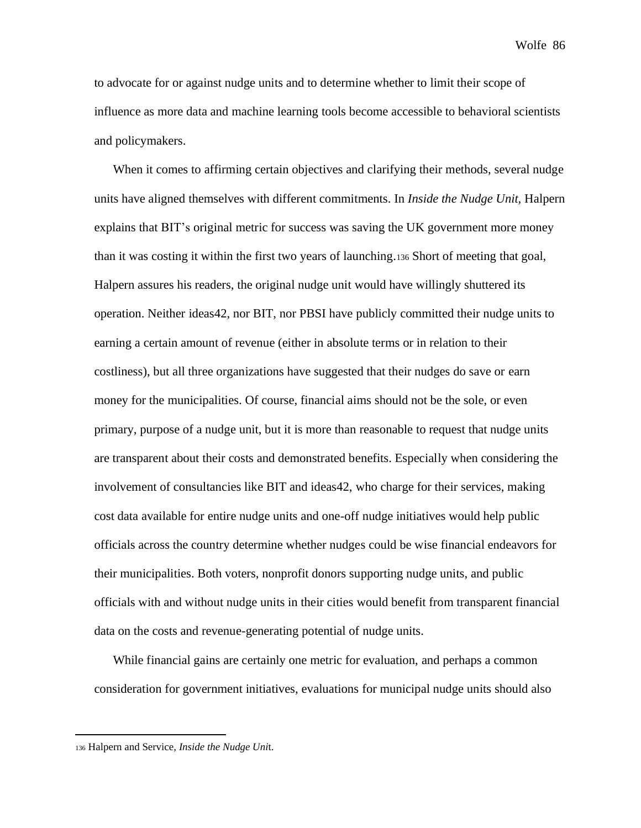to advocate for or against nudge units and to determine whether to limit their scope of influence as more data and machine learning tools become accessible to behavioral scientists and policymakers.

When it comes to affirming certain objectives and clarifying their methods, several nudge units have aligned themselves with different commitments. In *Inside the Nudge Unit,* Halpern explains that BIT's original metric for success was saving the UK government more money than it was costing it within the first two years of launching.<sup>136</sup> Short of meeting that goal, Halpern assures his readers, the original nudge unit would have willingly shuttered its operation. Neither ideas42, nor BIT, nor PBSI have publicly committed their nudge units to earning a certain amount of revenue (either in absolute terms or in relation to their costliness), but all three organizations have suggested that their nudges do save or earn money for the municipalities. Of course, financial aims should not be the sole, or even primary, purpose of a nudge unit, but it is more than reasonable to request that nudge units are transparent about their costs and demonstrated benefits. Especially when considering the involvement of consultancies like BIT and ideas42, who charge for their services, making cost data available for entire nudge units and one-off nudge initiatives would help public officials across the country determine whether nudges could be wise financial endeavors for their municipalities. Both voters, nonprofit donors supporting nudge units, and public officials with and without nudge units in their cities would benefit from transparent financial data on the costs and revenue-generating potential of nudge units.

While financial gains are certainly one metric for evaluation, and perhaps a common consideration for government initiatives, evaluations for municipal nudge units should also

<sup>136</sup> Halpern and Service, *Inside the Nudge Uni*t.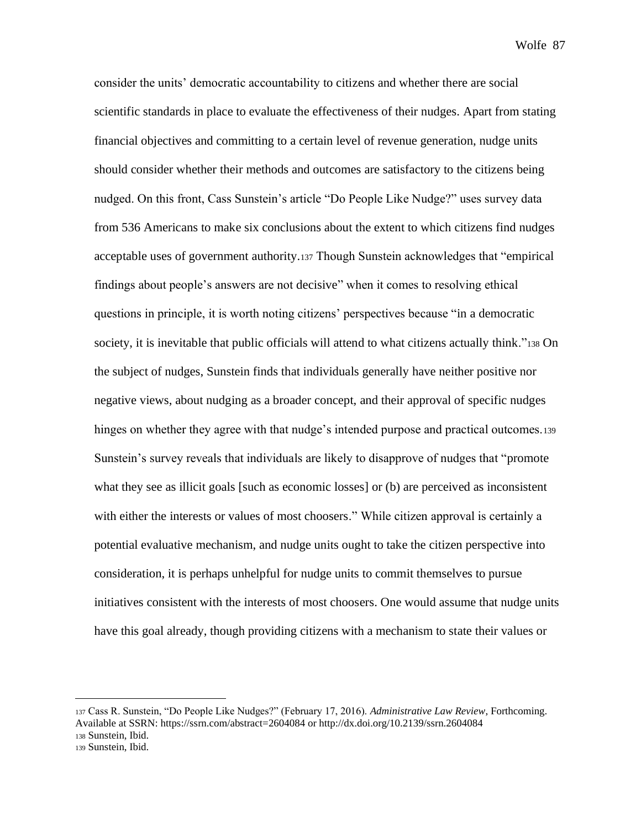consider the units' democratic accountability to citizens and whether there are social scientific standards in place to evaluate the effectiveness of their nudges. Apart from stating financial objectives and committing to a certain level of revenue generation, nudge units should consider whether their methods and outcomes are satisfactory to the citizens being nudged. On this front, Cass Sunstein's article "Do People Like Nudge?" uses survey data from 536 Americans to make six conclusions about the extent to which citizens find nudges acceptable uses of government authority.<sup>137</sup> Though Sunstein acknowledges that "empirical findings about people's answers are not decisive" when it comes to resolving ethical questions in principle, it is worth noting citizens' perspectives because "in a democratic society, it is inevitable that public officials will attend to what citizens actually think."<sup>138</sup> On the subject of nudges, Sunstein finds that individuals generally have neither positive nor negative views, about nudging as a broader concept, and their approval of specific nudges hinges on whether they agree with that nudge's intended purpose and practical outcomes.<sup>139</sup> Sunstein's survey reveals that individuals are likely to disapprove of nudges that "promote what they see as illicit goals [such as economic losses] or (b) are perceived as inconsistent with either the interests or values of most choosers." While citizen approval is certainly a potential evaluative mechanism, and nudge units ought to take the citizen perspective into consideration, it is perhaps unhelpful for nudge units to commit themselves to pursue initiatives consistent with the interests of most choosers. One would assume that nudge units have this goal already, though providing citizens with a mechanism to state their values or

<sup>137</sup> Cass R. Sunstein, "Do People Like Nudges?" (February 17, 2016). *Administrative Law Review*, Forthcoming. Available at SSRN: https://ssrn.com/abstract=2604084 or http://dx.doi.org/10.2139/ssrn.2604084 <sup>138</sup> Sunstein, Ibid.

<sup>139</sup> Sunstein, Ibid.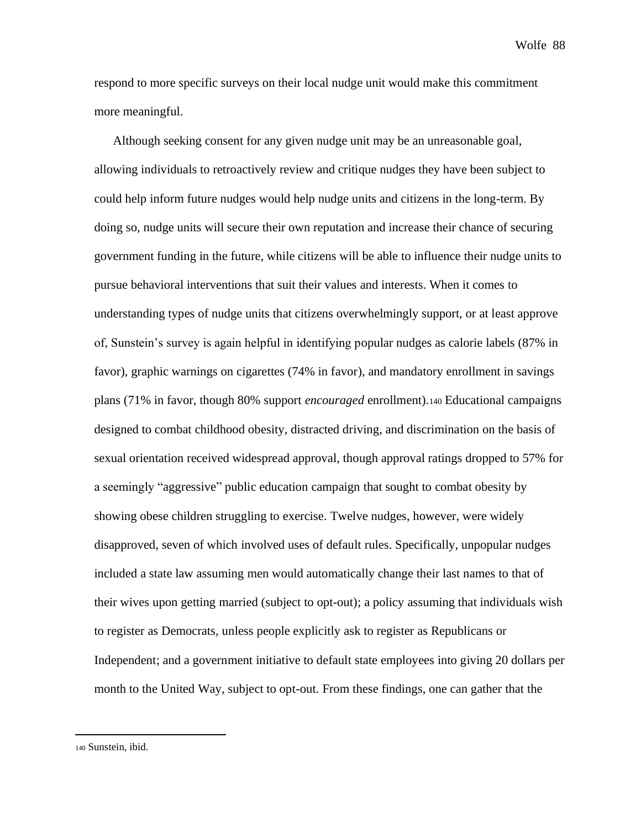respond to more specific surveys on their local nudge unit would make this commitment more meaningful.

Although seeking consent for any given nudge unit may be an unreasonable goal, allowing individuals to retroactively review and critique nudges they have been subject to could help inform future nudges would help nudge units and citizens in the long-term. By doing so, nudge units will secure their own reputation and increase their chance of securing government funding in the future, while citizens will be able to influence their nudge units to pursue behavioral interventions that suit their values and interests. When it comes to understanding types of nudge units that citizens overwhelmingly support, or at least approve of, Sunstein's survey is again helpful in identifying popular nudges as calorie labels (87% in favor), graphic warnings on cigarettes (74% in favor), and mandatory enrollment in savings plans (71% in favor, though 80% support *encouraged* enrollment).<sup>140</sup> Educational campaigns designed to combat childhood obesity, distracted driving, and discrimination on the basis of sexual orientation received widespread approval, though approval ratings dropped to 57% for a seemingly "aggressive" public education campaign that sought to combat obesity by showing obese children struggling to exercise. Twelve nudges, however, were widely disapproved, seven of which involved uses of default rules. Specifically, unpopular nudges included a state law assuming men would automatically change their last names to that of their wives upon getting married (subject to opt-out); a policy assuming that individuals wish to register as Democrats, unless people explicitly ask to register as Republicans or Independent; and a government initiative to default state employees into giving 20 dollars per month to the United Way, subject to opt-out. From these findings, one can gather that the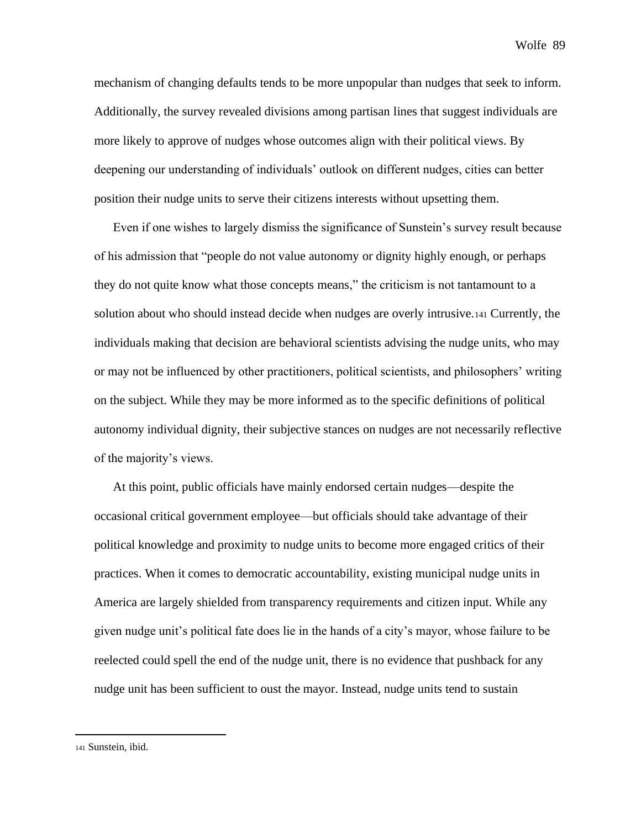mechanism of changing defaults tends to be more unpopular than nudges that seek to inform. Additionally, the survey revealed divisions among partisan lines that suggest individuals are more likely to approve of nudges whose outcomes align with their political views. By deepening our understanding of individuals' outlook on different nudges, cities can better position their nudge units to serve their citizens interests without upsetting them.

Even if one wishes to largely dismiss the significance of Sunstein's survey result because of his admission that "people do not value autonomy or dignity highly enough, or perhaps they do not quite know what those concepts means," the criticism is not tantamount to a solution about who should instead decide when nudges are overly intrusive.<sup>141</sup> Currently, the individuals making that decision are behavioral scientists advising the nudge units, who may or may not be influenced by other practitioners, political scientists, and philosophers' writing on the subject. While they may be more informed as to the specific definitions of political autonomy individual dignity, their subjective stances on nudges are not necessarily reflective of the majority's views.

At this point, public officials have mainly endorsed certain nudges—despite the occasional critical government employee—but officials should take advantage of their political knowledge and proximity to nudge units to become more engaged critics of their practices. When it comes to democratic accountability, existing municipal nudge units in America are largely shielded from transparency requirements and citizen input. While any given nudge unit's political fate does lie in the hands of a city's mayor, whose failure to be reelected could spell the end of the nudge unit, there is no evidence that pushback for any nudge unit has been sufficient to oust the mayor. Instead, nudge units tend to sustain

<sup>141</sup> Sunstein, ibid.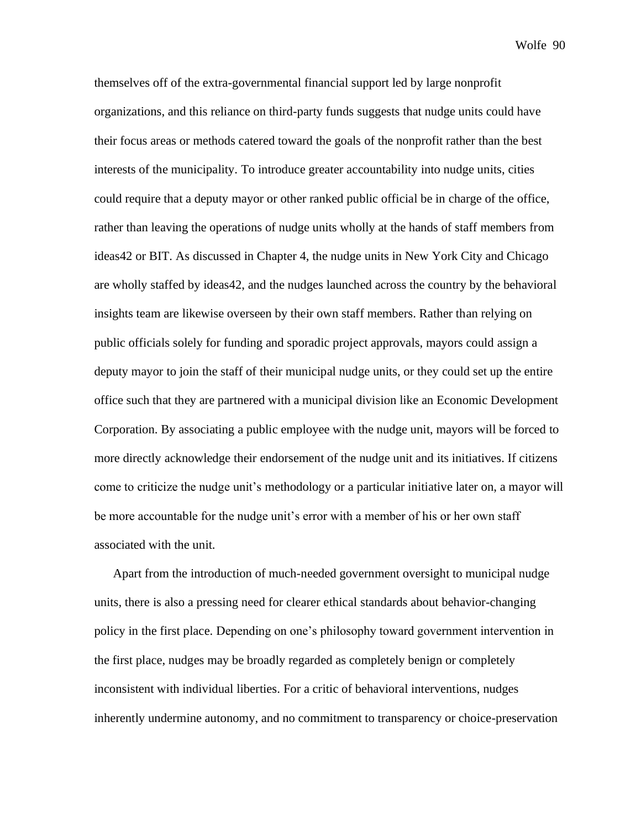themselves off of the extra-governmental financial support led by large nonprofit organizations, and this reliance on third-party funds suggests that nudge units could have their focus areas or methods catered toward the goals of the nonprofit rather than the best interests of the municipality. To introduce greater accountability into nudge units, cities could require that a deputy mayor or other ranked public official be in charge of the office, rather than leaving the operations of nudge units wholly at the hands of staff members from ideas42 or BIT. As discussed in Chapter 4, the nudge units in New York City and Chicago are wholly staffed by ideas42, and the nudges launched across the country by the behavioral insights team are likewise overseen by their own staff members. Rather than relying on public officials solely for funding and sporadic project approvals, mayors could assign a deputy mayor to join the staff of their municipal nudge units, or they could set up the entire office such that they are partnered with a municipal division like an Economic Development Corporation. By associating a public employee with the nudge unit, mayors will be forced to more directly acknowledge their endorsement of the nudge unit and its initiatives. If citizens come to criticize the nudge unit's methodology or a particular initiative later on, a mayor will be more accountable for the nudge unit's error with a member of his or her own staff associated with the unit.

Apart from the introduction of much-needed government oversight to municipal nudge units, there is also a pressing need for clearer ethical standards about behavior-changing policy in the first place. Depending on one's philosophy toward government intervention in the first place, nudges may be broadly regarded as completely benign or completely inconsistent with individual liberties. For a critic of behavioral interventions, nudges inherently undermine autonomy, and no commitment to transparency or choice-preservation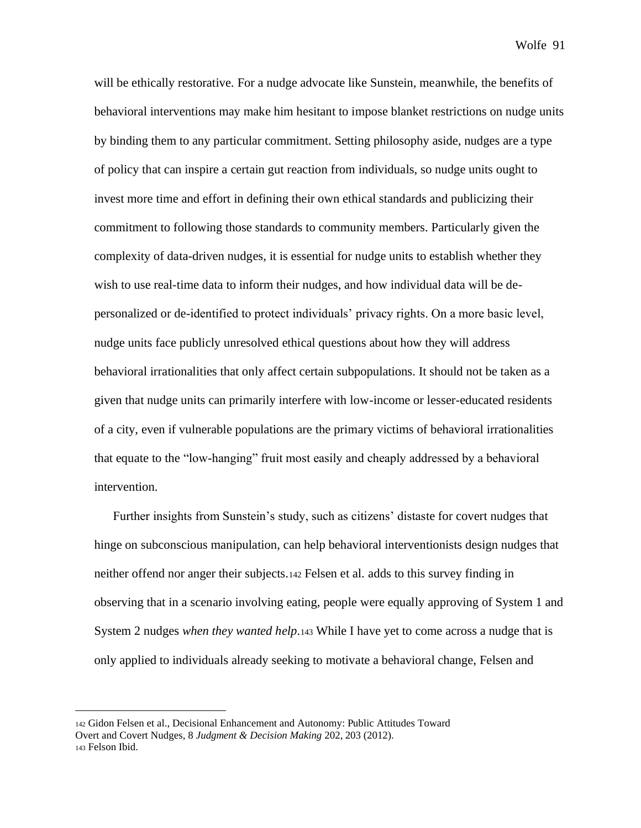will be ethically restorative. For a nudge advocate like Sunstein, meanwhile, the benefits of behavioral interventions may make him hesitant to impose blanket restrictions on nudge units by binding them to any particular commitment. Setting philosophy aside, nudges are a type of policy that can inspire a certain gut reaction from individuals, so nudge units ought to invest more time and effort in defining their own ethical standards and publicizing their commitment to following those standards to community members. Particularly given the complexity of data-driven nudges, it is essential for nudge units to establish whether they wish to use real-time data to inform their nudges, and how individual data will be depersonalized or de-identified to protect individuals' privacy rights. On a more basic level, nudge units face publicly unresolved ethical questions about how they will address behavioral irrationalities that only affect certain subpopulations. It should not be taken as a given that nudge units can primarily interfere with low-income or lesser-educated residents of a city, even if vulnerable populations are the primary victims of behavioral irrationalities that equate to the "low-hanging" fruit most easily and cheaply addressed by a behavioral intervention.

Further insights from Sunstein's study, such as citizens' distaste for covert nudges that hinge on subconscious manipulation, can help behavioral interventionists design nudges that neither offend nor anger their subjects.<sup>142</sup> Felsen et al. adds to this survey finding in observing that in a scenario involving eating, people were equally approving of System 1 and System 2 nudges *when they wanted help*.<sup>143</sup> While I have yet to come across a nudge that is only applied to individuals already seeking to motivate a behavioral change, Felsen and

<sup>142</sup> Gidon Felsen et al., Decisional Enhancement and Autonomy: Public Attitudes Toward Overt and Covert Nudges, 8 *Judgment & Decision Making* 202, 203 (2012). <sup>143</sup> Felson Ibid.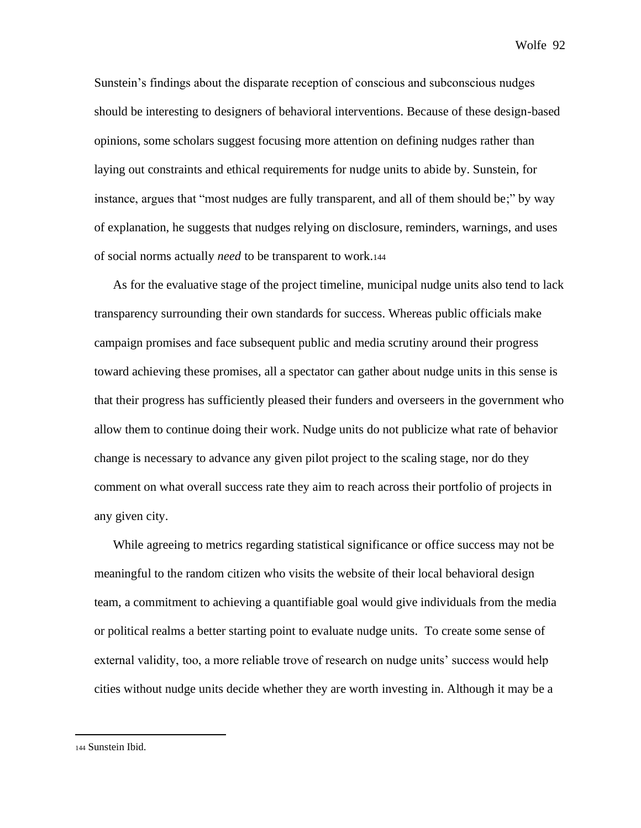Sunstein's findings about the disparate reception of conscious and subconscious nudges should be interesting to designers of behavioral interventions. Because of these design-based opinions, some scholars suggest focusing more attention on defining nudges rather than laying out constraints and ethical requirements for nudge units to abide by. Sunstein, for instance, argues that "most nudges are fully transparent, and all of them should be;" by way of explanation, he suggests that nudges relying on disclosure, reminders, warnings, and uses of social norms actually *need* to be transparent to work.<sup>144</sup>

As for the evaluative stage of the project timeline, municipal nudge units also tend to lack transparency surrounding their own standards for success. Whereas public officials make campaign promises and face subsequent public and media scrutiny around their progress toward achieving these promises, all a spectator can gather about nudge units in this sense is that their progress has sufficiently pleased their funders and overseers in the government who allow them to continue doing their work. Nudge units do not publicize what rate of behavior change is necessary to advance any given pilot project to the scaling stage, nor do they comment on what overall success rate they aim to reach across their portfolio of projects in any given city.

While agreeing to metrics regarding statistical significance or office success may not be meaningful to the random citizen who visits the website of their local behavioral design team, a commitment to achieving a quantifiable goal would give individuals from the media or political realms a better starting point to evaluate nudge units. To create some sense of external validity, too, a more reliable trove of research on nudge units' success would help cities without nudge units decide whether they are worth investing in. Although it may be a

<sup>144</sup> Sunstein Ibid.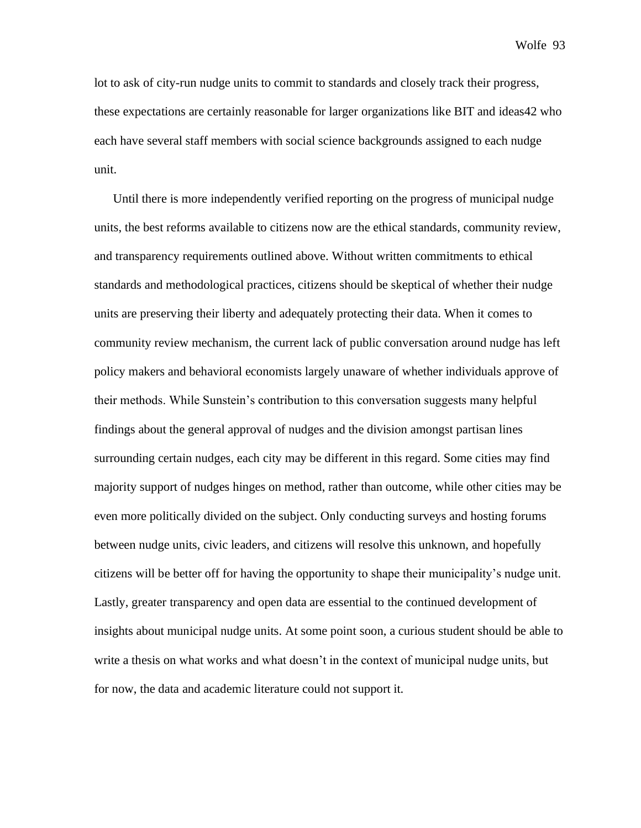lot to ask of city-run nudge units to commit to standards and closely track their progress, these expectations are certainly reasonable for larger organizations like BIT and ideas42 who each have several staff members with social science backgrounds assigned to each nudge unit.

Until there is more independently verified reporting on the progress of municipal nudge units, the best reforms available to citizens now are the ethical standards, community review, and transparency requirements outlined above. Without written commitments to ethical standards and methodological practices, citizens should be skeptical of whether their nudge units are preserving their liberty and adequately protecting their data. When it comes to community review mechanism, the current lack of public conversation around nudge has left policy makers and behavioral economists largely unaware of whether individuals approve of their methods. While Sunstein's contribution to this conversation suggests many helpful findings about the general approval of nudges and the division amongst partisan lines surrounding certain nudges, each city may be different in this regard. Some cities may find majority support of nudges hinges on method, rather than outcome, while other cities may be even more politically divided on the subject. Only conducting surveys and hosting forums between nudge units, civic leaders, and citizens will resolve this unknown, and hopefully citizens will be better off for having the opportunity to shape their municipality's nudge unit. Lastly, greater transparency and open data are essential to the continued development of insights about municipal nudge units. At some point soon, a curious student should be able to write a thesis on what works and what doesn't in the context of municipal nudge units, but for now, the data and academic literature could not support it.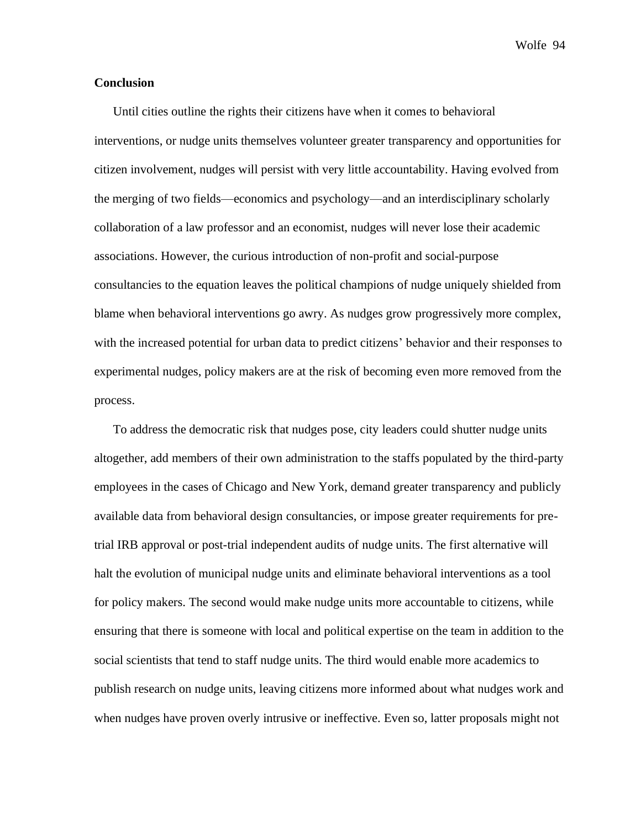## **Conclusion**

Until cities outline the rights their citizens have when it comes to behavioral interventions, or nudge units themselves volunteer greater transparency and opportunities for citizen involvement, nudges will persist with very little accountability. Having evolved from the merging of two fields—economics and psychology—and an interdisciplinary scholarly collaboration of a law professor and an economist, nudges will never lose their academic associations. However, the curious introduction of non-profit and social-purpose consultancies to the equation leaves the political champions of nudge uniquely shielded from blame when behavioral interventions go awry. As nudges grow progressively more complex, with the increased potential for urban data to predict citizens' behavior and their responses to experimental nudges, policy makers are at the risk of becoming even more removed from the process.

To address the democratic risk that nudges pose, city leaders could shutter nudge units altogether, add members of their own administration to the staffs populated by the third-party employees in the cases of Chicago and New York, demand greater transparency and publicly available data from behavioral design consultancies, or impose greater requirements for pretrial IRB approval or post-trial independent audits of nudge units. The first alternative will halt the evolution of municipal nudge units and eliminate behavioral interventions as a tool for policy makers. The second would make nudge units more accountable to citizens, while ensuring that there is someone with local and political expertise on the team in addition to the social scientists that tend to staff nudge units. The third would enable more academics to publish research on nudge units, leaving citizens more informed about what nudges work and when nudges have proven overly intrusive or ineffective. Even so, latter proposals might not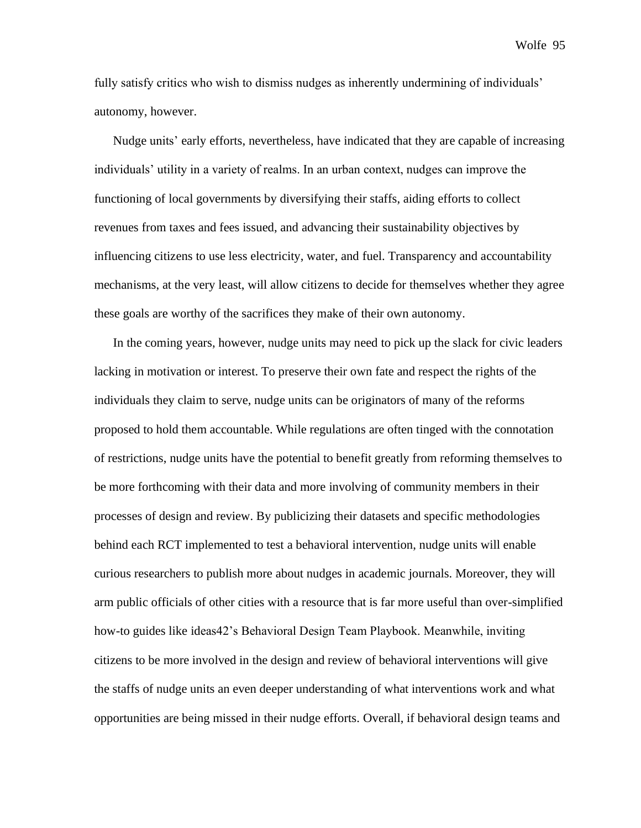fully satisfy critics who wish to dismiss nudges as inherently undermining of individuals' autonomy, however.

Nudge units' early efforts, nevertheless, have indicated that they are capable of increasing individuals' utility in a variety of realms. In an urban context, nudges can improve the functioning of local governments by diversifying their staffs, aiding efforts to collect revenues from taxes and fees issued, and advancing their sustainability objectives by influencing citizens to use less electricity, water, and fuel. Transparency and accountability mechanisms, at the very least, will allow citizens to decide for themselves whether they agree these goals are worthy of the sacrifices they make of their own autonomy.

In the coming years, however, nudge units may need to pick up the slack for civic leaders lacking in motivation or interest. To preserve their own fate and respect the rights of the individuals they claim to serve, nudge units can be originators of many of the reforms proposed to hold them accountable. While regulations are often tinged with the connotation of restrictions, nudge units have the potential to benefit greatly from reforming themselves to be more forthcoming with their data and more involving of community members in their processes of design and review. By publicizing their datasets and specific methodologies behind each RCT implemented to test a behavioral intervention, nudge units will enable curious researchers to publish more about nudges in academic journals. Moreover, they will arm public officials of other cities with a resource that is far more useful than over-simplified how-to guides like ideas42's Behavioral Design Team Playbook. Meanwhile, inviting citizens to be more involved in the design and review of behavioral interventions will give the staffs of nudge units an even deeper understanding of what interventions work and what opportunities are being missed in their nudge efforts. Overall, if behavioral design teams and

Wolfe 95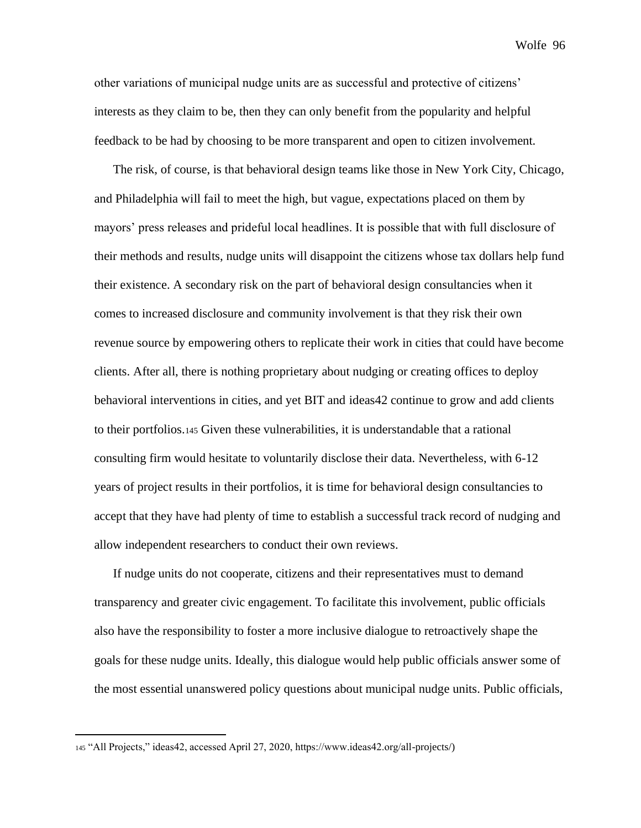other variations of municipal nudge units are as successful and protective of citizens' interests as they claim to be, then they can only benefit from the popularity and helpful feedback to be had by choosing to be more transparent and open to citizen involvement.

The risk, of course, is that behavioral design teams like those in New York City, Chicago, and Philadelphia will fail to meet the high, but vague, expectations placed on them by mayors' press releases and prideful local headlines. It is possible that with full disclosure of their methods and results, nudge units will disappoint the citizens whose tax dollars help fund their existence. A secondary risk on the part of behavioral design consultancies when it comes to increased disclosure and community involvement is that they risk their own revenue source by empowering others to replicate their work in cities that could have become clients. After all, there is nothing proprietary about nudging or creating offices to deploy behavioral interventions in cities, and yet BIT and ideas42 continue to grow and add clients to their portfolios.<sup>145</sup> Given these vulnerabilities, it is understandable that a rational consulting firm would hesitate to voluntarily disclose their data. Nevertheless, with 6-12 years of project results in their portfolios, it is time for behavioral design consultancies to accept that they have had plenty of time to establish a successful track record of nudging and allow independent researchers to conduct their own reviews.

If nudge units do not cooperate, citizens and their representatives must to demand transparency and greater civic engagement. To facilitate this involvement, public officials also have the responsibility to foster a more inclusive dialogue to retroactively shape the goals for these nudge units. Ideally, this dialogue would help public officials answer some of the most essential unanswered policy questions about municipal nudge units. Public officials,

<sup>145</sup> "All Projects," ideas42, accessed April 27, 2020, https://www.ideas42.org/all-projects/)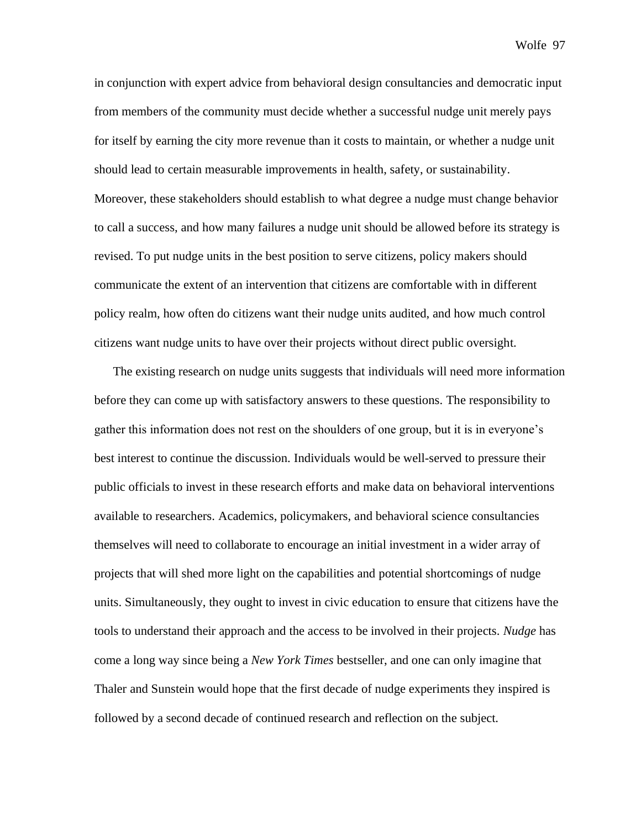in conjunction with expert advice from behavioral design consultancies and democratic input from members of the community must decide whether a successful nudge unit merely pays for itself by earning the city more revenue than it costs to maintain, or whether a nudge unit should lead to certain measurable improvements in health, safety, or sustainability. Moreover, these stakeholders should establish to what degree a nudge must change behavior to call a success, and how many failures a nudge unit should be allowed before its strategy is revised. To put nudge units in the best position to serve citizens, policy makers should communicate the extent of an intervention that citizens are comfortable with in different policy realm, how often do citizens want their nudge units audited, and how much control citizens want nudge units to have over their projects without direct public oversight.

The existing research on nudge units suggests that individuals will need more information before they can come up with satisfactory answers to these questions. The responsibility to gather this information does not rest on the shoulders of one group, but it is in everyone's best interest to continue the discussion. Individuals would be well-served to pressure their public officials to invest in these research efforts and make data on behavioral interventions available to researchers. Academics, policymakers, and behavioral science consultancies themselves will need to collaborate to encourage an initial investment in a wider array of projects that will shed more light on the capabilities and potential shortcomings of nudge units. Simultaneously, they ought to invest in civic education to ensure that citizens have the tools to understand their approach and the access to be involved in their projects. *Nudge* has come a long way since being a *New York Times* bestseller, and one can only imagine that Thaler and Sunstein would hope that the first decade of nudge experiments they inspired is followed by a second decade of continued research and reflection on the subject.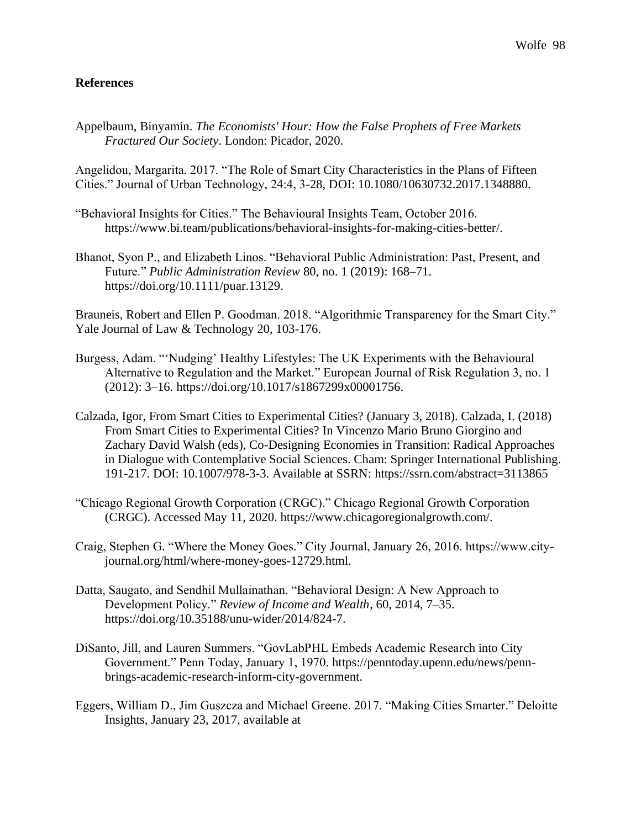## **References**

Appelbaum, Binyamin. *The Economists' Hour: How the False Prophets of Free Markets Fractured Our Society*. London: Picador, 2020.

Angelidou, Margarita. 2017. "The Role of Smart City Characteristics in the Plans of Fifteen Cities." Journal of Urban Technology, 24:4, 3-28, DOI: 10.1080/10630732.2017.1348880.

- "Behavioral Insights for Cities." The Behavioural Insights Team, October 2016. https://www.bi.team/publications/behavioral-insights-for-making-cities-better/.
- Bhanot, Syon P., and Elizabeth Linos. "Behavioral Public Administration: Past, Present, and Future." *Public Administration Review* 80, no. 1 (2019): 168–71. https://doi.org/10.1111/puar.13129.

Brauneis, Robert and Ellen P. Goodman. 2018. "Algorithmic Transparency for the Smart City." Yale Journal of Law & Technology 20, 103-176.

- Burgess, Adam. "'Nudging' Healthy Lifestyles: The UK Experiments with the Behavioural Alternative to Regulation and the Market." European Journal of Risk Regulation 3, no. 1 (2012): 3–16. https://doi.org/10.1017/s1867299x00001756.
- Calzada, Igor, From Smart Cities to Experimental Cities? (January 3, 2018). Calzada, I. (2018) From Smart Cities to Experimental Cities? In Vincenzo Mario Bruno Giorgino and Zachary David Walsh (eds), Co-Designing Economies in Transition: Radical Approaches in Dialogue with Contemplative Social Sciences. Cham: Springer International Publishing. 191-217. DOI: 10.1007/978-3-3. Available at SSRN: https://ssrn.com/abstract=3113865
- "Chicago Regional Growth Corporation (CRGC)." Chicago Regional Growth Corporation (CRGC). Accessed May 11, 2020. https://www.chicagoregionalgrowth.com/.
- Craig, Stephen G. "Where the Money Goes." City Journal, January 26, 2016. https://www.cityjournal.org/html/where-money-goes-12729.html.
- Datta, Saugato, and Sendhil Mullainathan. "Behavioral Design: A New Approach to Development Policy." *Review of Income and Wealth*, 60, 2014, 7–35. https://doi.org/10.35188/unu-wider/2014/824-7.
- DiSanto, Jill, and Lauren Summers. "GovLabPHL Embeds Academic Research into City Government." Penn Today, January 1, 1970. https://penntoday.upenn.edu/news/pennbrings-academic-research-inform-city-government.
- Eggers, William D., Jim Guszcza and Michael Greene. 2017. "Making Cities Smarter." Deloitte Insights, January 23, 2017, available at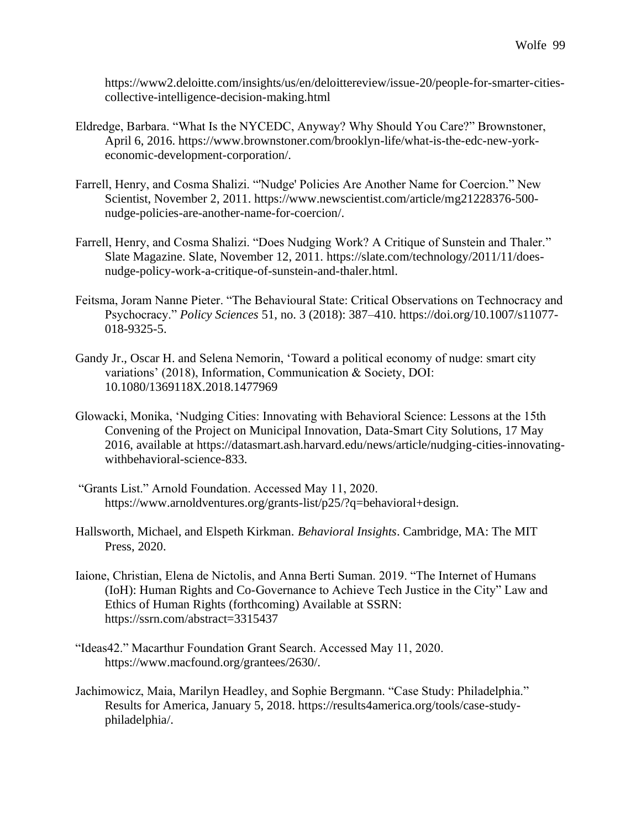https://www2.deloitte.com/insights/us/en/deloittereview/issue-20/people-for-smarter-citiescollective-intelligence-decision-making.html

- Eldredge, Barbara. "What Is the NYCEDC, Anyway? Why Should You Care?" Brownstoner, April 6, 2016. https://www.brownstoner.com/brooklyn-life/what-is-the-edc-new-yorkeconomic-development-corporation/.
- Farrell, Henry, and Cosma Shalizi. "'Nudge' Policies Are Another Name for Coercion." New Scientist, November 2, 2011. https://www.newscientist.com/article/mg21228376-500 nudge-policies-are-another-name-for-coercion/.
- Farrell, Henry, and Cosma Shalizi. "Does Nudging Work? A Critique of Sunstein and Thaler." Slate Magazine. Slate, November 12, 2011. https://slate.com/technology/2011/11/doesnudge-policy-work-a-critique-of-sunstein-and-thaler.html.
- Feitsma, Joram Nanne Pieter. "The Behavioural State: Critical Observations on Technocracy and Psychocracy." *Policy Sciences* 51, no. 3 (2018): 387–410. https://doi.org/10.1007/s11077- 018-9325-5.
- Gandy Jr., Oscar H. and Selena Nemorin, 'Toward a political economy of nudge: smart city variations' (2018), Information, Communication & Society, DOI: 10.1080/1369118X.2018.1477969
- Glowacki, Monika, 'Nudging Cities: Innovating with Behavioral Science: Lessons at the 15th Convening of the Project on Municipal Innovation, Data-Smart City Solutions, 17 May 2016, available at https://datasmart.ash.harvard.edu/news/article/nudging-cities-innovatingwithbehavioral-science-833.
- "Grants List." Arnold Foundation. Accessed May 11, 2020. https://www.arnoldventures.org/grants-list/p25/?q=behavioral+design.
- Hallsworth, Michael, and Elspeth Kirkman. *Behavioral Insights*. Cambridge, MA: The MIT Press, 2020.
- Iaione, Christian, Elena de Nictolis, and Anna Berti Suman. 2019. "The Internet of Humans (IoH): Human Rights and Co-Governance to Achieve Tech Justice in the City" Law and Ethics of Human Rights (forthcoming) Available at SSRN: https://ssrn.com/abstract=3315437
- "Ideas42." Macarthur Foundation Grant Search. Accessed May 11, 2020. https://www.macfound.org/grantees/2630/.
- Jachimowicz, Maia, Marilyn Headley, and Sophie Bergmann. "Case Study: Philadelphia." Results for America, January 5, 2018. https://results4america.org/tools/case-studyphiladelphia/.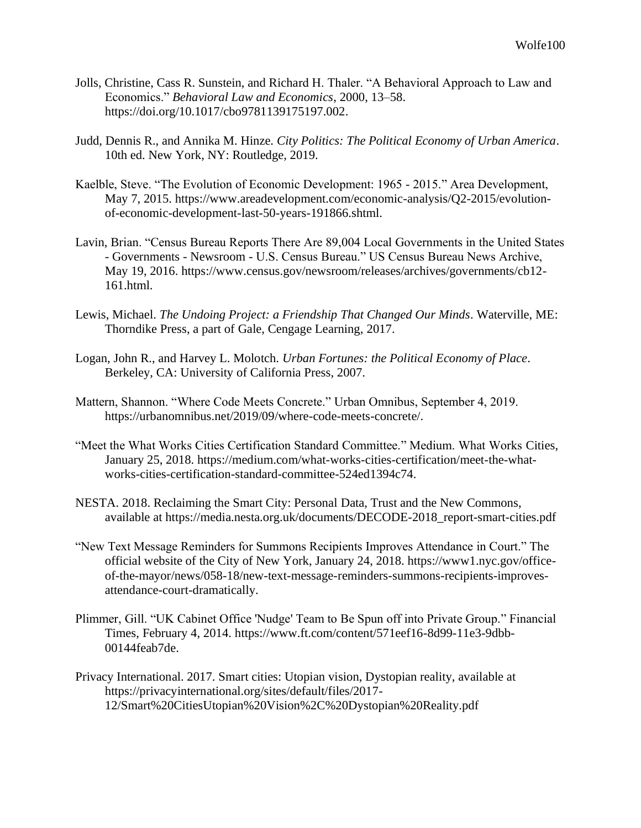- Jolls, Christine, Cass R. Sunstein, and Richard H. Thaler. "A Behavioral Approach to Law and Economics." *Behavioral Law and Economics*, 2000, 13–58. https://doi.org/10.1017/cbo9781139175197.002.
- Judd, Dennis R., and Annika M. Hinze. *City Politics: The Political Economy of Urban America*. 10th ed. New York, NY: Routledge, 2019.
- Kaelble, Steve. "The Evolution of Economic Development: 1965 2015." Area Development, May 7, 2015. https://www.areadevelopment.com/economic-analysis/Q2-2015/evolutionof-economic-development-last-50-years-191866.shtml.
- Lavin, Brian. "Census Bureau Reports There Are 89,004 Local Governments in the United States - Governments - Newsroom - U.S. Census Bureau." US Census Bureau News Archive, May 19, 2016. https://www.census.gov/newsroom/releases/archives/governments/cb12- 161.html.
- Lewis, Michael. *The Undoing Project: a Friendship That Changed Our Minds*. Waterville, ME: Thorndike Press, a part of Gale, Cengage Learning, 2017.
- Logan, John R., and Harvey L. Molotch. *Urban Fortunes: the Political Economy of Place*. Berkeley, CA: University of California Press, 2007.
- Mattern, Shannon. "Where Code Meets Concrete." Urban Omnibus, September 4, 2019. https://urbanomnibus.net/2019/09/where-code-meets-concrete/.
- "Meet the What Works Cities Certification Standard Committee." Medium. What Works Cities, January 25, 2018. https://medium.com/what-works-cities-certification/meet-the-whatworks-cities-certification-standard-committee-524ed1394c74.
- NESTA. 2018. Reclaiming the Smart City: Personal Data, Trust and the New Commons, available at https://media.nesta.org.uk/documents/DECODE-2018\_report-smart-cities.pdf
- "New Text Message Reminders for Summons Recipients Improves Attendance in Court." The official website of the City of New York, January 24, 2018. https://www1.nyc.gov/officeof-the-mayor/news/058-18/new-text-message-reminders-summons-recipients-improvesattendance-court-dramatically.
- Plimmer, Gill. "UK Cabinet Office 'Nudge' Team to Be Spun off into Private Group." Financial Times, February 4, 2014. https://www.ft.com/content/571eef16-8d99-11e3-9dbb-00144feab7de.
- Privacy International. 2017. Smart cities: Utopian vision, Dystopian reality, available at https://privacyinternational.org/sites/default/files/2017- 12/Smart%20CitiesUtopian%20Vision%2C%20Dystopian%20Reality.pdf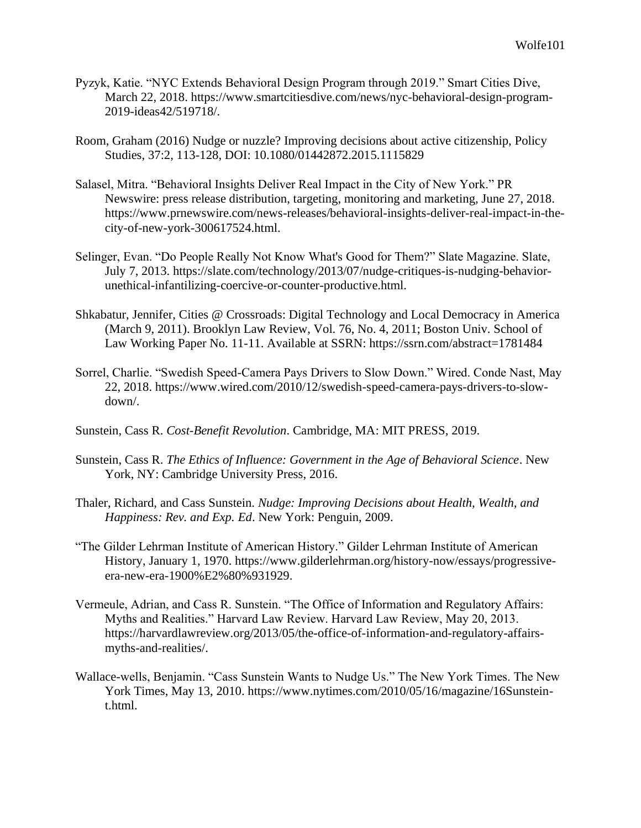- Pyzyk, Katie. "NYC Extends Behavioral Design Program through 2019." Smart Cities Dive, March 22, 2018. https://www.smartcitiesdive.com/news/nyc-behavioral-design-program-2019-ideas42/519718/.
- Room, Graham (2016) Nudge or nuzzle? Improving decisions about active citizenship, Policy Studies, 37:2, 113-128, DOI: 10.1080/01442872.2015.1115829
- Salasel, Mitra. "Behavioral Insights Deliver Real Impact in the City of New York." PR Newswire: press release distribution, targeting, monitoring and marketing, June 27, 2018. https://www.prnewswire.com/news-releases/behavioral-insights-deliver-real-impact-in-thecity-of-new-york-300617524.html.
- Selinger, Evan. "Do People Really Not Know What's Good for Them?" Slate Magazine. Slate, July 7, 2013. https://slate.com/technology/2013/07/nudge-critiques-is-nudging-behaviorunethical-infantilizing-coercive-or-counter-productive.html.
- Shkabatur, Jennifer, Cities @ Crossroads: Digital Technology and Local Democracy in America (March 9, 2011). Brooklyn Law Review, Vol. 76, No. 4, 2011; Boston Univ. School of Law Working Paper No. 11-11. Available at SSRN: https://ssrn.com/abstract=1781484
- Sorrel, Charlie. "Swedish Speed-Camera Pays Drivers to Slow Down." Wired. Conde Nast, May 22, 2018. https://www.wired.com/2010/12/swedish-speed-camera-pays-drivers-to-slowdown/.
- Sunstein, Cass R. *Cost-Benefit Revolution*. Cambridge, MA: MIT PRESS, 2019.
- Sunstein, Cass R. *The Ethics of Influence: Government in the Age of Behavioral Science*. New York, NY: Cambridge University Press, 2016.
- Thaler, Richard, and Cass Sunstein. *Nudge: Improving Decisions about Health, Wealth, and Happiness: Rev. and Exp. Ed*. New York: Penguin, 2009.
- "The Gilder Lehrman Institute of American History." Gilder Lehrman Institute of American History, January 1, 1970. https://www.gilderlehrman.org/history-now/essays/progressiveera-new-era-1900%E2%80%931929.
- Vermeule, Adrian, and Cass R. Sunstein. "The Office of Information and Regulatory Affairs: Myths and Realities." Harvard Law Review. Harvard Law Review, May 20, 2013. https://harvardlawreview.org/2013/05/the-office-of-information-and-regulatory-affairsmyths-and-realities/.
- Wallace-wells, Benjamin. "Cass Sunstein Wants to Nudge Us." The New York Times. The New York Times, May 13, 2010. https://www.nytimes.com/2010/05/16/magazine/16Sunsteint.html.